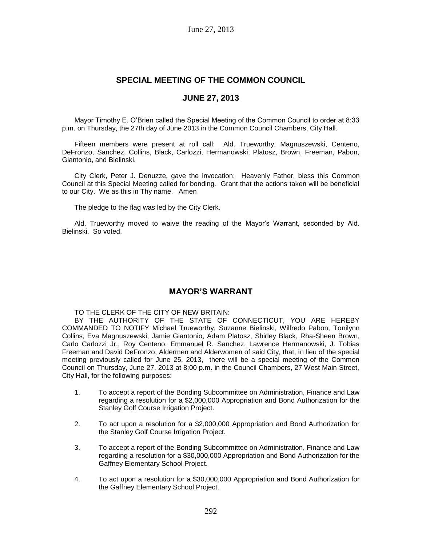# **SPECIAL MEETING OF THE COMMON COUNCIL**

# **JUNE 27, 2013**

Mayor Timothy E. O'Brien called the Special Meeting of the Common Council to order at 8:33 p.m. on Thursday, the 27th day of June 2013 in the Common Council Chambers, City Hall.

Fifteen members were present at roll call: Ald. Trueworthy, Magnuszewski, Centeno, DeFronzo, Sanchez, Collins, Black, Carlozzi, Hermanowski, Platosz, Brown, Freeman, Pabon, Giantonio, and Bielinski.

City Clerk, Peter J. Denuzze, gave the invocation: Heavenly Father, bless this Common Council at this Special Meeting called for bonding. Grant that the actions taken will be beneficial to our City. We as this in Thy name. Amen

The pledge to the flag was led by the City Clerk.

Ald. Trueworthy moved to waive the reading of the Mayor's Warrant, seconded by Ald. Bielinski. So voted.

# **MAYOR'S WARRANT**

TO THE CLERK OF THE CITY OF NEW BRITAIN:

BY THE AUTHORITY OF THE STATE OF CONNECTICUT, YOU ARE HEREBY COMMANDED TO NOTIFY Michael Trueworthy, Suzanne Bielinski, Wilfredo Pabon, Tonilynn Collins, Eva Magnuszewski, Jamie Giantonio, Adam Platosz, Shirley Black, Rha-Sheen Brown, Carlo Carlozzi Jr., Roy Centeno, Emmanuel R. Sanchez, Lawrence Hermanowski, J. Tobias Freeman and David DeFronzo, Aldermen and Alderwomen of said City, that, in lieu of the special meeting previously called for June 25, 2013, there will be a special meeting of the Common Council on Thursday, June 27, 2013 at 8:00 p.m. in the Council Chambers, 27 West Main Street, City Hall, for the following purposes:

- 1. To accept a report of the Bonding Subcommittee on Administration, Finance and Law regarding a resolution for a \$2,000,000 Appropriation and Bond Authorization for the Stanley Golf Course Irrigation Project.
- 2. To act upon a resolution for a \$2,000,000 Appropriation and Bond Authorization for the Stanley Golf Course Irrigation Project.
- 3. To accept a report of the Bonding Subcommittee on Administration, Finance and Law regarding a resolution for a \$30,000,000 Appropriation and Bond Authorization for the Gaffney Elementary School Project.
- 4. To act upon a resolution for a \$30,000,000 Appropriation and Bond Authorization for the Gaffney Elementary School Project.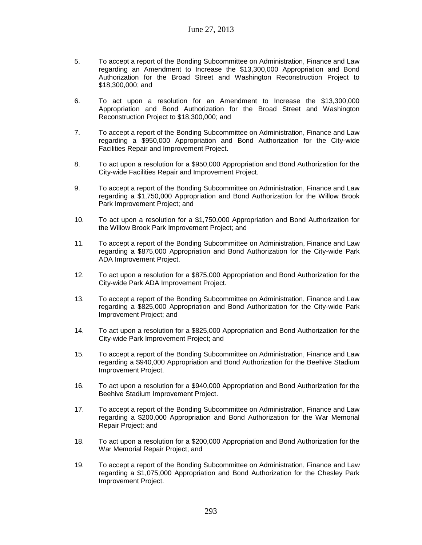- 5. To accept a report of the Bonding Subcommittee on Administration, Finance and Law regarding an Amendment to Increase the \$13,300,000 Appropriation and Bond Authorization for the Broad Street and Washington Reconstruction Project to \$18,300,000; and
- 6. To act upon a resolution for an Amendment to Increase the \$13,300,000 Appropriation and Bond Authorization for the Broad Street and Washington Reconstruction Project to \$18,300,000; and
- 7. To accept a report of the Bonding Subcommittee on Administration, Finance and Law regarding a \$950,000 Appropriation and Bond Authorization for the City-wide Facilities Repair and Improvement Project.
- 8. To act upon a resolution for a \$950,000 Appropriation and Bond Authorization for the City-wide Facilities Repair and Improvement Project.
- 9. To accept a report of the Bonding Subcommittee on Administration, Finance and Law regarding a \$1,750,000 Appropriation and Bond Authorization for the Willow Brook Park Improvement Project; and
- 10. To act upon a resolution for a \$1,750,000 Appropriation and Bond Authorization for the Willow Brook Park Improvement Project; and
- 11. To accept a report of the Bonding Subcommittee on Administration, Finance and Law regarding a \$875,000 Appropriation and Bond Authorization for the City-wide Park ADA Improvement Project.
- 12. To act upon a resolution for a \$875,000 Appropriation and Bond Authorization for the City-wide Park ADA Improvement Project.
- 13. To accept a report of the Bonding Subcommittee on Administration, Finance and Law regarding a \$825,000 Appropriation and Bond Authorization for the City-wide Park Improvement Project; and
- 14. To act upon a resolution for a \$825,000 Appropriation and Bond Authorization for the City-wide Park Improvement Project; and
- 15. To accept a report of the Bonding Subcommittee on Administration, Finance and Law regarding a \$940,000 Appropriation and Bond Authorization for the Beehive Stadium Improvement Project.
- 16. To act upon a resolution for a \$940,000 Appropriation and Bond Authorization for the Beehive Stadium Improvement Project.
- 17. To accept a report of the Bonding Subcommittee on Administration, Finance and Law regarding a \$200,000 Appropriation and Bond Authorization for the War Memorial Repair Project; and
- 18. To act upon a resolution for a \$200,000 Appropriation and Bond Authorization for the War Memorial Repair Project; and
- 19. To accept a report of the Bonding Subcommittee on Administration, Finance and Law regarding a \$1,075,000 Appropriation and Bond Authorization for the Chesley Park Improvement Project.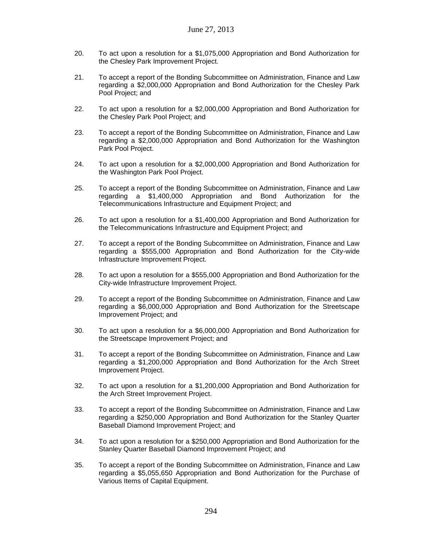- 20. To act upon a resolution for a \$1,075,000 Appropriation and Bond Authorization for the Chesley Park Improvement Project.
- 21. To accept a report of the Bonding Subcommittee on Administration, Finance and Law regarding a \$2,000,000 Appropriation and Bond Authorization for the Chesley Park Pool Project; and
- 22. To act upon a resolution for a \$2,000,000 Appropriation and Bond Authorization for the Chesley Park Pool Project; and
- 23. To accept a report of the Bonding Subcommittee on Administration, Finance and Law regarding a \$2,000,000 Appropriation and Bond Authorization for the Washington Park Pool Project.
- 24. To act upon a resolution for a \$2,000,000 Appropriation and Bond Authorization for the Washington Park Pool Project.
- 25. To accept a report of the Bonding Subcommittee on Administration, Finance and Law regarding a \$1,400,000 Appropriation and Bond Authorization for the Telecommunications Infrastructure and Equipment Project; and
- 26. To act upon a resolution for a \$1,400,000 Appropriation and Bond Authorization for the Telecommunications Infrastructure and Equipment Project; and
- 27. To accept a report of the Bonding Subcommittee on Administration, Finance and Law regarding a \$555,000 Appropriation and Bond Authorization for the City-wide Infrastructure Improvement Project.
- 28. To act upon a resolution for a \$555,000 Appropriation and Bond Authorization for the City-wide Infrastructure Improvement Project.
- 29. To accept a report of the Bonding Subcommittee on Administration, Finance and Law regarding a \$6,000,000 Appropriation and Bond Authorization for the Streetscape Improvement Project; and
- 30. To act upon a resolution for a \$6,000,000 Appropriation and Bond Authorization for the Streetscape Improvement Project; and
- 31. To accept a report of the Bonding Subcommittee on Administration, Finance and Law regarding a \$1,200,000 Appropriation and Bond Authorization for the Arch Street Improvement Project.
- 32. To act upon a resolution for a \$1,200,000 Appropriation and Bond Authorization for the Arch Street Improvement Project.
- 33. To accept a report of the Bonding Subcommittee on Administration, Finance and Law regarding a \$250,000 Appropriation and Bond Authorization for the Stanley Quarter Baseball Diamond Improvement Project; and
- 34. To act upon a resolution for a \$250,000 Appropriation and Bond Authorization for the Stanley Quarter Baseball Diamond Improvement Project; and
- 35. To accept a report of the Bonding Subcommittee on Administration, Finance and Law regarding a \$5,055,650 Appropriation and Bond Authorization for the Purchase of Various Items of Capital Equipment.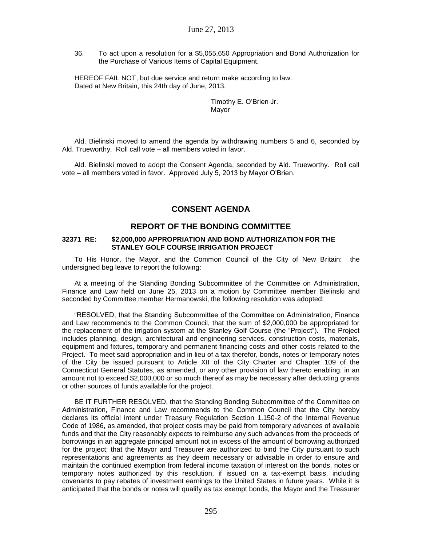36. To act upon a resolution for a \$5,055,650 Appropriation and Bond Authorization for the Purchase of Various Items of Capital Equipment.

HEREOF FAIL NOT, but due service and return make according to law. Dated at New Britain, this 24th day of June, 2013.

> Timothy E. O'Brien Jr. Mayor

Ald. Bielinski moved to amend the agenda by withdrawing numbers 5 and 6, seconded by Ald. Trueworthy. Roll call vote – all members voted in favor.

Ald. Bielinski moved to adopt the Consent Agenda, seconded by Ald. Trueworthy. Roll call vote – all members voted in favor. Approved July 5, 2013 by Mayor O'Brien.

# **CONSENT AGENDA**

## **REPORT OF THE BONDING COMMITTEE**

#### **32371 RE: \$2,000,000 APPROPRIATION AND BOND AUTHORIZATION FOR THE STANLEY GOLF COURSE IRRIGATION PROJECT**

To His Honor, the Mayor, and the Common Council of the City of New Britain: the undersigned beg leave to report the following:

At a meeting of the Standing Bonding Subcommittee of the Committee on Administration, Finance and Law held on June 25, 2013 on a motion by Committee member Bielinski and seconded by Committee member Hermanowski, the following resolution was adopted:

"RESOLVED, that the Standing Subcommittee of the Committee on Administration, Finance and Law recommends to the Common Council, that the sum of \$2,000,000 be appropriated for the replacement of the irrigation system at the Stanley Golf Course (the "Project"). The Project includes planning, design, architectural and engineering services, construction costs, materials, equipment and fixtures, temporary and permanent financing costs and other costs related to the Project. To meet said appropriation and in lieu of a tax therefor, bonds, notes or temporary notes of the City be issued pursuant to Article XII of the City Charter and Chapter 109 of the Connecticut General Statutes, as amended, or any other provision of law thereto enabling, in an amount not to exceed \$2,000,000 or so much thereof as may be necessary after deducting grants or other sources of funds available for the project.

BE IT FURTHER RESOLVED, that the Standing Bonding Subcommittee of the Committee on Administration, Finance and Law recommends to the Common Council that the City hereby declares its official intent under Treasury Regulation Section 1.150-2 of the Internal Revenue Code of 1986, as amended, that project costs may be paid from temporary advances of available funds and that the City reasonably expects to reimburse any such advances from the proceeds of borrowings in an aggregate principal amount not in excess of the amount of borrowing authorized for the project; that the Mayor and Treasurer are authorized to bind the City pursuant to such representations and agreements as they deem necessary or advisable in order to ensure and maintain the continued exemption from federal income taxation of interest on the bonds, notes or temporary notes authorized by this resolution, if issued on a tax-exempt basis, including covenants to pay rebates of investment earnings to the United States in future years. While it is anticipated that the bonds or notes will qualify as tax exempt bonds, the Mayor and the Treasurer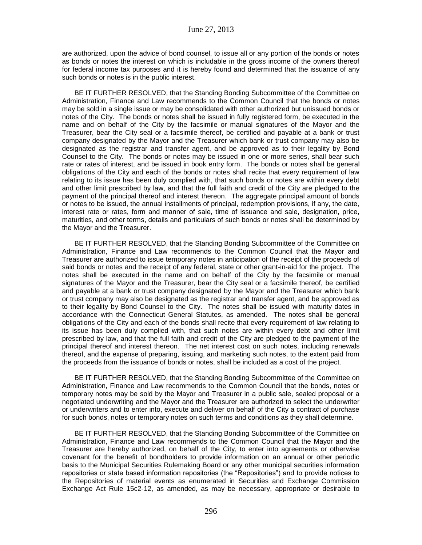are authorized, upon the advice of bond counsel, to issue all or any portion of the bonds or notes as bonds or notes the interest on which is includable in the gross income of the owners thereof for federal income tax purposes and it is hereby found and determined that the issuance of any such bonds or notes is in the public interest.

BE IT FURTHER RESOLVED, that the Standing Bonding Subcommittee of the Committee on Administration, Finance and Law recommends to the Common Council that the bonds or notes may be sold in a single issue or may be consolidated with other authorized but unissued bonds or notes of the City. The bonds or notes shall be issued in fully registered form, be executed in the name and on behalf of the City by the facsimile or manual signatures of the Mayor and the Treasurer, bear the City seal or a facsimile thereof, be certified and payable at a bank or trust company designated by the Mayor and the Treasurer which bank or trust company may also be designated as the registrar and transfer agent, and be approved as to their legality by Bond Counsel to the City. The bonds or notes may be issued in one or more series, shall bear such rate or rates of interest, and be issued in book entry form. The bonds or notes shall be general obligations of the City and each of the bonds or notes shall recite that every requirement of law relating to its issue has been duly complied with, that such bonds or notes are within every debt and other limit prescribed by law, and that the full faith and credit of the City are pledged to the payment of the principal thereof and interest thereon. The aggregate principal amount of bonds or notes to be issued, the annual installments of principal, redemption provisions, if any, the date, interest rate or rates, form and manner of sale, time of issuance and sale, designation, price, maturities, and other terms, details and particulars of such bonds or notes shall be determined by the Mayor and the Treasurer.

BE IT FURTHER RESOLVED, that the Standing Bonding Subcommittee of the Committee on Administration, Finance and Law recommends to the Common Council that the Mayor and Treasurer are authorized to issue temporary notes in anticipation of the receipt of the proceeds of said bonds or notes and the receipt of any federal, state or other grant-in-aid for the project. The notes shall be executed in the name and on behalf of the City by the facsimile or manual signatures of the Mayor and the Treasurer, bear the City seal or a facsimile thereof, be certified and payable at a bank or trust company designated by the Mayor and the Treasurer which bank or trust company may also be designated as the registrar and transfer agent, and be approved as to their legality by Bond Counsel to the City. The notes shall be issued with maturity dates in accordance with the Connecticut General Statutes, as amended. The notes shall be general obligations of the City and each of the bonds shall recite that every requirement of law relating to its issue has been duly complied with, that such notes are within every debt and other limit prescribed by law, and that the full faith and credit of the City are pledged to the payment of the principal thereof and interest thereon. The net interest cost on such notes, including renewals thereof, and the expense of preparing, issuing, and marketing such notes, to the extent paid from the proceeds from the issuance of bonds or notes, shall be included as a cost of the project.

BE IT FURTHER RESOLVED, that the Standing Bonding Subcommittee of the Committee on Administration, Finance and Law recommends to the Common Council that the bonds, notes or temporary notes may be sold by the Mayor and Treasurer in a public sale, sealed proposal or a negotiated underwriting and the Mayor and the Treasurer are authorized to select the underwriter or underwriters and to enter into, execute and deliver on behalf of the City a contract of purchase for such bonds, notes or temporary notes on such terms and conditions as they shall determine.

BE IT FURTHER RESOLVED, that the Standing Bonding Subcommittee of the Committee on Administration, Finance and Law recommends to the Common Council that the Mayor and the Treasurer are hereby authorized, on behalf of the City, to enter into agreements or otherwise covenant for the benefit of bondholders to provide information on an annual or other periodic basis to the Municipal Securities Rulemaking Board or any other municipal securities information repositories or state based information repositories (the "Repositories") and to provide notices to the Repositories of material events as enumerated in Securities and Exchange Commission Exchange Act Rule 15c2-12, as amended, as may be necessary, appropriate or desirable to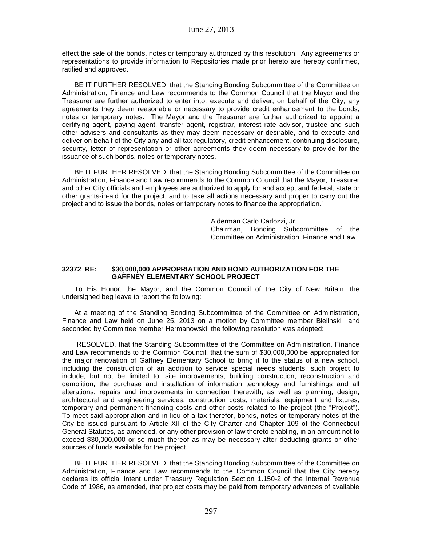effect the sale of the bonds, notes or temporary authorized by this resolution. Any agreements or representations to provide information to Repositories made prior hereto are hereby confirmed, ratified and approved.

BE IT FURTHER RESOLVED, that the Standing Bonding Subcommittee of the Committee on Administration, Finance and Law recommends to the Common Council that the Mayor and the Treasurer are further authorized to enter into, execute and deliver, on behalf of the City, any agreements they deem reasonable or necessary to provide credit enhancement to the bonds, notes or temporary notes. The Mayor and the Treasurer are further authorized to appoint a certifying agent, paying agent, transfer agent, registrar, interest rate advisor, trustee and such other advisers and consultants as they may deem necessary or desirable, and to execute and deliver on behalf of the City any and all tax regulatory, credit enhancement, continuing disclosure, security, letter of representation or other agreements they deem necessary to provide for the issuance of such bonds, notes or temporary notes.

BE IT FURTHER RESOLVED, that the Standing Bonding Subcommittee of the Committee on Administration, Finance and Law recommends to the Common Council that the Mayor, Treasurer and other City officials and employees are authorized to apply for and accept and federal, state or other grants-in-aid for the project, and to take all actions necessary and proper to carry out the project and to issue the bonds, notes or temporary notes to finance the appropriation."

> Alderman Carlo Carlozzi, Jr. Chairman, Bonding Subcommittee of the Committee on Administration, Finance and Law

## **32372 RE: \$30,000,000 APPROPRIATION AND BOND AUTHORIZATION FOR THE GAFFNEY ELEMENTARY SCHOOL PROJECT**

To His Honor, the Mayor, and the Common Council of the City of New Britain: the undersigned beg leave to report the following:

At a meeting of the Standing Bonding Subcommittee of the Committee on Administration, Finance and Law held on June 25, 2013 on a motion by Committee member Bielinski and seconded by Committee member Hermanowski, the following resolution was adopted:

"RESOLVED, that the Standing Subcommittee of the Committee on Administration, Finance and Law recommends to the Common Council, that the sum of \$30,000,000 be appropriated for the major renovation of Gaffney Elementary School to bring it to the status of a new school, including the construction of an addition to service special needs students, such project to include, but not be limited to, site improvements, building construction, reconstruction and demolition, the purchase and installation of information technology and furnishings and all alterations, repairs and improvements in connection therewith, as well as planning, design, architectural and engineering services, construction costs, materials, equipment and fixtures, temporary and permanent financing costs and other costs related to the project (the "Project"). To meet said appropriation and in lieu of a tax therefor, bonds, notes or temporary notes of the City be issued pursuant to Article XII of the City Charter and Chapter 109 of the Connecticut General Statutes, as amended, or any other provision of law thereto enabling, in an amount not to exceed \$30,000,000 or so much thereof as may be necessary after deducting grants or other sources of funds available for the project.

BE IT FURTHER RESOLVED, that the Standing Bonding Subcommittee of the Committee on Administration, Finance and Law recommends to the Common Council that the City hereby declares its official intent under Treasury Regulation Section 1.150-2 of the Internal Revenue Code of 1986, as amended, that project costs may be paid from temporary advances of available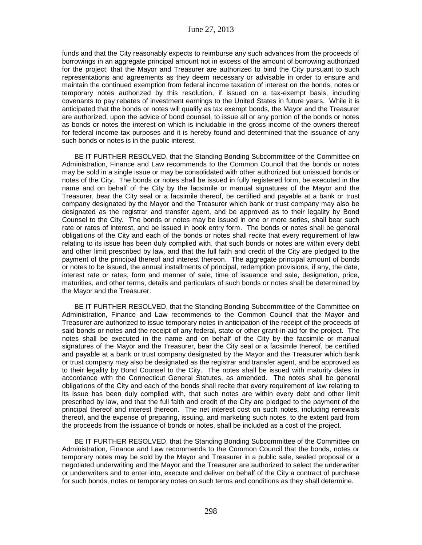funds and that the City reasonably expects to reimburse any such advances from the proceeds of borrowings in an aggregate principal amount not in excess of the amount of borrowing authorized for the project; that the Mayor and Treasurer are authorized to bind the City pursuant to such representations and agreements as they deem necessary or advisable in order to ensure and maintain the continued exemption from federal income taxation of interest on the bonds, notes or temporary notes authorized by this resolution, if issued on a tax-exempt basis, including covenants to pay rebates of investment earnings to the United States in future years. While it is anticipated that the bonds or notes will qualify as tax exempt bonds, the Mayor and the Treasurer are authorized, upon the advice of bond counsel, to issue all or any portion of the bonds or notes as bonds or notes the interest on which is includable in the gross income of the owners thereof for federal income tax purposes and it is hereby found and determined that the issuance of any such bonds or notes is in the public interest.

BE IT FURTHER RESOLVED, that the Standing Bonding Subcommittee of the Committee on Administration, Finance and Law recommends to the Common Council that the bonds or notes may be sold in a single issue or may be consolidated with other authorized but unissued bonds or notes of the City. The bonds or notes shall be issued in fully registered form, be executed in the name and on behalf of the City by the facsimile or manual signatures of the Mayor and the Treasurer, bear the City seal or a facsimile thereof, be certified and payable at a bank or trust company designated by the Mayor and the Treasurer which bank or trust company may also be designated as the registrar and transfer agent, and be approved as to their legality by Bond Counsel to the City. The bonds or notes may be issued in one or more series, shall bear such rate or rates of interest, and be issued in book entry form. The bonds or notes shall be general obligations of the City and each of the bonds or notes shall recite that every requirement of law relating to its issue has been duly complied with, that such bonds or notes are within every debt and other limit prescribed by law, and that the full faith and credit of the City are pledged to the payment of the principal thereof and interest thereon. The aggregate principal amount of bonds or notes to be issued, the annual installments of principal, redemption provisions, if any, the date, interest rate or rates, form and manner of sale, time of issuance and sale, designation, price, maturities, and other terms, details and particulars of such bonds or notes shall be determined by the Mayor and the Treasurer.

BE IT FURTHER RESOLVED, that the Standing Bonding Subcommittee of the Committee on Administration, Finance and Law recommends to the Common Council that the Mayor and Treasurer are authorized to issue temporary notes in anticipation of the receipt of the proceeds of said bonds or notes and the receipt of any federal, state or other grant-in-aid for the project. The notes shall be executed in the name and on behalf of the City by the facsimile or manual signatures of the Mayor and the Treasurer, bear the City seal or a facsimile thereof, be certified and payable at a bank or trust company designated by the Mayor and the Treasurer which bank or trust company may also be designated as the registrar and transfer agent, and be approved as to their legality by Bond Counsel to the City. The notes shall be issued with maturity dates in accordance with the Connecticut General Statutes, as amended. The notes shall be general obligations of the City and each of the bonds shall recite that every requirement of law relating to its issue has been duly complied with, that such notes are within every debt and other limit prescribed by law, and that the full faith and credit of the City are pledged to the payment of the principal thereof and interest thereon. The net interest cost on such notes, including renewals thereof, and the expense of preparing, issuing, and marketing such notes, to the extent paid from the proceeds from the issuance of bonds or notes, shall be included as a cost of the project.

BE IT FURTHER RESOLVED, that the Standing Bonding Subcommittee of the Committee on Administration, Finance and Law recommends to the Common Council that the bonds, notes or temporary notes may be sold by the Mayor and Treasurer in a public sale, sealed proposal or a negotiated underwriting and the Mayor and the Treasurer are authorized to select the underwriter or underwriters and to enter into, execute and deliver on behalf of the City a contract of purchase for such bonds, notes or temporary notes on such terms and conditions as they shall determine.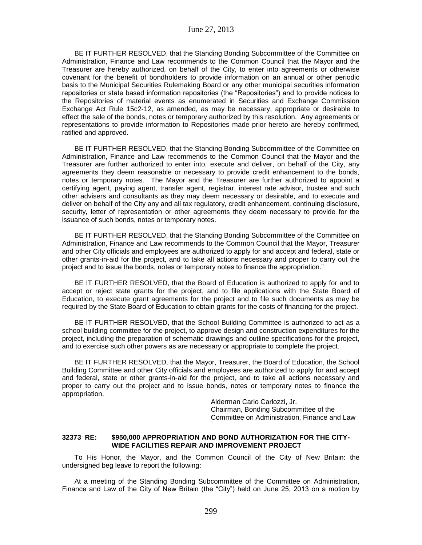BE IT FURTHER RESOLVED, that the Standing Bonding Subcommittee of the Committee on Administration, Finance and Law recommends to the Common Council that the Mayor and the Treasurer are hereby authorized, on behalf of the City, to enter into agreements or otherwise covenant for the benefit of bondholders to provide information on an annual or other periodic basis to the Municipal Securities Rulemaking Board or any other municipal securities information repositories or state based information repositories (the "Repositories") and to provide notices to the Repositories of material events as enumerated in Securities and Exchange Commission Exchange Act Rule 15c2-12, as amended, as may be necessary, appropriate or desirable to effect the sale of the bonds, notes or temporary authorized by this resolution. Any agreements or representations to provide information to Repositories made prior hereto are hereby confirmed, ratified and approved.

BE IT FURTHER RESOLVED, that the Standing Bonding Subcommittee of the Committee on Administration, Finance and Law recommends to the Common Council that the Mayor and the Treasurer are further authorized to enter into, execute and deliver, on behalf of the City, any agreements they deem reasonable or necessary to provide credit enhancement to the bonds, notes or temporary notes. The Mayor and the Treasurer are further authorized to appoint a certifying agent, paying agent, transfer agent, registrar, interest rate advisor, trustee and such other advisers and consultants as they may deem necessary or desirable, and to execute and deliver on behalf of the City any and all tax regulatory, credit enhancement, continuing disclosure, security, letter of representation or other agreements they deem necessary to provide for the issuance of such bonds, notes or temporary notes.

BE IT FURTHER RESOLVED, that the Standing Bonding Subcommittee of the Committee on Administration, Finance and Law recommends to the Common Council that the Mayor, Treasurer and other City officials and employees are authorized to apply for and accept and federal, state or other grants-in-aid for the project, and to take all actions necessary and proper to carry out the project and to issue the bonds, notes or temporary notes to finance the appropriation."

BE IT FURTHER RESOLVED, that the Board of Education is authorized to apply for and to accept or reject state grants for the project, and to file applications with the State Board of Education, to execute grant agreements for the project and to file such documents as may be required by the State Board of Education to obtain grants for the costs of financing for the project.

BE IT FURTHER RESOLVED, that the School Building Committee is authorized to act as a school building committee for the project, to approve design and construction expenditures for the project, including the preparation of schematic drawings and outline specifications for the project, and to exercise such other powers as are necessary or appropriate to complete the project.

BE IT FURTHER RESOLVED, that the Mayor, Treasurer, the Board of Education, the School Building Committee and other City officials and employees are authorized to apply for and accept and federal, state or other grants-in-aid for the project, and to take all actions necessary and proper to carry out the project and to issue bonds, notes or temporary notes to finance the appropriation.

> Alderman Carlo Carlozzi, Jr. Chairman, Bonding Subcommittee of the Committee on Administration, Finance and Law

### **32373 RE: \$950,000 APPROPRIATION AND BOND AUTHORIZATION FOR THE CITY-WIDE FACILITIES REPAIR AND IMPROVEMENT PROJECT**

To His Honor, the Mayor, and the Common Council of the City of New Britain: the undersigned beg leave to report the following:

At a meeting of the Standing Bonding Subcommittee of the Committee on Administration, Finance and Law of the City of New Britain (the "City") held on June 25, 2013 on a motion by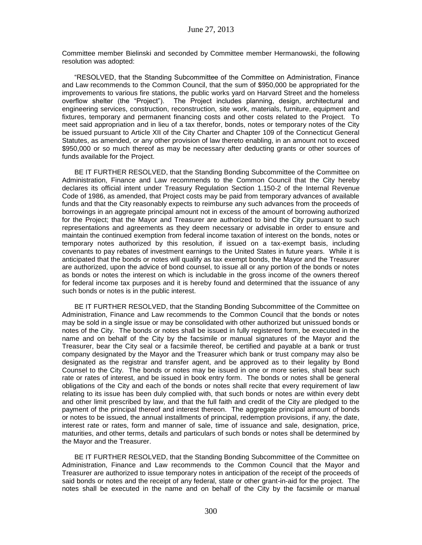Committee member Bielinski and seconded by Committee member Hermanowski, the following resolution was adopted:

"RESOLVED, that the Standing Subcommittee of the Committee on Administration, Finance and Law recommends to the Common Council, that the sum of \$950,000 be appropriated for the improvements to various fire stations, the public works yard on Harvard Street and the homeless overflow shelter (the "Project"). The Project includes planning, design, architectural and engineering services, construction, reconstruction, site work, materials, furniture, equipment and fixtures, temporary and permanent financing costs and other costs related to the Project. To meet said appropriation and in lieu of a tax therefor, bonds, notes or temporary notes of the City be issued pursuant to Article XII of the City Charter and Chapter 109 of the Connecticut General Statutes, as amended, or any other provision of law thereto enabling, in an amount not to exceed \$950,000 or so much thereof as may be necessary after deducting grants or other sources of funds available for the Project.

BE IT FURTHER RESOLVED, that the Standing Bonding Subcommittee of the Committee on Administration, Finance and Law recommends to the Common Council that the City hereby declares its official intent under Treasury Regulation Section 1.150-2 of the Internal Revenue Code of 1986, as amended, that Project costs may be paid from temporary advances of available funds and that the City reasonably expects to reimburse any such advances from the proceeds of borrowings in an aggregate principal amount not in excess of the amount of borrowing authorized for the Project; that the Mayor and Treasurer are authorized to bind the City pursuant to such representations and agreements as they deem necessary or advisable in order to ensure and maintain the continued exemption from federal income taxation of interest on the bonds, notes or temporary notes authorized by this resolution, if issued on a tax-exempt basis, including covenants to pay rebates of investment earnings to the United States in future years. While it is anticipated that the bonds or notes will qualify as tax exempt bonds, the Mayor and the Treasurer are authorized, upon the advice of bond counsel, to issue all or any portion of the bonds or notes as bonds or notes the interest on which is includable in the gross income of the owners thereof for federal income tax purposes and it is hereby found and determined that the issuance of any such bonds or notes is in the public interest.

BE IT FURTHER RESOLVED, that the Standing Bonding Subcommittee of the Committee on Administration, Finance and Law recommends to the Common Council that the bonds or notes may be sold in a single issue or may be consolidated with other authorized but unissued bonds or notes of the City. The bonds or notes shall be issued in fully registered form, be executed in the name and on behalf of the City by the facsimile or manual signatures of the Mayor and the Treasurer, bear the City seal or a facsimile thereof, be certified and payable at a bank or trust company designated by the Mayor and the Treasurer which bank or trust company may also be designated as the registrar and transfer agent, and be approved as to their legality by Bond Counsel to the City. The bonds or notes may be issued in one or more series, shall bear such rate or rates of interest, and be issued in book entry form. The bonds or notes shall be general obligations of the City and each of the bonds or notes shall recite that every requirement of law relating to its issue has been duly complied with, that such bonds or notes are within every debt and other limit prescribed by law, and that the full faith and credit of the City are pledged to the payment of the principal thereof and interest thereon. The aggregate principal amount of bonds or notes to be issued, the annual installments of principal, redemption provisions, if any, the date, interest rate or rates, form and manner of sale, time of issuance and sale, designation, price, maturities, and other terms, details and particulars of such bonds or notes shall be determined by the Mayor and the Treasurer.

BE IT FURTHER RESOLVED, that the Standing Bonding Subcommittee of the Committee on Administration, Finance and Law recommends to the Common Council that the Mayor and Treasurer are authorized to issue temporary notes in anticipation of the receipt of the proceeds of said bonds or notes and the receipt of any federal, state or other grant-in-aid for the project. The notes shall be executed in the name and on behalf of the City by the facsimile or manual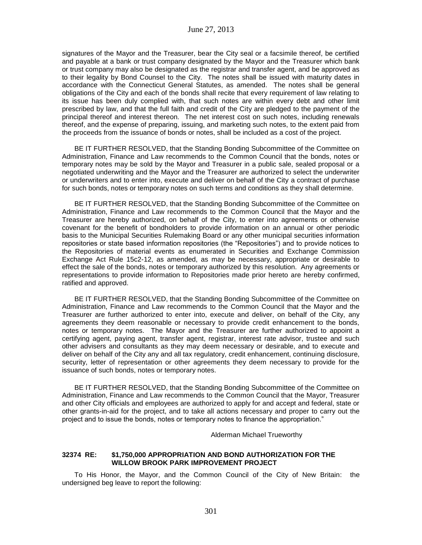signatures of the Mayor and the Treasurer, bear the City seal or a facsimile thereof, be certified and payable at a bank or trust company designated by the Mayor and the Treasurer which bank or trust company may also be designated as the registrar and transfer agent, and be approved as to their legality by Bond Counsel to the City. The notes shall be issued with maturity dates in accordance with the Connecticut General Statutes, as amended. The notes shall be general obligations of the City and each of the bonds shall recite that every requirement of law relating to its issue has been duly complied with, that such notes are within every debt and other limit prescribed by law, and that the full faith and credit of the City are pledged to the payment of the principal thereof and interest thereon. The net interest cost on such notes, including renewals thereof, and the expense of preparing, issuing, and marketing such notes, to the extent paid from the proceeds from the issuance of bonds or notes, shall be included as a cost of the project.

BE IT FURTHER RESOLVED, that the Standing Bonding Subcommittee of the Committee on Administration, Finance and Law recommends to the Common Council that the bonds, notes or temporary notes may be sold by the Mayor and Treasurer in a public sale, sealed proposal or a negotiated underwriting and the Mayor and the Treasurer are authorized to select the underwriter or underwriters and to enter into, execute and deliver on behalf of the City a contract of purchase for such bonds, notes or temporary notes on such terms and conditions as they shall determine.

BE IT FURTHER RESOLVED, that the Standing Bonding Subcommittee of the Committee on Administration, Finance and Law recommends to the Common Council that the Mayor and the Treasurer are hereby authorized, on behalf of the City, to enter into agreements or otherwise covenant for the benefit of bondholders to provide information on an annual or other periodic basis to the Municipal Securities Rulemaking Board or any other municipal securities information repositories or state based information repositories (the "Repositories") and to provide notices to the Repositories of material events as enumerated in Securities and Exchange Commission Exchange Act Rule 15c2-12, as amended, as may be necessary, appropriate or desirable to effect the sale of the bonds, notes or temporary authorized by this resolution. Any agreements or representations to provide information to Repositories made prior hereto are hereby confirmed, ratified and approved.

BE IT FURTHER RESOLVED, that the Standing Bonding Subcommittee of the Committee on Administration, Finance and Law recommends to the Common Council that the Mayor and the Treasurer are further authorized to enter into, execute and deliver, on behalf of the City, any agreements they deem reasonable or necessary to provide credit enhancement to the bonds, notes or temporary notes. The Mayor and the Treasurer are further authorized to appoint a certifying agent, paying agent, transfer agent, registrar, interest rate advisor, trustee and such other advisers and consultants as they may deem necessary or desirable, and to execute and deliver on behalf of the City any and all tax regulatory, credit enhancement, continuing disclosure, security, letter of representation or other agreements they deem necessary to provide for the issuance of such bonds, notes or temporary notes.

BE IT FURTHER RESOLVED, that the Standing Bonding Subcommittee of the Committee on Administration, Finance and Law recommends to the Common Council that the Mayor, Treasurer and other City officials and employees are authorized to apply for and accept and federal, state or other grants-in-aid for the project, and to take all actions necessary and proper to carry out the project and to issue the bonds, notes or temporary notes to finance the appropriation."

Alderman Michael Trueworthy

#### **32374 RE: \$1,750,000 APPROPRIATION AND BOND AUTHORIZATION FOR THE WILLOW BROOK PARK IMPROVEMENT PROJECT**

To His Honor, the Mayor, and the Common Council of the City of New Britain: the undersigned beg leave to report the following: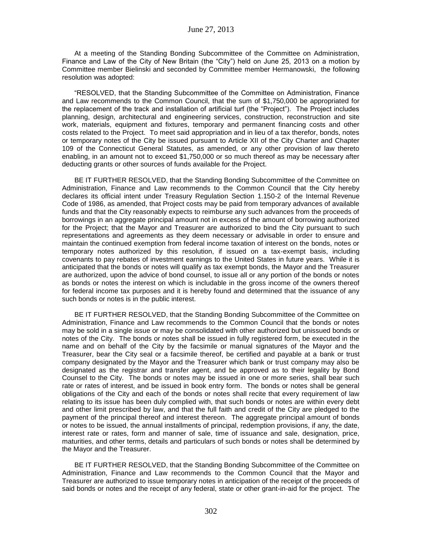At a meeting of the Standing Bonding Subcommittee of the Committee on Administration, Finance and Law of the City of New Britain (the "City") held on June 25, 2013 on a motion by Committee member Bielinski and seconded by Committee member Hermanowski, the following resolution was adopted:

"RESOLVED, that the Standing Subcommittee of the Committee on Administration, Finance and Law recommends to the Common Council, that the sum of \$1,750,000 be appropriated for the replacement of the track and installation of artificial turf (the "Project"). The Project includes planning, design, architectural and engineering services, construction, reconstruction and site work, materials, equipment and fixtures, temporary and permanent financing costs and other costs related to the Project. To meet said appropriation and in lieu of a tax therefor, bonds, notes or temporary notes of the City be issued pursuant to Article XII of the City Charter and Chapter 109 of the Connecticut General Statutes, as amended, or any other provision of law thereto enabling, in an amount not to exceed \$1,750,000 or so much thereof as may be necessary after deducting grants or other sources of funds available for the Project.

BE IT FURTHER RESOLVED, that the Standing Bonding Subcommittee of the Committee on Administration, Finance and Law recommends to the Common Council that the City hereby declares its official intent under Treasury Regulation Section 1.150-2 of the Internal Revenue Code of 1986, as amended, that Project costs may be paid from temporary advances of available funds and that the City reasonably expects to reimburse any such advances from the proceeds of borrowings in an aggregate principal amount not in excess of the amount of borrowing authorized for the Project; that the Mayor and Treasurer are authorized to bind the City pursuant to such representations and agreements as they deem necessary or advisable in order to ensure and maintain the continued exemption from federal income taxation of interest on the bonds, notes or temporary notes authorized by this resolution, if issued on a tax-exempt basis, including covenants to pay rebates of investment earnings to the United States in future years. While it is anticipated that the bonds or notes will qualify as tax exempt bonds, the Mayor and the Treasurer are authorized, upon the advice of bond counsel, to issue all or any portion of the bonds or notes as bonds or notes the interest on which is includable in the gross income of the owners thereof for federal income tax purposes and it is hereby found and determined that the issuance of any such bonds or notes is in the public interest.

BE IT FURTHER RESOLVED, that the Standing Bonding Subcommittee of the Committee on Administration, Finance and Law recommends to the Common Council that the bonds or notes may be sold in a single issue or may be consolidated with other authorized but unissued bonds or notes of the City. The bonds or notes shall be issued in fully registered form, be executed in the name and on behalf of the City by the facsimile or manual signatures of the Mayor and the Treasurer, bear the City seal or a facsimile thereof, be certified and payable at a bank or trust company designated by the Mayor and the Treasurer which bank or trust company may also be designated as the registrar and transfer agent, and be approved as to their legality by Bond Counsel to the City. The bonds or notes may be issued in one or more series, shall bear such rate or rates of interest, and be issued in book entry form. The bonds or notes shall be general obligations of the City and each of the bonds or notes shall recite that every requirement of law relating to its issue has been duly complied with, that such bonds or notes are within every debt and other limit prescribed by law, and that the full faith and credit of the City are pledged to the payment of the principal thereof and interest thereon. The aggregate principal amount of bonds or notes to be issued, the annual installments of principal, redemption provisions, if any, the date, interest rate or rates, form and manner of sale, time of issuance and sale, designation, price, maturities, and other terms, details and particulars of such bonds or notes shall be determined by the Mayor and the Treasurer.

BE IT FURTHER RESOLVED, that the Standing Bonding Subcommittee of the Committee on Administration, Finance and Law recommends to the Common Council that the Mayor and Treasurer are authorized to issue temporary notes in anticipation of the receipt of the proceeds of said bonds or notes and the receipt of any federal, state or other grant-in-aid for the project. The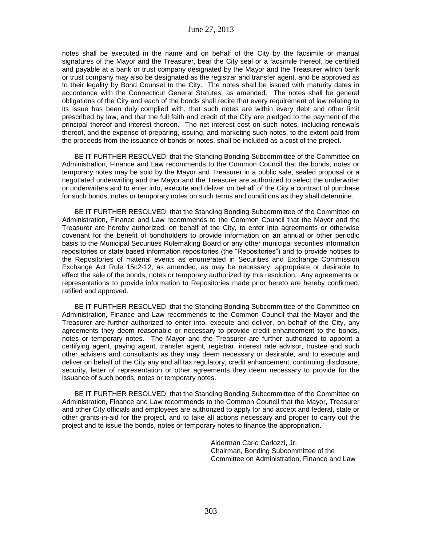notes shall be executed in the name and on behalf of the City by the facsimile or manual signatures of the Mayor and the Treasurer, bear the City seal or a facsimile thereof, be certified and payable at a bank or trust company designated by the Mayor and the Treasurer which bank or trust company may also be designated as the registrar and transfer agent, and be approved as to their legality by Bond Counsel to the City. The notes shall be issued with maturity dates in accordance with the Connecticut General Statutes, as amended. The notes shall be general obligations of the City and each of the bonds shall recite that every requirement of law relating to its issue has been duly complied with, that such notes are within every debt and other limit prescribed by law, and that the full faith and credit of the City are pledged to the payment of the principal thereof and interest thereon. The net interest cost on such notes, including renewals thereof, and the expense of preparing, issuing, and marketing such notes, to the extent paid from the proceeds from the issuance of bonds or notes, shall be included as a cost of the project.

BE IT FURTHER RESOLVED, that the Standing Bonding Subcommittee of the Committee on Administration, Finance and Law recommends to the Common Council that the bonds, notes or temporary notes may be sold by the Mayor and Treasurer in a public sale, sealed proposal or a negotiated underwriting and the Mayor and the Treasurer are authorized to select the underwriter or underwriters and to enter into, execute and deliver on behalf of the City a contract of purchase for such bonds, notes or temporary notes on such terms and conditions as they shall determine.

BE IT FURTHER RESOLVED, that the Standing Bonding Subcommittee of the Committee on Administration, Finance and Law recommends to the Common Council that the Mayor and the Treasurer are hereby authorized, on behalf of the City, to enter into agreements or otherwise covenant for the benefit of bondholders to provide information on an annual or other periodic basis to the Municipal Securities Rulemaking Board or any other municipal securities information repositories or state based information repositories (the "Repositories") and to provide notices to the Repositories of material events as enumerated in Securities and Exchange Commission Exchange Act Rule 15c2-12, as amended, as may be necessary, appropriate or desirable to effect the sale of the bonds, notes or temporary authorized by this resolution. Any agreements or representations to provide information to Repositories made prior hereto are hereby confirmed, ratified and approved.

BE IT FURTHER RESOLVED, that the Standing Bonding Subcommittee of the Committee on Administration, Finance and Law recommends to the Common Council that the Mayor and the Treasurer are further authorized to enter into, execute and deliver, on behalf of the City, any agreements they deem reasonable or necessary to provide credit enhancement to the bonds, notes or temporary notes. The Mayor and the Treasurer are further authorized to appoint a certifying agent, paying agent, transfer agent, registrar, interest rate advisor, trustee and such other advisers and consultants as they may deem necessary or desirable, and to execute and deliver on behalf of the City any and all tax regulatory, credit enhancement, continuing disclosure, security, letter of representation or other agreements they deem necessary to provide for the issuance of such bonds, notes or temporary notes.

BE IT FURTHER RESOLVED, that the Standing Bonding Subcommittee of the Committee on Administration, Finance and Law recommends to the Common Council that the Mayor, Treasurer and other City officials and employees are authorized to apply for and accept and federal, state or other grants-in-aid for the project, and to take all actions necessary and proper to carry out the project and to issue the bonds, notes or temporary notes to finance the appropriation."

> Alderman Carlo Carlozzi, Jr. Chairman, Bonding Subcommittee of the Committee on Administration, Finance and Law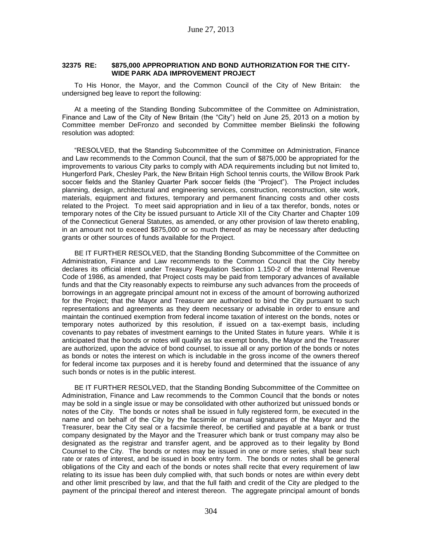#### **32375 RE: \$875,000 APPROPRIATION AND BOND AUTHORIZATION FOR THE CITY-WIDE PARK ADA IMPROVEMENT PROJECT**

To His Honor, the Mayor, and the Common Council of the City of New Britain: the undersigned beg leave to report the following:

At a meeting of the Standing Bonding Subcommittee of the Committee on Administration, Finance and Law of the City of New Britain (the "City") held on June 25, 2013 on a motion by Committee member DeFronzo and seconded by Committee member Bielinski the following resolution was adopted:

"RESOLVED, that the Standing Subcommittee of the Committee on Administration, Finance and Law recommends to the Common Council, that the sum of \$875,000 be appropriated for the improvements to various City parks to comply with ADA requirements including but not limited to, Hungerford Park, Chesley Park, the New Britain High School tennis courts, the Willow Brook Park soccer fields and the Stanley Quarter Park soccer fields (the "Project"). The Project includes planning, design, architectural and engineering services, construction, reconstruction, site work, materials, equipment and fixtures, temporary and permanent financing costs and other costs related to the Project. To meet said appropriation and in lieu of a tax therefor, bonds, notes or temporary notes of the City be issued pursuant to Article XII of the City Charter and Chapter 109 of the Connecticut General Statutes, as amended, or any other provision of law thereto enabling, in an amount not to exceed \$875,000 or so much thereof as may be necessary after deducting grants or other sources of funds available for the Project.

BE IT FURTHER RESOLVED, that the Standing Bonding Subcommittee of the Committee on Administration, Finance and Law recommends to the Common Council that the City hereby declares its official intent under Treasury Regulation Section 1.150-2 of the Internal Revenue Code of 1986, as amended, that Project costs may be paid from temporary advances of available funds and that the City reasonably expects to reimburse any such advances from the proceeds of borrowings in an aggregate principal amount not in excess of the amount of borrowing authorized for the Project; that the Mayor and Treasurer are authorized to bind the City pursuant to such representations and agreements as they deem necessary or advisable in order to ensure and maintain the continued exemption from federal income taxation of interest on the bonds, notes or temporary notes authorized by this resolution, if issued on a tax-exempt basis, including covenants to pay rebates of investment earnings to the United States in future years. While it is anticipated that the bonds or notes will qualify as tax exempt bonds, the Mayor and the Treasurer are authorized, upon the advice of bond counsel, to issue all or any portion of the bonds or notes as bonds or notes the interest on which is includable in the gross income of the owners thereof for federal income tax purposes and it is hereby found and determined that the issuance of any such bonds or notes is in the public interest.

BE IT FURTHER RESOLVED, that the Standing Bonding Subcommittee of the Committee on Administration, Finance and Law recommends to the Common Council that the bonds or notes may be sold in a single issue or may be consolidated with other authorized but unissued bonds or notes of the City. The bonds or notes shall be issued in fully registered form, be executed in the name and on behalf of the City by the facsimile or manual signatures of the Mayor and the Treasurer, bear the City seal or a facsimile thereof, be certified and payable at a bank or trust company designated by the Mayor and the Treasurer which bank or trust company may also be designated as the registrar and transfer agent, and be approved as to their legality by Bond Counsel to the City. The bonds or notes may be issued in one or more series, shall bear such rate or rates of interest, and be issued in book entry form. The bonds or notes shall be general obligations of the City and each of the bonds or notes shall recite that every requirement of law relating to its issue has been duly complied with, that such bonds or notes are within every debt and other limit prescribed by law, and that the full faith and credit of the City are pledged to the payment of the principal thereof and interest thereon. The aggregate principal amount of bonds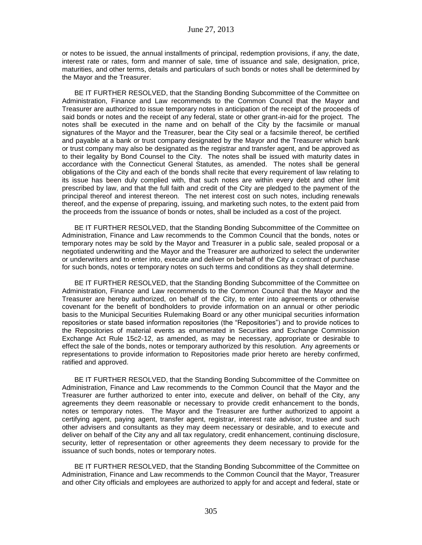or notes to be issued, the annual installments of principal, redemption provisions, if any, the date, interest rate or rates, form and manner of sale, time of issuance and sale, designation, price, maturities, and other terms, details and particulars of such bonds or notes shall be determined by the Mayor and the Treasurer.

BE IT FURTHER RESOLVED, that the Standing Bonding Subcommittee of the Committee on Administration, Finance and Law recommends to the Common Council that the Mayor and Treasurer are authorized to issue temporary notes in anticipation of the receipt of the proceeds of said bonds or notes and the receipt of any federal, state or other grant-in-aid for the project. The notes shall be executed in the name and on behalf of the City by the facsimile or manual signatures of the Mayor and the Treasurer, bear the City seal or a facsimile thereof, be certified and payable at a bank or trust company designated by the Mayor and the Treasurer which bank or trust company may also be designated as the registrar and transfer agent, and be approved as to their legality by Bond Counsel to the City. The notes shall be issued with maturity dates in accordance with the Connecticut General Statutes, as amended. The notes shall be general obligations of the City and each of the bonds shall recite that every requirement of law relating to its issue has been duly complied with, that such notes are within every debt and other limit prescribed by law, and that the full faith and credit of the City are pledged to the payment of the principal thereof and interest thereon. The net interest cost on such notes, including renewals thereof, and the expense of preparing, issuing, and marketing such notes, to the extent paid from the proceeds from the issuance of bonds or notes, shall be included as a cost of the project.

BE IT FURTHER RESOLVED, that the Standing Bonding Subcommittee of the Committee on Administration, Finance and Law recommends to the Common Council that the bonds, notes or temporary notes may be sold by the Mayor and Treasurer in a public sale, sealed proposal or a negotiated underwriting and the Mayor and the Treasurer are authorized to select the underwriter or underwriters and to enter into, execute and deliver on behalf of the City a contract of purchase for such bonds, notes or temporary notes on such terms and conditions as they shall determine.

BE IT FURTHER RESOLVED, that the Standing Bonding Subcommittee of the Committee on Administration, Finance and Law recommends to the Common Council that the Mayor and the Treasurer are hereby authorized, on behalf of the City, to enter into agreements or otherwise covenant for the benefit of bondholders to provide information on an annual or other periodic basis to the Municipal Securities Rulemaking Board or any other municipal securities information repositories or state based information repositories (the "Repositories") and to provide notices to the Repositories of material events as enumerated in Securities and Exchange Commission Exchange Act Rule 15c2-12, as amended, as may be necessary, appropriate or desirable to effect the sale of the bonds, notes or temporary authorized by this resolution. Any agreements or representations to provide information to Repositories made prior hereto are hereby confirmed, ratified and approved.

BE IT FURTHER RESOLVED, that the Standing Bonding Subcommittee of the Committee on Administration, Finance and Law recommends to the Common Council that the Mayor and the Treasurer are further authorized to enter into, execute and deliver, on behalf of the City, any agreements they deem reasonable or necessary to provide credit enhancement to the bonds, notes or temporary notes. The Mayor and the Treasurer are further authorized to appoint a certifying agent, paying agent, transfer agent, registrar, interest rate advisor, trustee and such other advisers and consultants as they may deem necessary or desirable, and to execute and deliver on behalf of the City any and all tax regulatory, credit enhancement, continuing disclosure, security, letter of representation or other agreements they deem necessary to provide for the issuance of such bonds, notes or temporary notes.

BE IT FURTHER RESOLVED, that the Standing Bonding Subcommittee of the Committee on Administration, Finance and Law recommends to the Common Council that the Mayor, Treasurer and other City officials and employees are authorized to apply for and accept and federal, state or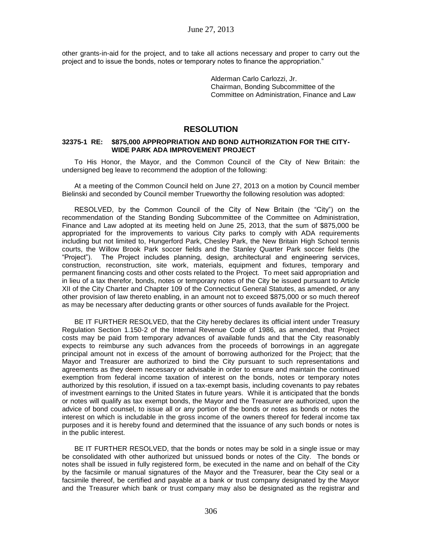other grants-in-aid for the project, and to take all actions necessary and proper to carry out the project and to issue the bonds, notes or temporary notes to finance the appropriation."

> Alderman Carlo Carlozzi, Jr. Chairman, Bonding Subcommittee of the Committee on Administration, Finance and Law

# **RESOLUTION**

#### **32375-1 RE: \$875,000 APPROPRIATION AND BOND AUTHORIZATION FOR THE CITY-WIDE PARK ADA IMPROVEMENT PROJECT**

To His Honor, the Mayor, and the Common Council of the City of New Britain: the undersigned beg leave to recommend the adoption of the following:

At a meeting of the Common Council held on June 27, 2013 on a motion by Council member Bielinski and seconded by Council member Trueworthy the following resolution was adopted:

RESOLVED, by the Common Council of the City of New Britain (the "City") on the recommendation of the Standing Bonding Subcommittee of the Committee on Administration, Finance and Law adopted at its meeting held on June 25, 2013, that the sum of \$875,000 be appropriated for the improvements to various City parks to comply with ADA requirements including but not limited to, Hungerford Park, Chesley Park, the New Britain High School tennis courts, the Willow Brook Park soccer fields and the Stanley Quarter Park soccer fields (the "Project"). The Project includes planning, design, architectural and engineering services, construction, reconstruction, site work, materials, equipment and fixtures, temporary and permanent financing costs and other costs related to the Project. To meet said appropriation and in lieu of a tax therefor, bonds, notes or temporary notes of the City be issued pursuant to Article XII of the City Charter and Chapter 109 of the Connecticut General Statutes, as amended, or any other provision of law thereto enabling, in an amount not to exceed \$875,000 or so much thereof as may be necessary after deducting grants or other sources of funds available for the Project.

BE IT FURTHER RESOLVED, that the City hereby declares its official intent under Treasury Regulation Section 1.150-2 of the Internal Revenue Code of 1986, as amended, that Project costs may be paid from temporary advances of available funds and that the City reasonably expects to reimburse any such advances from the proceeds of borrowings in an aggregate principal amount not in excess of the amount of borrowing authorized for the Project; that the Mayor and Treasurer are authorized to bind the City pursuant to such representations and agreements as they deem necessary or advisable in order to ensure and maintain the continued exemption from federal income taxation of interest on the bonds, notes or temporary notes authorized by this resolution, if issued on a tax-exempt basis, including covenants to pay rebates of investment earnings to the United States in future years. While it is anticipated that the bonds or notes will qualify as tax exempt bonds, the Mayor and the Treasurer are authorized, upon the advice of bond counsel, to issue all or any portion of the bonds or notes as bonds or notes the interest on which is includable in the gross income of the owners thereof for federal income tax purposes and it is hereby found and determined that the issuance of any such bonds or notes is in the public interest.

BE IT FURTHER RESOLVED, that the bonds or notes may be sold in a single issue or may be consolidated with other authorized but unissued bonds or notes of the City. The bonds or notes shall be issued in fully registered form, be executed in the name and on behalf of the City by the facsimile or manual signatures of the Mayor and the Treasurer, bear the City seal or a facsimile thereof, be certified and payable at a bank or trust company designated by the Mayor and the Treasurer which bank or trust company may also be designated as the registrar and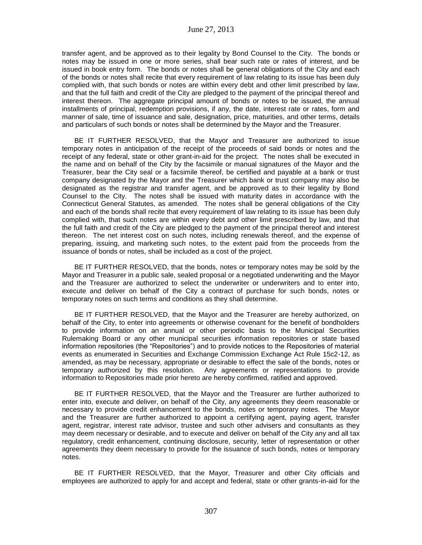transfer agent, and be approved as to their legality by Bond Counsel to the City. The bonds or notes may be issued in one or more series, shall bear such rate or rates of interest, and be issued in book entry form. The bonds or notes shall be general obligations of the City and each of the bonds or notes shall recite that every requirement of law relating to its issue has been duly complied with, that such bonds or notes are within every debt and other limit prescribed by law, and that the full faith and credit of the City are pledged to the payment of the principal thereof and interest thereon. The aggregate principal amount of bonds or notes to be issued, the annual installments of principal, redemption provisions, if any, the date, interest rate or rates, form and manner of sale, time of issuance and sale, designation, price, maturities, and other terms, details and particulars of such bonds or notes shall be determined by the Mayor and the Treasurer.

BE IT FURTHER RESOLVED, that the Mayor and Treasurer are authorized to issue temporary notes in anticipation of the receipt of the proceeds of said bonds or notes and the receipt of any federal, state or other grant-in-aid for the project. The notes shall be executed in the name and on behalf of the City by the facsimile or manual signatures of the Mayor and the Treasurer, bear the City seal or a facsimile thereof, be certified and payable at a bank or trust company designated by the Mayor and the Treasurer which bank or trust company may also be designated as the registrar and transfer agent, and be approved as to their legality by Bond Counsel to the City. The notes shall be issued with maturity dates in accordance with the Connecticut General Statutes, as amended. The notes shall be general obligations of the City and each of the bonds shall recite that every requirement of law relating to its issue has been duly complied with, that such notes are within every debt and other limit prescribed by law, and that the full faith and credit of the City are pledged to the payment of the principal thereof and interest thereon. The net interest cost on such notes, including renewals thereof, and the expense of preparing, issuing, and marketing such notes, to the extent paid from the proceeds from the issuance of bonds or notes, shall be included as a cost of the project.

BE IT FURTHER RESOLVED, that the bonds, notes or temporary notes may be sold by the Mayor and Treasurer in a public sale, sealed proposal or a negotiated underwriting and the Mayor and the Treasurer are authorized to select the underwriter or underwriters and to enter into, execute and deliver on behalf of the City a contract of purchase for such bonds, notes or temporary notes on such terms and conditions as they shall determine.

BE IT FURTHER RESOLVED, that the Mayor and the Treasurer are hereby authorized, on behalf of the City, to enter into agreements or otherwise covenant for the benefit of bondholders to provide information on an annual or other periodic basis to the Municipal Securities Rulemaking Board or any other municipal securities information repositories or state based information repositories (the "Repositories") and to provide notices to the Repositories of material events as enumerated in Securities and Exchange Commission Exchange Act Rule 15c2-12, as amended, as may be necessary, appropriate or desirable to effect the sale of the bonds, notes or temporary authorized by this resolution. Any agreements or representations to provide information to Repositories made prior hereto are hereby confirmed, ratified and approved.

BE IT FURTHER RESOLVED, that the Mayor and the Treasurer are further authorized to enter into, execute and deliver, on behalf of the City, any agreements they deem reasonable or necessary to provide credit enhancement to the bonds, notes or temporary notes. The Mayor and the Treasurer are further authorized to appoint a certifying agent, paying agent, transfer agent, registrar, interest rate advisor, trustee and such other advisers and consultants as they may deem necessary or desirable, and to execute and deliver on behalf of the City any and all tax regulatory, credit enhancement, continuing disclosure, security, letter of representation or other agreements they deem necessary to provide for the issuance of such bonds, notes or temporary notes.

BE IT FURTHER RESOLVED, that the Mayor, Treasurer and other City officials and employees are authorized to apply for and accept and federal, state or other grants-in-aid for the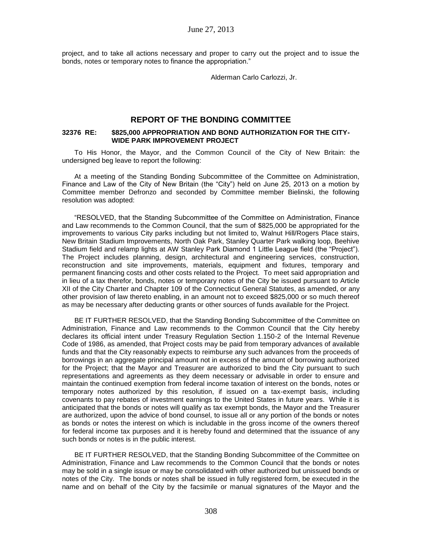project, and to take all actions necessary and proper to carry out the project and to issue the bonds, notes or temporary notes to finance the appropriation."

Alderman Carlo Carlozzi, Jr.

## **REPORT OF THE BONDING COMMITTEE**

### **32376 RE: \$825,000 APPROPRIATION AND BOND AUTHORIZATION FOR THE CITY-WIDE PARK IMPROVEMENT PROJECT**

To His Honor, the Mayor, and the Common Council of the City of New Britain: the undersigned beg leave to report the following:

At a meeting of the Standing Bonding Subcommittee of the Committee on Administration, Finance and Law of the City of New Britain (the "City") held on June 25, 2013 on a motion by Committee member Defronzo and seconded by Committee member Bielinski, the following resolution was adopted:

"RESOLVED, that the Standing Subcommittee of the Committee on Administration, Finance and Law recommends to the Common Council, that the sum of \$825,000 be appropriated for the improvements to various City parks including but not limited to, Walnut Hill/Rogers Place stairs, New Britain Stadium Improvements, North Oak Park, Stanley Quarter Park walking loop, Beehive Stadium field and relamp lights at AW Stanley Park Diamond 1 Little League field (the "Project"). The Project includes planning, design, architectural and engineering services, construction, reconstruction and site improvements, materials, equipment and fixtures, temporary and permanent financing costs and other costs related to the Project. To meet said appropriation and in lieu of a tax therefor, bonds, notes or temporary notes of the City be issued pursuant to Article XII of the City Charter and Chapter 109 of the Connecticut General Statutes, as amended, or any other provision of law thereto enabling, in an amount not to exceed \$825,000 or so much thereof as may be necessary after deducting grants or other sources of funds available for the Project.

BE IT FURTHER RESOLVED, that the Standing Bonding Subcommittee of the Committee on Administration, Finance and Law recommends to the Common Council that the City hereby declares its official intent under Treasury Regulation Section 1.150-2 of the Internal Revenue Code of 1986, as amended, that Project costs may be paid from temporary advances of available funds and that the City reasonably expects to reimburse any such advances from the proceeds of borrowings in an aggregate principal amount not in excess of the amount of borrowing authorized for the Project; that the Mayor and Treasurer are authorized to bind the City pursuant to such representations and agreements as they deem necessary or advisable in order to ensure and maintain the continued exemption from federal income taxation of interest on the bonds, notes or temporary notes authorized by this resolution, if issued on a tax-exempt basis, including covenants to pay rebates of investment earnings to the United States in future years. While it is anticipated that the bonds or notes will qualify as tax exempt bonds, the Mayor and the Treasurer are authorized, upon the advice of bond counsel, to issue all or any portion of the bonds or notes as bonds or notes the interest on which is includable in the gross income of the owners thereof for federal income tax purposes and it is hereby found and determined that the issuance of any such bonds or notes is in the public interest.

BE IT FURTHER RESOLVED, that the Standing Bonding Subcommittee of the Committee on Administration, Finance and Law recommends to the Common Council that the bonds or notes may be sold in a single issue or may be consolidated with other authorized but unissued bonds or notes of the City. The bonds or notes shall be issued in fully registered form, be executed in the name and on behalf of the City by the facsimile or manual signatures of the Mayor and the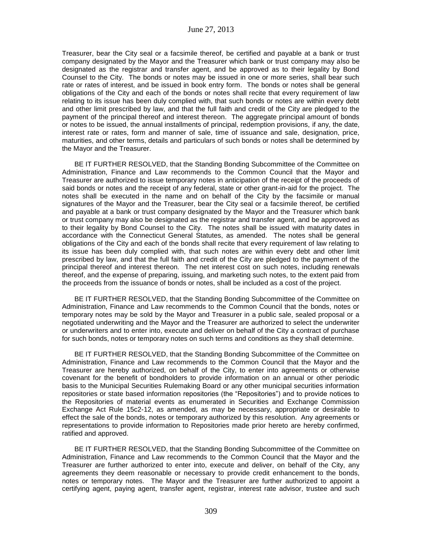Treasurer, bear the City seal or a facsimile thereof, be certified and payable at a bank or trust company designated by the Mayor and the Treasurer which bank or trust company may also be designated as the registrar and transfer agent, and be approved as to their legality by Bond Counsel to the City. The bonds or notes may be issued in one or more series, shall bear such rate or rates of interest, and be issued in book entry form. The bonds or notes shall be general obligations of the City and each of the bonds or notes shall recite that every requirement of law relating to its issue has been duly complied with, that such bonds or notes are within every debt and other limit prescribed by law, and that the full faith and credit of the City are pledged to the payment of the principal thereof and interest thereon. The aggregate principal amount of bonds or notes to be issued, the annual installments of principal, redemption provisions, if any, the date, interest rate or rates, form and manner of sale, time of issuance and sale, designation, price, maturities, and other terms, details and particulars of such bonds or notes shall be determined by the Mayor and the Treasurer.

BE IT FURTHER RESOLVED, that the Standing Bonding Subcommittee of the Committee on Administration, Finance and Law recommends to the Common Council that the Mayor and Treasurer are authorized to issue temporary notes in anticipation of the receipt of the proceeds of said bonds or notes and the receipt of any federal, state or other grant-in-aid for the project. The notes shall be executed in the name and on behalf of the City by the facsimile or manual signatures of the Mayor and the Treasurer, bear the City seal or a facsimile thereof, be certified and payable at a bank or trust company designated by the Mayor and the Treasurer which bank or trust company may also be designated as the registrar and transfer agent, and be approved as to their legality by Bond Counsel to the City. The notes shall be issued with maturity dates in accordance with the Connecticut General Statutes, as amended. The notes shall be general obligations of the City and each of the bonds shall recite that every requirement of law relating to its issue has been duly complied with, that such notes are within every debt and other limit prescribed by law, and that the full faith and credit of the City are pledged to the payment of the principal thereof and interest thereon. The net interest cost on such notes, including renewals thereof, and the expense of preparing, issuing, and marketing such notes, to the extent paid from the proceeds from the issuance of bonds or notes, shall be included as a cost of the project.

BE IT FURTHER RESOLVED, that the Standing Bonding Subcommittee of the Committee on Administration, Finance and Law recommends to the Common Council that the bonds, notes or temporary notes may be sold by the Mayor and Treasurer in a public sale, sealed proposal or a negotiated underwriting and the Mayor and the Treasurer are authorized to select the underwriter or underwriters and to enter into, execute and deliver on behalf of the City a contract of purchase for such bonds, notes or temporary notes on such terms and conditions as they shall determine.

BE IT FURTHER RESOLVED, that the Standing Bonding Subcommittee of the Committee on Administration, Finance and Law recommends to the Common Council that the Mayor and the Treasurer are hereby authorized, on behalf of the City, to enter into agreements or otherwise covenant for the benefit of bondholders to provide information on an annual or other periodic basis to the Municipal Securities Rulemaking Board or any other municipal securities information repositories or state based information repositories (the "Repositories") and to provide notices to the Repositories of material events as enumerated in Securities and Exchange Commission Exchange Act Rule 15c2-12, as amended, as may be necessary, appropriate or desirable to effect the sale of the bonds, notes or temporary authorized by this resolution. Any agreements or representations to provide information to Repositories made prior hereto are hereby confirmed, ratified and approved.

BE IT FURTHER RESOLVED, that the Standing Bonding Subcommittee of the Committee on Administration, Finance and Law recommends to the Common Council that the Mayor and the Treasurer are further authorized to enter into, execute and deliver, on behalf of the City, any agreements they deem reasonable or necessary to provide credit enhancement to the bonds, notes or temporary notes. The Mayor and the Treasurer are further authorized to appoint a certifying agent, paying agent, transfer agent, registrar, interest rate advisor, trustee and such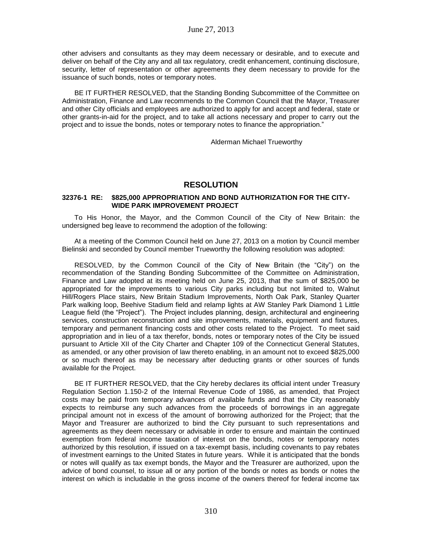other advisers and consultants as they may deem necessary or desirable, and to execute and deliver on behalf of the City any and all tax regulatory, credit enhancement, continuing disclosure, security, letter of representation or other agreements they deem necessary to provide for the issuance of such bonds, notes or temporary notes.

BE IT FURTHER RESOLVED, that the Standing Bonding Subcommittee of the Committee on Administration, Finance and Law recommends to the Common Council that the Mayor, Treasurer and other City officials and employees are authorized to apply for and accept and federal, state or other grants-in-aid for the project, and to take all actions necessary and proper to carry out the project and to issue the bonds, notes or temporary notes to finance the appropriation."

Alderman Michael Trueworthy

# **RESOLUTION**

## **32376-1 RE: \$825,000 APPROPRIATION AND BOND AUTHORIZATION FOR THE CITY-WIDE PARK IMPROVEMENT PROJECT**

To His Honor, the Mayor, and the Common Council of the City of New Britain: the undersigned beg leave to recommend the adoption of the following:

At a meeting of the Common Council held on June 27, 2013 on a motion by Council member Bielinski and seconded by Council member Trueworthy the following resolution was adopted:

RESOLVED, by the Common Council of the City of New Britain (the "City") on the recommendation of the Standing Bonding Subcommittee of the Committee on Administration, Finance and Law adopted at its meeting held on June 25, 2013, that the sum of \$825,000 be appropriated for the improvements to various City parks including but not limited to, Walnut Hill/Rogers Place stairs, New Britain Stadium Improvements, North Oak Park, Stanley Quarter Park walking loop, Beehive Stadium field and relamp lights at AW Stanley Park Diamond 1 Little League field (the "Project"). The Project includes planning, design, architectural and engineering services, construction reconstruction and site improvements, materials, equipment and fixtures, temporary and permanent financing costs and other costs related to the Project. To meet said appropriation and in lieu of a tax therefor, bonds, notes or temporary notes of the City be issued pursuant to Article XII of the City Charter and Chapter 109 of the Connecticut General Statutes, as amended, or any other provision of law thereto enabling, in an amount not to exceed \$825,000 or so much thereof as may be necessary after deducting grants or other sources of funds available for the Project.

BE IT FURTHER RESOLVED, that the City hereby declares its official intent under Treasury Regulation Section 1.150-2 of the Internal Revenue Code of 1986, as amended, that Project costs may be paid from temporary advances of available funds and that the City reasonably expects to reimburse any such advances from the proceeds of borrowings in an aggregate principal amount not in excess of the amount of borrowing authorized for the Project; that the Mayor and Treasurer are authorized to bind the City pursuant to such representations and agreements as they deem necessary or advisable in order to ensure and maintain the continued exemption from federal income taxation of interest on the bonds, notes or temporary notes authorized by this resolution, if issued on a tax-exempt basis, including covenants to pay rebates of investment earnings to the United States in future years. While it is anticipated that the bonds or notes will qualify as tax exempt bonds, the Mayor and the Treasurer are authorized, upon the advice of bond counsel, to issue all or any portion of the bonds or notes as bonds or notes the interest on which is includable in the gross income of the owners thereof for federal income tax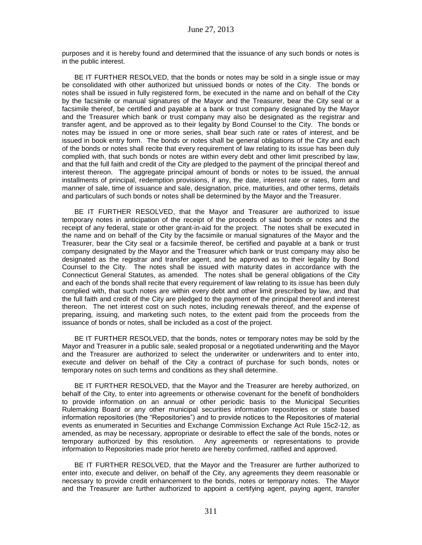purposes and it is hereby found and determined that the issuance of any such bonds or notes is in the public interest.

BE IT FURTHER RESOLVED, that the bonds or notes may be sold in a single issue or may be consolidated with other authorized but unissued bonds or notes of the City. The bonds or notes shall be issued in fully registered form, be executed in the name and on behalf of the City by the facsimile or manual signatures of the Mayor and the Treasurer, bear the City seal or a facsimile thereof, be certified and payable at a bank or trust company designated by the Mayor and the Treasurer which bank or trust company may also be designated as the registrar and transfer agent, and be approved as to their legality by Bond Counsel to the City. The bonds or notes may be issued in one or more series, shall bear such rate or rates of interest, and be issued in book entry form. The bonds or notes shall be general obligations of the City and each of the bonds or notes shall recite that every requirement of law relating to its issue has been duly complied with, that such bonds or notes are within every debt and other limit prescribed by law, and that the full faith and credit of the City are pledged to the payment of the principal thereof and interest thereon. The aggregate principal amount of bonds or notes to be issued, the annual installments of principal, redemption provisions, if any, the date, interest rate or rates, form and manner of sale, time of issuance and sale, designation, price, maturities, and other terms, details and particulars of such bonds or notes shall be determined by the Mayor and the Treasurer.

BE IT FURTHER RESOLVED, that the Mayor and Treasurer are authorized to issue temporary notes in anticipation of the receipt of the proceeds of said bonds or notes and the receipt of any federal, state or other grant-in-aid for the project. The notes shall be executed in the name and on behalf of the City by the facsimile or manual signatures of the Mayor and the Treasurer, bear the City seal or a facsimile thereof, be certified and payable at a bank or trust company designated by the Mayor and the Treasurer which bank or trust company may also be designated as the registrar and transfer agent, and be approved as to their legality by Bond Counsel to the City. The notes shall be issued with maturity dates in accordance with the Connecticut General Statutes, as amended. The notes shall be general obligations of the City and each of the bonds shall recite that every requirement of law relating to its issue has been duly complied with, that such notes are within every debt and other limit prescribed by law, and that the full faith and credit of the City are pledged to the payment of the principal thereof and interest thereon. The net interest cost on such notes, including renewals thereof, and the expense of preparing, issuing, and marketing such notes, to the extent paid from the proceeds from the issuance of bonds or notes, shall be included as a cost of the project.

BE IT FURTHER RESOLVED, that the bonds, notes or temporary notes may be sold by the Mayor and Treasurer in a public sale, sealed proposal or a negotiated underwriting and the Mayor and the Treasurer are authorized to select the underwriter or underwriters and to enter into, execute and deliver on behalf of the City a contract of purchase for such bonds, notes or temporary notes on such terms and conditions as they shall determine.

BE IT FURTHER RESOLVED, that the Mayor and the Treasurer are hereby authorized, on behalf of the City, to enter into agreements or otherwise covenant for the benefit of bondholders to provide information on an annual or other periodic basis to the Municipal Securities Rulemaking Board or any other municipal securities information repositories or state based information repositories (the "Repositories") and to provide notices to the Repositories of material events as enumerated in Securities and Exchange Commission Exchange Act Rule 15c2-12, as amended, as may be necessary, appropriate or desirable to effect the sale of the bonds, notes or temporary authorized by this resolution. Any agreements or representations to provide information to Repositories made prior hereto are hereby confirmed, ratified and approved.

BE IT FURTHER RESOLVED, that the Mayor and the Treasurer are further authorized to enter into, execute and deliver, on behalf of the City, any agreements they deem reasonable or necessary to provide credit enhancement to the bonds, notes or temporary notes. The Mayor and the Treasurer are further authorized to appoint a certifying agent, paying agent, transfer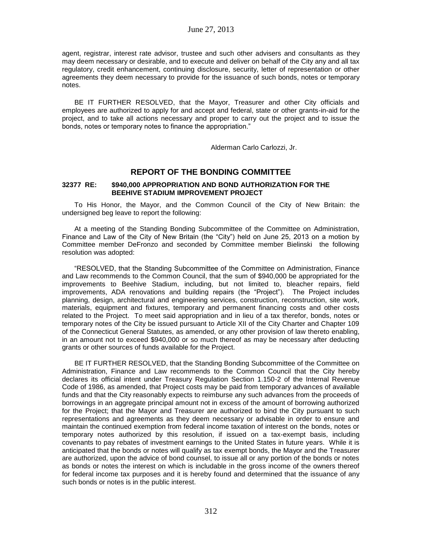agent, registrar, interest rate advisor, trustee and such other advisers and consultants as they may deem necessary or desirable, and to execute and deliver on behalf of the City any and all tax regulatory, credit enhancement, continuing disclosure, security, letter of representation or other agreements they deem necessary to provide for the issuance of such bonds, notes or temporary notes.

BE IT FURTHER RESOLVED, that the Mayor, Treasurer and other City officials and employees are authorized to apply for and accept and federal, state or other grants-in-aid for the project, and to take all actions necessary and proper to carry out the project and to issue the bonds, notes or temporary notes to finance the appropriation."

Alderman Carlo Carlozzi, Jr.

# **REPORT OF THE BONDING COMMITTEE**

### **32377 RE: \$940,000 APPROPRIATION AND BOND AUTHORIZATION FOR THE BEEHIVE STADIUM IMPROVEMENT PROJECT**

To His Honor, the Mayor, and the Common Council of the City of New Britain: the undersigned beg leave to report the following:

At a meeting of the Standing Bonding Subcommittee of the Committee on Administration, Finance and Law of the City of New Britain (the "City") held on June 25, 2013 on a motion by Committee member DeFronzo and seconded by Committee member Bielinski the following resolution was adopted:

"RESOLVED, that the Standing Subcommittee of the Committee on Administration, Finance and Law recommends to the Common Council, that the sum of \$940,000 be appropriated for the improvements to Beehive Stadium, including, but not limited to, bleacher repairs, field improvements, ADA renovations and building repairs (the "Project"). The Project includes planning, design, architectural and engineering services, construction, reconstruction, site work, materials, equipment and fixtures, temporary and permanent financing costs and other costs related to the Project. To meet said appropriation and in lieu of a tax therefor, bonds, notes or temporary notes of the City be issued pursuant to Article XII of the City Charter and Chapter 109 of the Connecticut General Statutes, as amended, or any other provision of law thereto enabling, in an amount not to exceed \$940,000 or so much thereof as may be necessary after deducting grants or other sources of funds available for the Project.

BE IT FURTHER RESOLVED, that the Standing Bonding Subcommittee of the Committee on Administration, Finance and Law recommends to the Common Council that the City hereby declares its official intent under Treasury Regulation Section 1.150-2 of the Internal Revenue Code of 1986, as amended, that Project costs may be paid from temporary advances of available funds and that the City reasonably expects to reimburse any such advances from the proceeds of borrowings in an aggregate principal amount not in excess of the amount of borrowing authorized for the Project; that the Mayor and Treasurer are authorized to bind the City pursuant to such representations and agreements as they deem necessary or advisable in order to ensure and maintain the continued exemption from federal income taxation of interest on the bonds, notes or temporary notes authorized by this resolution, if issued on a tax-exempt basis, including covenants to pay rebates of investment earnings to the United States in future years. While it is anticipated that the bonds or notes will qualify as tax exempt bonds, the Mayor and the Treasurer are authorized, upon the advice of bond counsel, to issue all or any portion of the bonds or notes as bonds or notes the interest on which is includable in the gross income of the owners thereof for federal income tax purposes and it is hereby found and determined that the issuance of any such bonds or notes is in the public interest.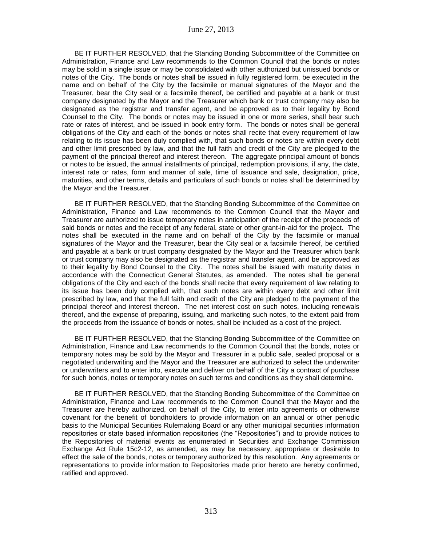BE IT FURTHER RESOLVED, that the Standing Bonding Subcommittee of the Committee on Administration, Finance and Law recommends to the Common Council that the bonds or notes may be sold in a single issue or may be consolidated with other authorized but unissued bonds or notes of the City. The bonds or notes shall be issued in fully registered form, be executed in the name and on behalf of the City by the facsimile or manual signatures of the Mayor and the Treasurer, bear the City seal or a facsimile thereof, be certified and payable at a bank or trust company designated by the Mayor and the Treasurer which bank or trust company may also be designated as the registrar and transfer agent, and be approved as to their legality by Bond Counsel to the City. The bonds or notes may be issued in one or more series, shall bear such rate or rates of interest, and be issued in book entry form. The bonds or notes shall be general obligations of the City and each of the bonds or notes shall recite that every requirement of law relating to its issue has been duly complied with, that such bonds or notes are within every debt and other limit prescribed by law, and that the full faith and credit of the City are pledged to the payment of the principal thereof and interest thereon. The aggregate principal amount of bonds or notes to be issued, the annual installments of principal, redemption provisions, if any, the date, interest rate or rates, form and manner of sale, time of issuance and sale, designation, price, maturities, and other terms, details and particulars of such bonds or notes shall be determined by the Mayor and the Treasurer.

BE IT FURTHER RESOLVED, that the Standing Bonding Subcommittee of the Committee on Administration, Finance and Law recommends to the Common Council that the Mayor and Treasurer are authorized to issue temporary notes in anticipation of the receipt of the proceeds of said bonds or notes and the receipt of any federal, state or other grant-in-aid for the project. The notes shall be executed in the name and on behalf of the City by the facsimile or manual signatures of the Mayor and the Treasurer, bear the City seal or a facsimile thereof, be certified and payable at a bank or trust company designated by the Mayor and the Treasurer which bank or trust company may also be designated as the registrar and transfer agent, and be approved as to their legality by Bond Counsel to the City. The notes shall be issued with maturity dates in accordance with the Connecticut General Statutes, as amended. The notes shall be general obligations of the City and each of the bonds shall recite that every requirement of law relating to its issue has been duly complied with, that such notes are within every debt and other limit prescribed by law, and that the full faith and credit of the City are pledged to the payment of the principal thereof and interest thereon. The net interest cost on such notes, including renewals thereof, and the expense of preparing, issuing, and marketing such notes, to the extent paid from the proceeds from the issuance of bonds or notes, shall be included as a cost of the project.

BE IT FURTHER RESOLVED, that the Standing Bonding Subcommittee of the Committee on Administration, Finance and Law recommends to the Common Council that the bonds, notes or temporary notes may be sold by the Mayor and Treasurer in a public sale, sealed proposal or a negotiated underwriting and the Mayor and the Treasurer are authorized to select the underwriter or underwriters and to enter into, execute and deliver on behalf of the City a contract of purchase for such bonds, notes or temporary notes on such terms and conditions as they shall determine.

BE IT FURTHER RESOLVED, that the Standing Bonding Subcommittee of the Committee on Administration, Finance and Law recommends to the Common Council that the Mayor and the Treasurer are hereby authorized, on behalf of the City, to enter into agreements or otherwise covenant for the benefit of bondholders to provide information on an annual or other periodic basis to the Municipal Securities Rulemaking Board or any other municipal securities information repositories or state based information repositories (the "Repositories") and to provide notices to the Repositories of material events as enumerated in Securities and Exchange Commission Exchange Act Rule 15c2-12, as amended, as may be necessary, appropriate or desirable to effect the sale of the bonds, notes or temporary authorized by this resolution. Any agreements or representations to provide information to Repositories made prior hereto are hereby confirmed, ratified and approved.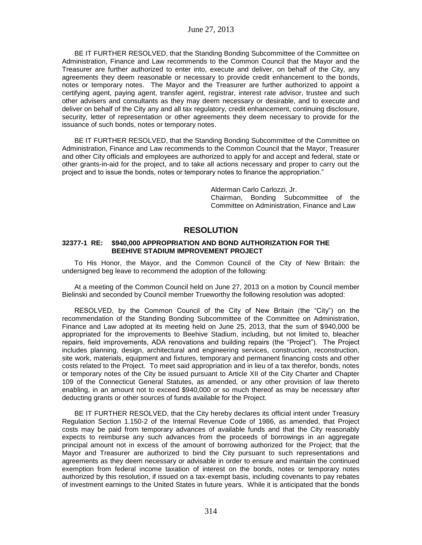BE IT FURTHER RESOLVED, that the Standing Bonding Subcommittee of the Committee on Administration, Finance and Law recommends to the Common Council that the Mayor and the Treasurer are further authorized to enter into, execute and deliver, on behalf of the City, any agreements they deem reasonable or necessary to provide credit enhancement to the bonds, notes or temporary notes. The Mayor and the Treasurer are further authorized to appoint a certifying agent, paying agent, transfer agent, registrar, interest rate advisor, trustee and such other advisers and consultants as they may deem necessary or desirable, and to execute and deliver on behalf of the City any and all tax regulatory, credit enhancement, continuing disclosure, security, letter of representation or other agreements they deem necessary to provide for the issuance of such bonds, notes or temporary notes.

BE IT FURTHER RESOLVED, that the Standing Bonding Subcommittee of the Committee on Administration, Finance and Law recommends to the Common Council that the Mayor, Treasurer and other City officials and employees are authorized to apply for and accept and federal, state or other grants-in-aid for the project, and to take all actions necessary and proper to carry out the project and to issue the bonds, notes or temporary notes to finance the appropriation."

> Alderman Carlo Carlozzi, Jr. Chairman, Bonding Subcommittee of the Committee on Administration, Finance and Law

# **RESOLUTION**

### **32377-1 RE: \$940,000 APPROPRIATION AND BOND AUTHORIZATION FOR THE BEEHIVE STADIUM IMPROVEMENT PROJECT**

To His Honor, the Mayor, and the Common Council of the City of New Britain: the undersigned beg leave to recommend the adoption of the following:

At a meeting of the Common Council held on June 27, 2013 on a motion by Council member Bielinski and seconded by Council member Trueworthy the following resolution was adopted:

RESOLVED, by the Common Council of the City of New Britain (the "City") on the recommendation of the Standing Bonding Subcommittee of the Committee on Administration, Finance and Law adopted at its meeting held on June 25, 2013, that the sum of \$940,000 be appropriated for the improvements to Beehive Stadium, including, but not limited to, bleacher repairs, field improvements, ADA renovations and building repairs (the "Project"). The Project includes planning, design, architectural and engineering services, construction, reconstruction, site work, materials, equipment and fixtures, temporary and permanent financing costs and other costs related to the Project. To meet said appropriation and in lieu of a tax therefor, bonds, notes or temporary notes of the City be issued pursuant to Article XII of the City Charter and Chapter 109 of the Connecticut General Statutes, as amended, or any other provision of law thereto enabling, in an amount not to exceed \$940,000 or so much thereof as may be necessary after deducting grants or other sources of funds available for the Project.

BE IT FURTHER RESOLVED, that the City hereby declares its official intent under Treasury Regulation Section 1.150-2 of the Internal Revenue Code of 1986, as amended, that Project costs may be paid from temporary advances of available funds and that the City reasonably expects to reimburse any such advances from the proceeds of borrowings in an aggregate principal amount not in excess of the amount of borrowing authorized for the Project; that the Mayor and Treasurer are authorized to bind the City pursuant to such representations and agreements as they deem necessary or advisable in order to ensure and maintain the continued exemption from federal income taxation of interest on the bonds, notes or temporary notes authorized by this resolution, if issued on a tax-exempt basis, including covenants to pay rebates of investment earnings to the United States in future years. While it is anticipated that the bonds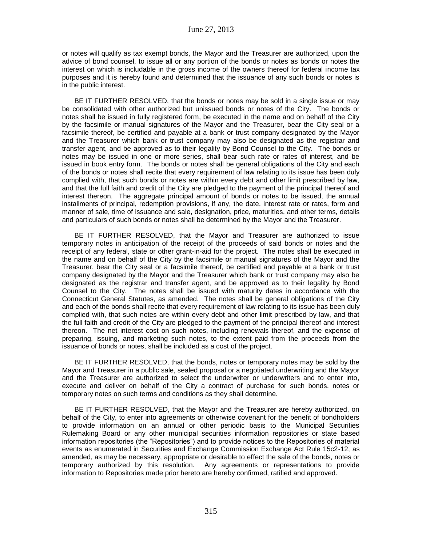or notes will qualify as tax exempt bonds, the Mayor and the Treasurer are authorized, upon the advice of bond counsel, to issue all or any portion of the bonds or notes as bonds or notes the interest on which is includable in the gross income of the owners thereof for federal income tax purposes and it is hereby found and determined that the issuance of any such bonds or notes is in the public interest.

BE IT FURTHER RESOLVED, that the bonds or notes may be sold in a single issue or may be consolidated with other authorized but unissued bonds or notes of the City. The bonds or notes shall be issued in fully registered form, be executed in the name and on behalf of the City by the facsimile or manual signatures of the Mayor and the Treasurer, bear the City seal or a facsimile thereof, be certified and payable at a bank or trust company designated by the Mayor and the Treasurer which bank or trust company may also be designated as the registrar and transfer agent, and be approved as to their legality by Bond Counsel to the City. The bonds or notes may be issued in one or more series, shall bear such rate or rates of interest, and be issued in book entry form. The bonds or notes shall be general obligations of the City and each of the bonds or notes shall recite that every requirement of law relating to its issue has been duly complied with, that such bonds or notes are within every debt and other limit prescribed by law, and that the full faith and credit of the City are pledged to the payment of the principal thereof and interest thereon. The aggregate principal amount of bonds or notes to be issued, the annual installments of principal, redemption provisions, if any, the date, interest rate or rates, form and manner of sale, time of issuance and sale, designation, price, maturities, and other terms, details and particulars of such bonds or notes shall be determined by the Mayor and the Treasurer.

BE IT FURTHER RESOLVED, that the Mayor and Treasurer are authorized to issue temporary notes in anticipation of the receipt of the proceeds of said bonds or notes and the receipt of any federal, state or other grant-in-aid for the project. The notes shall be executed in the name and on behalf of the City by the facsimile or manual signatures of the Mayor and the Treasurer, bear the City seal or a facsimile thereof, be certified and payable at a bank or trust company designated by the Mayor and the Treasurer which bank or trust company may also be designated as the registrar and transfer agent, and be approved as to their legality by Bond Counsel to the City. The notes shall be issued with maturity dates in accordance with the Connecticut General Statutes, as amended. The notes shall be general obligations of the City and each of the bonds shall recite that every requirement of law relating to its issue has been duly complied with, that such notes are within every debt and other limit prescribed by law, and that the full faith and credit of the City are pledged to the payment of the principal thereof and interest thereon. The net interest cost on such notes, including renewals thereof, and the expense of preparing, issuing, and marketing such notes, to the extent paid from the proceeds from the issuance of bonds or notes, shall be included as a cost of the project.

BE IT FURTHER RESOLVED, that the bonds, notes or temporary notes may be sold by the Mayor and Treasurer in a public sale, sealed proposal or a negotiated underwriting and the Mayor and the Treasurer are authorized to select the underwriter or underwriters and to enter into, execute and deliver on behalf of the City a contract of purchase for such bonds, notes or temporary notes on such terms and conditions as they shall determine.

BE IT FURTHER RESOLVED, that the Mayor and the Treasurer are hereby authorized, on behalf of the City, to enter into agreements or otherwise covenant for the benefit of bondholders to provide information on an annual or other periodic basis to the Municipal Securities Rulemaking Board or any other municipal securities information repositories or state based information repositories (the "Repositories") and to provide notices to the Repositories of material events as enumerated in Securities and Exchange Commission Exchange Act Rule 15c2-12, as amended, as may be necessary, appropriate or desirable to effect the sale of the bonds, notes or temporary authorized by this resolution. Any agreements or representations to provide information to Repositories made prior hereto are hereby confirmed, ratified and approved.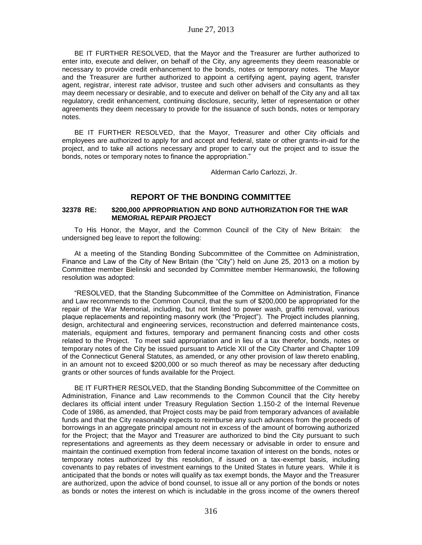BE IT FURTHER RESOLVED, that the Mayor and the Treasurer are further authorized to enter into, execute and deliver, on behalf of the City, any agreements they deem reasonable or necessary to provide credit enhancement to the bonds, notes or temporary notes. The Mayor and the Treasurer are further authorized to appoint a certifying agent, paying agent, transfer agent, registrar, interest rate advisor, trustee and such other advisers and consultants as they may deem necessary or desirable, and to execute and deliver on behalf of the City any and all tax regulatory, credit enhancement, continuing disclosure, security, letter of representation or other agreements they deem necessary to provide for the issuance of such bonds, notes or temporary notes.

BE IT FURTHER RESOLVED, that the Mayor, Treasurer and other City officials and employees are authorized to apply for and accept and federal, state or other grants-in-aid for the project, and to take all actions necessary and proper to carry out the project and to issue the bonds, notes or temporary notes to finance the appropriation."

Alderman Carlo Carlozzi, Jr.

# **REPORT OF THE BONDING COMMITTEE**

## **32378 RE: \$200,000 APPROPRIATION AND BOND AUTHORIZATION FOR THE WAR MEMORIAL REPAIR PROJECT**

To His Honor, the Mayor, and the Common Council of the City of New Britain: the undersigned beg leave to report the following:

At a meeting of the Standing Bonding Subcommittee of the Committee on Administration, Finance and Law of the City of New Britain (the "City") held on June 25, 2013 on a motion by Committee member Bielinski and seconded by Committee member Hermanowski, the following resolution was adopted:

"RESOLVED, that the Standing Subcommittee of the Committee on Administration, Finance and Law recommends to the Common Council, that the sum of \$200,000 be appropriated for the repair of the War Memorial, including, but not limited to power wash, graffiti removal, various plaque replacements and repointing masonry work (the "Project"). The Project includes planning, design, architectural and engineering services, reconstruction and deferred maintenance costs, materials, equipment and fixtures, temporary and permanent financing costs and other costs related to the Project. To meet said appropriation and in lieu of a tax therefor, bonds, notes or temporary notes of the City be issued pursuant to Article XII of the City Charter and Chapter 109 of the Connecticut General Statutes, as amended, or any other provision of law thereto enabling, in an amount not to exceed \$200,000 or so much thereof as may be necessary after deducting grants or other sources of funds available for the Project.

BE IT FURTHER RESOLVED, that the Standing Bonding Subcommittee of the Committee on Administration, Finance and Law recommends to the Common Council that the City hereby declares its official intent under Treasury Regulation Section 1.150-2 of the Internal Revenue Code of 1986, as amended, that Project costs may be paid from temporary advances of available funds and that the City reasonably expects to reimburse any such advances from the proceeds of borrowings in an aggregate principal amount not in excess of the amount of borrowing authorized for the Project; that the Mayor and Treasurer are authorized to bind the City pursuant to such representations and agreements as they deem necessary or advisable in order to ensure and maintain the continued exemption from federal income taxation of interest on the bonds, notes or temporary notes authorized by this resolution, if issued on a tax-exempt basis, including covenants to pay rebates of investment earnings to the United States in future years. While it is anticipated that the bonds or notes will qualify as tax exempt bonds, the Mayor and the Treasurer are authorized, upon the advice of bond counsel, to issue all or any portion of the bonds or notes as bonds or notes the interest on which is includable in the gross income of the owners thereof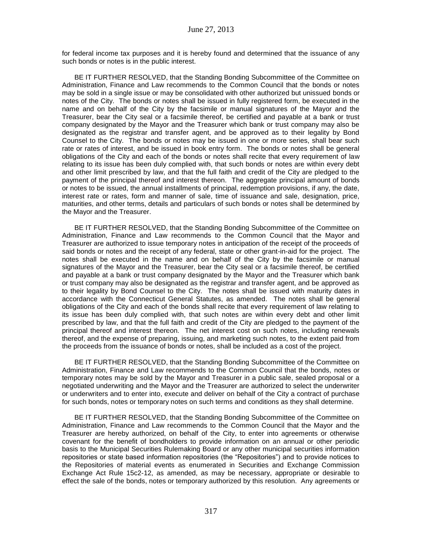for federal income tax purposes and it is hereby found and determined that the issuance of any such bonds or notes is in the public interest.

BE IT FURTHER RESOLVED, that the Standing Bonding Subcommittee of the Committee on Administration, Finance and Law recommends to the Common Council that the bonds or notes may be sold in a single issue or may be consolidated with other authorized but unissued bonds or notes of the City. The bonds or notes shall be issued in fully registered form, be executed in the name and on behalf of the City by the facsimile or manual signatures of the Mayor and the Treasurer, bear the City seal or a facsimile thereof, be certified and payable at a bank or trust company designated by the Mayor and the Treasurer which bank or trust company may also be designated as the registrar and transfer agent, and be approved as to their legality by Bond Counsel to the City. The bonds or notes may be issued in one or more series, shall bear such rate or rates of interest, and be issued in book entry form. The bonds or notes shall be general obligations of the City and each of the bonds or notes shall recite that every requirement of law relating to its issue has been duly complied with, that such bonds or notes are within every debt and other limit prescribed by law, and that the full faith and credit of the City are pledged to the payment of the principal thereof and interest thereon. The aggregate principal amount of bonds or notes to be issued, the annual installments of principal, redemption provisions, if any, the date, interest rate or rates, form and manner of sale, time of issuance and sale, designation, price, maturities, and other terms, details and particulars of such bonds or notes shall be determined by the Mayor and the Treasurer.

BE IT FURTHER RESOLVED, that the Standing Bonding Subcommittee of the Committee on Administration, Finance and Law recommends to the Common Council that the Mayor and Treasurer are authorized to issue temporary notes in anticipation of the receipt of the proceeds of said bonds or notes and the receipt of any federal, state or other grant-in-aid for the project. The notes shall be executed in the name and on behalf of the City by the facsimile or manual signatures of the Mayor and the Treasurer, bear the City seal or a facsimile thereof, be certified and payable at a bank or trust company designated by the Mayor and the Treasurer which bank or trust company may also be designated as the registrar and transfer agent, and be approved as to their legality by Bond Counsel to the City. The notes shall be issued with maturity dates in accordance with the Connecticut General Statutes, as amended. The notes shall be general obligations of the City and each of the bonds shall recite that every requirement of law relating to its issue has been duly complied with, that such notes are within every debt and other limit prescribed by law, and that the full faith and credit of the City are pledged to the payment of the principal thereof and interest thereon. The net interest cost on such notes, including renewals thereof, and the expense of preparing, issuing, and marketing such notes, to the extent paid from the proceeds from the issuance of bonds or notes, shall be included as a cost of the project.

BE IT FURTHER RESOLVED, that the Standing Bonding Subcommittee of the Committee on Administration, Finance and Law recommends to the Common Council that the bonds, notes or temporary notes may be sold by the Mayor and Treasurer in a public sale, sealed proposal or a negotiated underwriting and the Mayor and the Treasurer are authorized to select the underwriter or underwriters and to enter into, execute and deliver on behalf of the City a contract of purchase for such bonds, notes or temporary notes on such terms and conditions as they shall determine.

BE IT FURTHER RESOLVED, that the Standing Bonding Subcommittee of the Committee on Administration, Finance and Law recommends to the Common Council that the Mayor and the Treasurer are hereby authorized, on behalf of the City, to enter into agreements or otherwise covenant for the benefit of bondholders to provide information on an annual or other periodic basis to the Municipal Securities Rulemaking Board or any other municipal securities information repositories or state based information repositories (the "Repositories") and to provide notices to the Repositories of material events as enumerated in Securities and Exchange Commission Exchange Act Rule 15c2-12, as amended, as may be necessary, appropriate or desirable to effect the sale of the bonds, notes or temporary authorized by this resolution. Any agreements or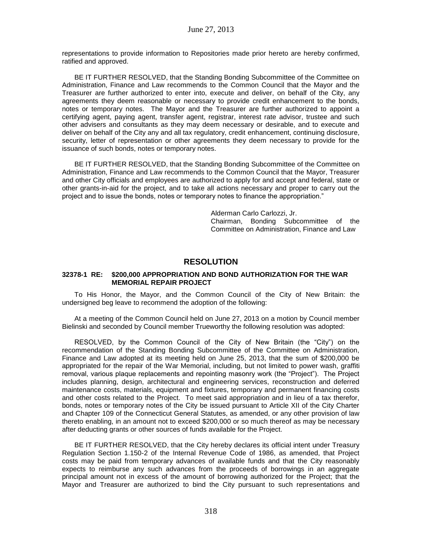representations to provide information to Repositories made prior hereto are hereby confirmed, ratified and approved.

BE IT FURTHER RESOLVED, that the Standing Bonding Subcommittee of the Committee on Administration, Finance and Law recommends to the Common Council that the Mayor and the Treasurer are further authorized to enter into, execute and deliver, on behalf of the City, any agreements they deem reasonable or necessary to provide credit enhancement to the bonds, notes or temporary notes. The Mayor and the Treasurer are further authorized to appoint a certifying agent, paying agent, transfer agent, registrar, interest rate advisor, trustee and such other advisers and consultants as they may deem necessary or desirable, and to execute and deliver on behalf of the City any and all tax regulatory, credit enhancement, continuing disclosure, security, letter of representation or other agreements they deem necessary to provide for the issuance of such bonds, notes or temporary notes.

BE IT FURTHER RESOLVED, that the Standing Bonding Subcommittee of the Committee on Administration, Finance and Law recommends to the Common Council that the Mayor, Treasurer and other City officials and employees are authorized to apply for and accept and federal, state or other grants-in-aid for the project, and to take all actions necessary and proper to carry out the project and to issue the bonds, notes or temporary notes to finance the appropriation."

> Alderman Carlo Carlozzi, Jr. Chairman, Bonding Subcommittee of the Committee on Administration, Finance and Law

# **RESOLUTION**

### **32378-1 RE: \$200,000 APPROPRIATION AND BOND AUTHORIZATION FOR THE WAR MEMORIAL REPAIR PROJECT**

To His Honor, the Mayor, and the Common Council of the City of New Britain: the undersigned beg leave to recommend the adoption of the following:

At a meeting of the Common Council held on June 27, 2013 on a motion by Council member Bielinski and seconded by Council member Trueworthy the following resolution was adopted:

RESOLVED, by the Common Council of the City of New Britain (the "City") on the recommendation of the Standing Bonding Subcommittee of the Committee on Administration, Finance and Law adopted at its meeting held on June 25, 2013, that the sum of \$200,000 be appropriated for the repair of the War Memorial, including, but not limited to power wash, graffiti removal, various plaque replacements and repointing masonry work (the "Project"). The Project includes planning, design, architectural and engineering services, reconstruction and deferred maintenance costs, materials, equipment and fixtures, temporary and permanent financing costs and other costs related to the Project. To meet said appropriation and in lieu of a tax therefor, bonds, notes or temporary notes of the City be issued pursuant to Article XII of the City Charter and Chapter 109 of the Connecticut General Statutes, as amended, or any other provision of law thereto enabling, in an amount not to exceed \$200,000 or so much thereof as may be necessary after deducting grants or other sources of funds available for the Project.

BE IT FURTHER RESOLVED, that the City hereby declares its official intent under Treasury Regulation Section 1.150-2 of the Internal Revenue Code of 1986, as amended, that Project costs may be paid from temporary advances of available funds and that the City reasonably expects to reimburse any such advances from the proceeds of borrowings in an aggregate principal amount not in excess of the amount of borrowing authorized for the Project; that the Mayor and Treasurer are authorized to bind the City pursuant to such representations and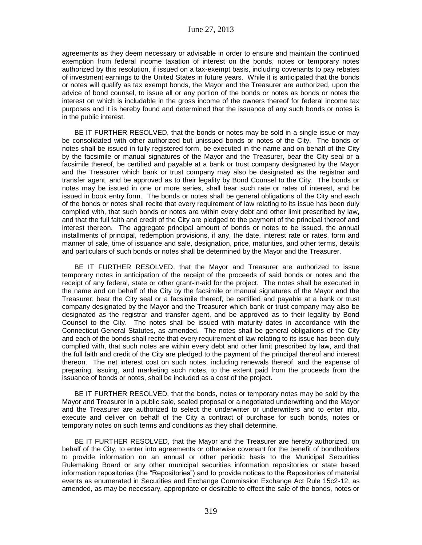agreements as they deem necessary or advisable in order to ensure and maintain the continued exemption from federal income taxation of interest on the bonds, notes or temporary notes authorized by this resolution, if issued on a tax-exempt basis, including covenants to pay rebates of investment earnings to the United States in future years. While it is anticipated that the bonds or notes will qualify as tax exempt bonds, the Mayor and the Treasurer are authorized, upon the advice of bond counsel, to issue all or any portion of the bonds or notes as bonds or notes the interest on which is includable in the gross income of the owners thereof for federal income tax purposes and it is hereby found and determined that the issuance of any such bonds or notes is in the public interest.

BE IT FURTHER RESOLVED, that the bonds or notes may be sold in a single issue or may be consolidated with other authorized but unissued bonds or notes of the City. The bonds or notes shall be issued in fully registered form, be executed in the name and on behalf of the City by the facsimile or manual signatures of the Mayor and the Treasurer, bear the City seal or a facsimile thereof, be certified and payable at a bank or trust company designated by the Mayor and the Treasurer which bank or trust company may also be designated as the registrar and transfer agent, and be approved as to their legality by Bond Counsel to the City. The bonds or notes may be issued in one or more series, shall bear such rate or rates of interest, and be issued in book entry form. The bonds or notes shall be general obligations of the City and each of the bonds or notes shall recite that every requirement of law relating to its issue has been duly complied with, that such bonds or notes are within every debt and other limit prescribed by law, and that the full faith and credit of the City are pledged to the payment of the principal thereof and interest thereon. The aggregate principal amount of bonds or notes to be issued, the annual installments of principal, redemption provisions, if any, the date, interest rate or rates, form and manner of sale, time of issuance and sale, designation, price, maturities, and other terms, details and particulars of such bonds or notes shall be determined by the Mayor and the Treasurer.

BE IT FURTHER RESOLVED, that the Mayor and Treasurer are authorized to issue temporary notes in anticipation of the receipt of the proceeds of said bonds or notes and the receipt of any federal, state or other grant-in-aid for the project. The notes shall be executed in the name and on behalf of the City by the facsimile or manual signatures of the Mayor and the Treasurer, bear the City seal or a facsimile thereof, be certified and payable at a bank or trust company designated by the Mayor and the Treasurer which bank or trust company may also be designated as the registrar and transfer agent, and be approved as to their legality by Bond Counsel to the City. The notes shall be issued with maturity dates in accordance with the Connecticut General Statutes, as amended. The notes shall be general obligations of the City and each of the bonds shall recite that every requirement of law relating to its issue has been duly complied with, that such notes are within every debt and other limit prescribed by law, and that the full faith and credit of the City are pledged to the payment of the principal thereof and interest thereon. The net interest cost on such notes, including renewals thereof, and the expense of preparing, issuing, and marketing such notes, to the extent paid from the proceeds from the issuance of bonds or notes, shall be included as a cost of the project.

BE IT FURTHER RESOLVED, that the bonds, notes or temporary notes may be sold by the Mayor and Treasurer in a public sale, sealed proposal or a negotiated underwriting and the Mayor and the Treasurer are authorized to select the underwriter or underwriters and to enter into, execute and deliver on behalf of the City a contract of purchase for such bonds, notes or temporary notes on such terms and conditions as they shall determine.

BE IT FURTHER RESOLVED, that the Mayor and the Treasurer are hereby authorized, on behalf of the City, to enter into agreements or otherwise covenant for the benefit of bondholders to provide information on an annual or other periodic basis to the Municipal Securities Rulemaking Board or any other municipal securities information repositories or state based information repositories (the "Repositories") and to provide notices to the Repositories of material events as enumerated in Securities and Exchange Commission Exchange Act Rule 15c2-12, as amended, as may be necessary, appropriate or desirable to effect the sale of the bonds, notes or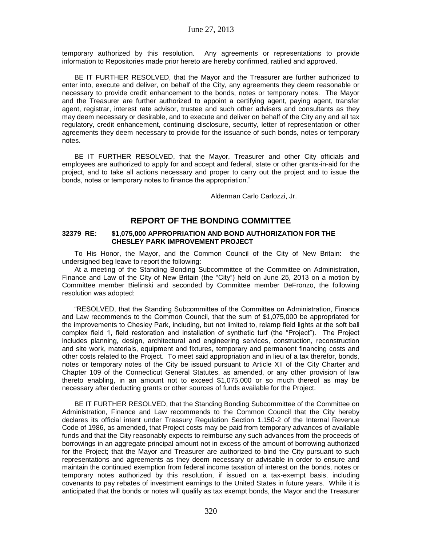temporary authorized by this resolution. Any agreements or representations to provide information to Repositories made prior hereto are hereby confirmed, ratified and approved.

BE IT FURTHER RESOLVED, that the Mayor and the Treasurer are further authorized to enter into, execute and deliver, on behalf of the City, any agreements they deem reasonable or necessary to provide credit enhancement to the bonds, notes or temporary notes. The Mayor and the Treasurer are further authorized to appoint a certifying agent, paying agent, transfer agent, registrar, interest rate advisor, trustee and such other advisers and consultants as they may deem necessary or desirable, and to execute and deliver on behalf of the City any and all tax regulatory, credit enhancement, continuing disclosure, security, letter of representation or other agreements they deem necessary to provide for the issuance of such bonds, notes or temporary notes.

BE IT FURTHER RESOLVED, that the Mayor, Treasurer and other City officials and employees are authorized to apply for and accept and federal, state or other grants-in-aid for the project, and to take all actions necessary and proper to carry out the project and to issue the bonds, notes or temporary notes to finance the appropriation."

Alderman Carlo Carlozzi, Jr.

# **REPORT OF THE BONDING COMMITTEE**

## **32379 RE: \$1,075,000 APPROPRIATION AND BOND AUTHORIZATION FOR THE CHESLEY PARK IMPROVEMENT PROJECT**

To His Honor, the Mayor, and the Common Council of the City of New Britain: the undersigned beg leave to report the following:

At a meeting of the Standing Bonding Subcommittee of the Committee on Administration, Finance and Law of the City of New Britain (the "City") held on June 25, 2013 on a motion by Committee member Bielinski and seconded by Committee member DeFronzo, the following resolution was adopted:

"RESOLVED, that the Standing Subcommittee of the Committee on Administration, Finance and Law recommends to the Common Council, that the sum of \$1,075,000 be appropriated for the improvements to Chesley Park, including, but not limited to, relamp field lights at the soft ball complex field 1, field restoration and installation of synthetic turf (the "Project"). The Project includes planning, design, architectural and engineering services, construction, reconstruction and site work, materials, equipment and fixtures, temporary and permanent financing costs and other costs related to the Project. To meet said appropriation and in lieu of a tax therefor, bonds, notes or temporary notes of the City be issued pursuant to Article XII of the City Charter and Chapter 109 of the Connecticut General Statutes, as amended, or any other provision of law thereto enabling, in an amount not to exceed \$1,075,000 or so much thereof as may be necessary after deducting grants or other sources of funds available for the Project.

BE IT FURTHER RESOLVED, that the Standing Bonding Subcommittee of the Committee on Administration, Finance and Law recommends to the Common Council that the City hereby declares its official intent under Treasury Regulation Section 1.150-2 of the Internal Revenue Code of 1986, as amended, that Project costs may be paid from temporary advances of available funds and that the City reasonably expects to reimburse any such advances from the proceeds of borrowings in an aggregate principal amount not in excess of the amount of borrowing authorized for the Project; that the Mayor and Treasurer are authorized to bind the City pursuant to such representations and agreements as they deem necessary or advisable in order to ensure and maintain the continued exemption from federal income taxation of interest on the bonds, notes or temporary notes authorized by this resolution, if issued on a tax-exempt basis, including covenants to pay rebates of investment earnings to the United States in future years. While it is anticipated that the bonds or notes will qualify as tax exempt bonds, the Mayor and the Treasurer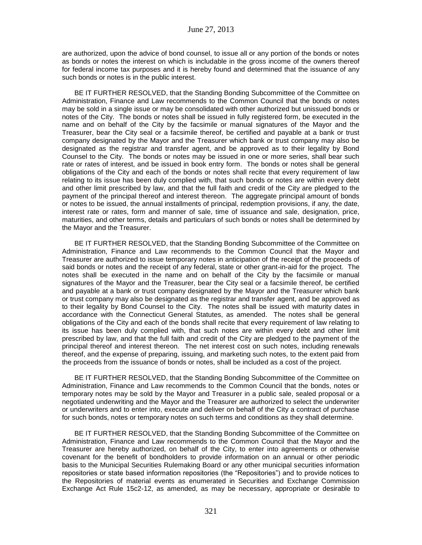are authorized, upon the advice of bond counsel, to issue all or any portion of the bonds or notes as bonds or notes the interest on which is includable in the gross income of the owners thereof for federal income tax purposes and it is hereby found and determined that the issuance of any such bonds or notes is in the public interest.

BE IT FURTHER RESOLVED, that the Standing Bonding Subcommittee of the Committee on Administration, Finance and Law recommends to the Common Council that the bonds or notes may be sold in a single issue or may be consolidated with other authorized but unissued bonds or notes of the City. The bonds or notes shall be issued in fully registered form, be executed in the name and on behalf of the City by the facsimile or manual signatures of the Mayor and the Treasurer, bear the City seal or a facsimile thereof, be certified and payable at a bank or trust company designated by the Mayor and the Treasurer which bank or trust company may also be designated as the registrar and transfer agent, and be approved as to their legality by Bond Counsel to the City. The bonds or notes may be issued in one or more series, shall bear such rate or rates of interest, and be issued in book entry form. The bonds or notes shall be general obligations of the City and each of the bonds or notes shall recite that every requirement of law relating to its issue has been duly complied with, that such bonds or notes are within every debt and other limit prescribed by law, and that the full faith and credit of the City are pledged to the payment of the principal thereof and interest thereon. The aggregate principal amount of bonds or notes to be issued, the annual installments of principal, redemption provisions, if any, the date, interest rate or rates, form and manner of sale, time of issuance and sale, designation, price, maturities, and other terms, details and particulars of such bonds or notes shall be determined by the Mayor and the Treasurer.

BE IT FURTHER RESOLVED, that the Standing Bonding Subcommittee of the Committee on Administration, Finance and Law recommends to the Common Council that the Mayor and Treasurer are authorized to issue temporary notes in anticipation of the receipt of the proceeds of said bonds or notes and the receipt of any federal, state or other grant-in-aid for the project. The notes shall be executed in the name and on behalf of the City by the facsimile or manual signatures of the Mayor and the Treasurer, bear the City seal or a facsimile thereof, be certified and payable at a bank or trust company designated by the Mayor and the Treasurer which bank or trust company may also be designated as the registrar and transfer agent, and be approved as to their legality by Bond Counsel to the City. The notes shall be issued with maturity dates in accordance with the Connecticut General Statutes, as amended. The notes shall be general obligations of the City and each of the bonds shall recite that every requirement of law relating to its issue has been duly complied with, that such notes are within every debt and other limit prescribed by law, and that the full faith and credit of the City are pledged to the payment of the principal thereof and interest thereon. The net interest cost on such notes, including renewals thereof, and the expense of preparing, issuing, and marketing such notes, to the extent paid from the proceeds from the issuance of bonds or notes, shall be included as a cost of the project.

BE IT FURTHER RESOLVED, that the Standing Bonding Subcommittee of the Committee on Administration, Finance and Law recommends to the Common Council that the bonds, notes or temporary notes may be sold by the Mayor and Treasurer in a public sale, sealed proposal or a negotiated underwriting and the Mayor and the Treasurer are authorized to select the underwriter or underwriters and to enter into, execute and deliver on behalf of the City a contract of purchase for such bonds, notes or temporary notes on such terms and conditions as they shall determine.

BE IT FURTHER RESOLVED, that the Standing Bonding Subcommittee of the Committee on Administration, Finance and Law recommends to the Common Council that the Mayor and the Treasurer are hereby authorized, on behalf of the City, to enter into agreements or otherwise covenant for the benefit of bondholders to provide information on an annual or other periodic basis to the Municipal Securities Rulemaking Board or any other municipal securities information repositories or state based information repositories (the "Repositories") and to provide notices to the Repositories of material events as enumerated in Securities and Exchange Commission Exchange Act Rule 15c2-12, as amended, as may be necessary, appropriate or desirable to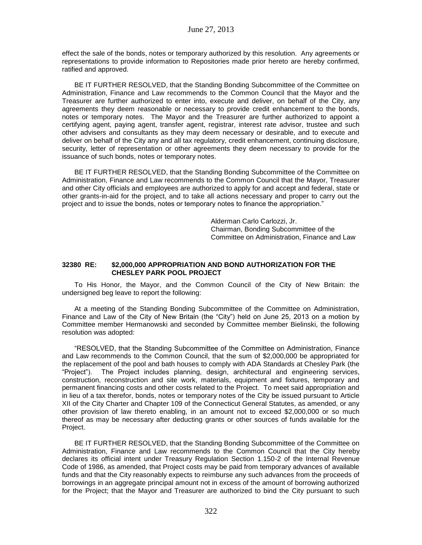effect the sale of the bonds, notes or temporary authorized by this resolution. Any agreements or representations to provide information to Repositories made prior hereto are hereby confirmed, ratified and approved.

BE IT FURTHER RESOLVED, that the Standing Bonding Subcommittee of the Committee on Administration, Finance and Law recommends to the Common Council that the Mayor and the Treasurer are further authorized to enter into, execute and deliver, on behalf of the City, any agreements they deem reasonable or necessary to provide credit enhancement to the bonds, notes or temporary notes. The Mayor and the Treasurer are further authorized to appoint a certifying agent, paying agent, transfer agent, registrar, interest rate advisor, trustee and such other advisers and consultants as they may deem necessary or desirable, and to execute and deliver on behalf of the City any and all tax regulatory, credit enhancement, continuing disclosure, security, letter of representation or other agreements they deem necessary to provide for the issuance of such bonds, notes or temporary notes.

BE IT FURTHER RESOLVED, that the Standing Bonding Subcommittee of the Committee on Administration, Finance and Law recommends to the Common Council that the Mayor, Treasurer and other City officials and employees are authorized to apply for and accept and federal, state or other grants-in-aid for the project, and to take all actions necessary and proper to carry out the project and to issue the bonds, notes or temporary notes to finance the appropriation."

> Alderman Carlo Carlozzi, Jr. Chairman, Bonding Subcommittee of the Committee on Administration, Finance and Law

### **32380 RE: \$2,000,000 APPROPRIATION AND BOND AUTHORIZATION FOR THE CHESLEY PARK POOL PROJECT**

To His Honor, the Mayor, and the Common Council of the City of New Britain: the undersigned beg leave to report the following:

At a meeting of the Standing Bonding Subcommittee of the Committee on Administration, Finance and Law of the City of New Britain (the "City") held on June 25, 2013 on a motion by Committee member Hermanowski and seconded by Committee member Bielinski, the following resolution was adopted:

"RESOLVED, that the Standing Subcommittee of the Committee on Administration, Finance and Law recommends to the Common Council, that the sum of \$2,000,000 be appropriated for the replacement of the pool and bath houses to comply with ADA Standards at Chesley Park (the "Project"). The Project includes planning, design, architectural and engineering services, construction, reconstruction and site work, materials, equipment and fixtures, temporary and permanent financing costs and other costs related to the Project. To meet said appropriation and in lieu of a tax therefor, bonds, notes or temporary notes of the City be issued pursuant to Article XII of the City Charter and Chapter 109 of the Connecticut General Statutes, as amended, or any other provision of law thereto enabling, in an amount not to exceed \$2,000,000 or so much thereof as may be necessary after deducting grants or other sources of funds available for the Project.

BE IT FURTHER RESOLVED, that the Standing Bonding Subcommittee of the Committee on Administration, Finance and Law recommends to the Common Council that the City hereby declares its official intent under Treasury Regulation Section 1.150-2 of the Internal Revenue Code of 1986, as amended, that Project costs may be paid from temporary advances of available funds and that the City reasonably expects to reimburse any such advances from the proceeds of borrowings in an aggregate principal amount not in excess of the amount of borrowing authorized for the Project; that the Mayor and Treasurer are authorized to bind the City pursuant to such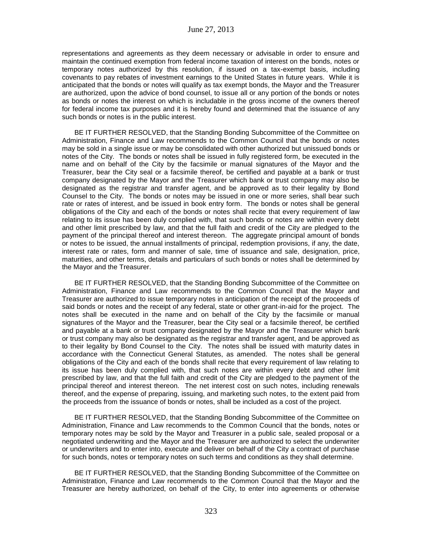representations and agreements as they deem necessary or advisable in order to ensure and maintain the continued exemption from federal income taxation of interest on the bonds, notes or temporary notes authorized by this resolution, if issued on a tax-exempt basis, including covenants to pay rebates of investment earnings to the United States in future years. While it is anticipated that the bonds or notes will qualify as tax exempt bonds, the Mayor and the Treasurer are authorized, upon the advice of bond counsel, to issue all or any portion of the bonds or notes as bonds or notes the interest on which is includable in the gross income of the owners thereof for federal income tax purposes and it is hereby found and determined that the issuance of any such bonds or notes is in the public interest.

BE IT FURTHER RESOLVED, that the Standing Bonding Subcommittee of the Committee on Administration, Finance and Law recommends to the Common Council that the bonds or notes may be sold in a single issue or may be consolidated with other authorized but unissued bonds or notes of the City. The bonds or notes shall be issued in fully registered form, be executed in the name and on behalf of the City by the facsimile or manual signatures of the Mayor and the Treasurer, bear the City seal or a facsimile thereof, be certified and payable at a bank or trust company designated by the Mayor and the Treasurer which bank or trust company may also be designated as the registrar and transfer agent, and be approved as to their legality by Bond Counsel to the City. The bonds or notes may be issued in one or more series, shall bear such rate or rates of interest, and be issued in book entry form. The bonds or notes shall be general obligations of the City and each of the bonds or notes shall recite that every requirement of law relating to its issue has been duly complied with, that such bonds or notes are within every debt and other limit prescribed by law, and that the full faith and credit of the City are pledged to the payment of the principal thereof and interest thereon. The aggregate principal amount of bonds or notes to be issued, the annual installments of principal, redemption provisions, if any, the date, interest rate or rates, form and manner of sale, time of issuance and sale, designation, price, maturities, and other terms, details and particulars of such bonds or notes shall be determined by the Mayor and the Treasurer.

BE IT FURTHER RESOLVED, that the Standing Bonding Subcommittee of the Committee on Administration, Finance and Law recommends to the Common Council that the Mayor and Treasurer are authorized to issue temporary notes in anticipation of the receipt of the proceeds of said bonds or notes and the receipt of any federal, state or other grant-in-aid for the project. The notes shall be executed in the name and on behalf of the City by the facsimile or manual signatures of the Mayor and the Treasurer, bear the City seal or a facsimile thereof, be certified and payable at a bank or trust company designated by the Mayor and the Treasurer which bank or trust company may also be designated as the registrar and transfer agent, and be approved as to their legality by Bond Counsel to the City. The notes shall be issued with maturity dates in accordance with the Connecticut General Statutes, as amended. The notes shall be general obligations of the City and each of the bonds shall recite that every requirement of law relating to its issue has been duly complied with, that such notes are within every debt and other limit prescribed by law, and that the full faith and credit of the City are pledged to the payment of the principal thereof and interest thereon. The net interest cost on such notes, including renewals thereof, and the expense of preparing, issuing, and marketing such notes, to the extent paid from the proceeds from the issuance of bonds or notes, shall be included as a cost of the project.

BE IT FURTHER RESOLVED, that the Standing Bonding Subcommittee of the Committee on Administration, Finance and Law recommends to the Common Council that the bonds, notes or temporary notes may be sold by the Mayor and Treasurer in a public sale, sealed proposal or a negotiated underwriting and the Mayor and the Treasurer are authorized to select the underwriter or underwriters and to enter into, execute and deliver on behalf of the City a contract of purchase for such bonds, notes or temporary notes on such terms and conditions as they shall determine.

BE IT FURTHER RESOLVED, that the Standing Bonding Subcommittee of the Committee on Administration, Finance and Law recommends to the Common Council that the Mayor and the Treasurer are hereby authorized, on behalf of the City, to enter into agreements or otherwise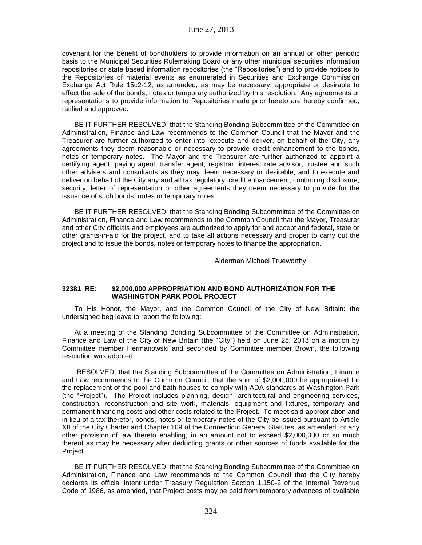covenant for the benefit of bondholders to provide information on an annual or other periodic basis to the Municipal Securities Rulemaking Board or any other municipal securities information repositories or state based information repositories (the "Repositories") and to provide notices to the Repositories of material events as enumerated in Securities and Exchange Commission Exchange Act Rule 15c2-12, as amended, as may be necessary, appropriate or desirable to effect the sale of the bonds, notes or temporary authorized by this resolution. Any agreements or representations to provide information to Repositories made prior hereto are hereby confirmed, ratified and approved.

BE IT FURTHER RESOLVED, that the Standing Bonding Subcommittee of the Committee on Administration, Finance and Law recommends to the Common Council that the Mayor and the Treasurer are further authorized to enter into, execute and deliver, on behalf of the City, any agreements they deem reasonable or necessary to provide credit enhancement to the bonds, notes or temporary notes. The Mayor and the Treasurer are further authorized to appoint a certifying agent, paying agent, transfer agent, registrar, interest rate advisor, trustee and such other advisers and consultants as they may deem necessary or desirable, and to execute and deliver on behalf of the City any and all tax regulatory, credit enhancement, continuing disclosure, security, letter of representation or other agreements they deem necessary to provide for the issuance of such bonds, notes or temporary notes.

BE IT FURTHER RESOLVED, that the Standing Bonding Subcommittee of the Committee on Administration, Finance and Law recommends to the Common Council that the Mayor, Treasurer and other City officials and employees are authorized to apply for and accept and federal, state or other grants-in-aid for the project, and to take all actions necessary and proper to carry out the project and to issue the bonds, notes or temporary notes to finance the appropriation."

Alderman Michael Trueworthy

### **32381 RE: \$2,000,000 APPROPRIATION AND BOND AUTHORIZATION FOR THE WASHINGTON PARK POOL PROJECT**

To His Honor, the Mayor, and the Common Council of the City of New Britain: the undersigned beg leave to report the following:

At a meeting of the Standing Bonding Subcommittee of the Committee on Administration, Finance and Law of the City of New Britain (the "City") held on June 25, 2013 on a motion by Committee member Hermanowski and seconded by Committee member Brown, the following resolution was adopted:

"RESOLVED, that the Standing Subcommittee of the Committee on Administration, Finance and Law recommends to the Common Council, that the sum of \$2,000,000 be appropriated for the replacement of the pool and bath houses to comply with ADA standards at Washington Park (the "Project"). The Project includes planning, design, architectural and engineering services, construction, reconstruction and site work, materials, equipment and fixtures, temporary and permanent financing costs and other costs related to the Project. To meet said appropriation and in lieu of a tax therefor, bonds, notes or temporary notes of the City be issued pursuant to Article XII of the City Charter and Chapter 109 of the Connecticut General Statutes, as amended, or any other provision of law thereto enabling, in an amount not to exceed \$2,000,000 or so much thereof as may be necessary after deducting grants or other sources of funds available for the Project.

BE IT FURTHER RESOLVED, that the Standing Bonding Subcommittee of the Committee on Administration, Finance and Law recommends to the Common Council that the City hereby declares its official intent under Treasury Regulation Section 1.150-2 of the Internal Revenue Code of 1986, as amended, that Project costs may be paid from temporary advances of available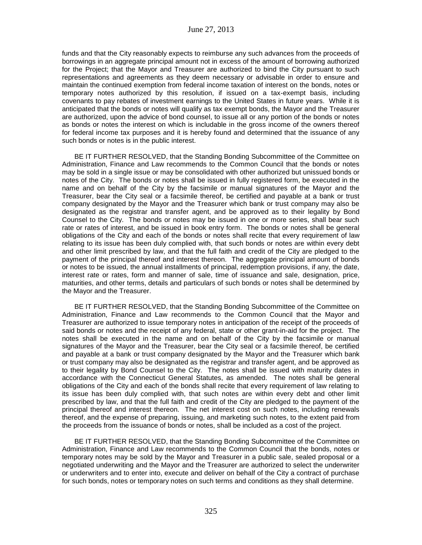funds and that the City reasonably expects to reimburse any such advances from the proceeds of borrowings in an aggregate principal amount not in excess of the amount of borrowing authorized for the Project; that the Mayor and Treasurer are authorized to bind the City pursuant to such representations and agreements as they deem necessary or advisable in order to ensure and maintain the continued exemption from federal income taxation of interest on the bonds, notes or temporary notes authorized by this resolution, if issued on a tax-exempt basis, including covenants to pay rebates of investment earnings to the United States in future years. While it is anticipated that the bonds or notes will qualify as tax exempt bonds, the Mayor and the Treasurer are authorized, upon the advice of bond counsel, to issue all or any portion of the bonds or notes as bonds or notes the interest on which is includable in the gross income of the owners thereof for federal income tax purposes and it is hereby found and determined that the issuance of any such bonds or notes is in the public interest.

BE IT FURTHER RESOLVED, that the Standing Bonding Subcommittee of the Committee on Administration, Finance and Law recommends to the Common Council that the bonds or notes may be sold in a single issue or may be consolidated with other authorized but unissued bonds or notes of the City. The bonds or notes shall be issued in fully registered form, be executed in the name and on behalf of the City by the facsimile or manual signatures of the Mayor and the Treasurer, bear the City seal or a facsimile thereof, be certified and payable at a bank or trust company designated by the Mayor and the Treasurer which bank or trust company may also be designated as the registrar and transfer agent, and be approved as to their legality by Bond Counsel to the City. The bonds or notes may be issued in one or more series, shall bear such rate or rates of interest, and be issued in book entry form. The bonds or notes shall be general obligations of the City and each of the bonds or notes shall recite that every requirement of law relating to its issue has been duly complied with, that such bonds or notes are within every debt and other limit prescribed by law, and that the full faith and credit of the City are pledged to the payment of the principal thereof and interest thereon. The aggregate principal amount of bonds or notes to be issued, the annual installments of principal, redemption provisions, if any, the date, interest rate or rates, form and manner of sale, time of issuance and sale, designation, price, maturities, and other terms, details and particulars of such bonds or notes shall be determined by the Mayor and the Treasurer.

BE IT FURTHER RESOLVED, that the Standing Bonding Subcommittee of the Committee on Administration, Finance and Law recommends to the Common Council that the Mayor and Treasurer are authorized to issue temporary notes in anticipation of the receipt of the proceeds of said bonds or notes and the receipt of any federal, state or other grant-in-aid for the project. The notes shall be executed in the name and on behalf of the City by the facsimile or manual signatures of the Mayor and the Treasurer, bear the City seal or a facsimile thereof, be certified and payable at a bank or trust company designated by the Mayor and the Treasurer which bank or trust company may also be designated as the registrar and transfer agent, and be approved as to their legality by Bond Counsel to the City. The notes shall be issued with maturity dates in accordance with the Connecticut General Statutes, as amended. The notes shall be general obligations of the City and each of the bonds shall recite that every requirement of law relating to its issue has been duly complied with, that such notes are within every debt and other limit prescribed by law, and that the full faith and credit of the City are pledged to the payment of the principal thereof and interest thereon. The net interest cost on such notes, including renewals thereof, and the expense of preparing, issuing, and marketing such notes, to the extent paid from the proceeds from the issuance of bonds or notes, shall be included as a cost of the project.

BE IT FURTHER RESOLVED, that the Standing Bonding Subcommittee of the Committee on Administration, Finance and Law recommends to the Common Council that the bonds, notes or temporary notes may be sold by the Mayor and Treasurer in a public sale, sealed proposal or a negotiated underwriting and the Mayor and the Treasurer are authorized to select the underwriter or underwriters and to enter into, execute and deliver on behalf of the City a contract of purchase for such bonds, notes or temporary notes on such terms and conditions as they shall determine.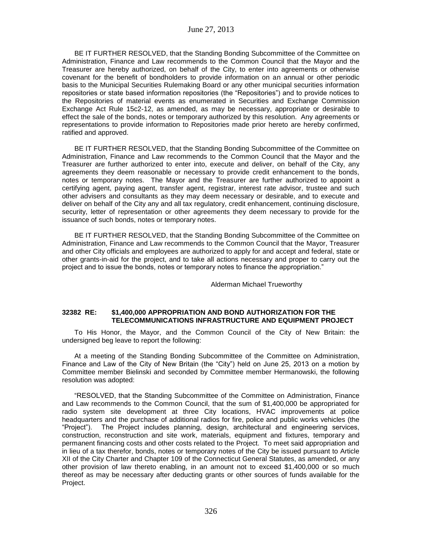BE IT FURTHER RESOLVED, that the Standing Bonding Subcommittee of the Committee on Administration, Finance and Law recommends to the Common Council that the Mayor and the Treasurer are hereby authorized, on behalf of the City, to enter into agreements or otherwise covenant for the benefit of bondholders to provide information on an annual or other periodic basis to the Municipal Securities Rulemaking Board or any other municipal securities information repositories or state based information repositories (the "Repositories") and to provide notices to the Repositories of material events as enumerated in Securities and Exchange Commission Exchange Act Rule 15c2-12, as amended, as may be necessary, appropriate or desirable to effect the sale of the bonds, notes or temporary authorized by this resolution. Any agreements or representations to provide information to Repositories made prior hereto are hereby confirmed, ratified and approved.

BE IT FURTHER RESOLVED, that the Standing Bonding Subcommittee of the Committee on Administration, Finance and Law recommends to the Common Council that the Mayor and the Treasurer are further authorized to enter into, execute and deliver, on behalf of the City, any agreements they deem reasonable or necessary to provide credit enhancement to the bonds, notes or temporary notes. The Mayor and the Treasurer are further authorized to appoint a certifying agent, paying agent, transfer agent, registrar, interest rate advisor, trustee and such other advisers and consultants as they may deem necessary or desirable, and to execute and deliver on behalf of the City any and all tax regulatory, credit enhancement, continuing disclosure, security, letter of representation or other agreements they deem necessary to provide for the issuance of such bonds, notes or temporary notes.

BE IT FURTHER RESOLVED, that the Standing Bonding Subcommittee of the Committee on Administration, Finance and Law recommends to the Common Council that the Mayor, Treasurer and other City officials and employees are authorized to apply for and accept and federal, state or other grants-in-aid for the project, and to take all actions necessary and proper to carry out the project and to issue the bonds, notes or temporary notes to finance the appropriation."

Alderman Michael Trueworthy

## **32382 RE: \$1,400,000 APPROPRIATION AND BOND AUTHORIZATION FOR THE TELECOMMUNICATIONS INFRASTRUCTURE AND EQUIPMENT PROJECT**

To His Honor, the Mayor, and the Common Council of the City of New Britain: the undersigned beg leave to report the following:

At a meeting of the Standing Bonding Subcommittee of the Committee on Administration, Finance and Law of the City of New Britain (the "City") held on June 25, 2013 on a motion by Committee member Bielinski and seconded by Committee member Hermanowski, the following resolution was adopted:

"RESOLVED, that the Standing Subcommittee of the Committee on Administration, Finance and Law recommends to the Common Council, that the sum of \$1,400,000 be appropriated for radio system site development at three City locations, HVAC improvements at police headquarters and the purchase of additional radios for fire, police and public works vehicles (the "Project"). The Project includes planning, design, architectural and engineering services, construction, reconstruction and site work, materials, equipment and fixtures, temporary and permanent financing costs and other costs related to the Project. To meet said appropriation and in lieu of a tax therefor, bonds, notes or temporary notes of the City be issued pursuant to Article XII of the City Charter and Chapter 109 of the Connecticut General Statutes, as amended, or any other provision of law thereto enabling, in an amount not to exceed \$1,400,000 or so much thereof as may be necessary after deducting grants or other sources of funds available for the Project.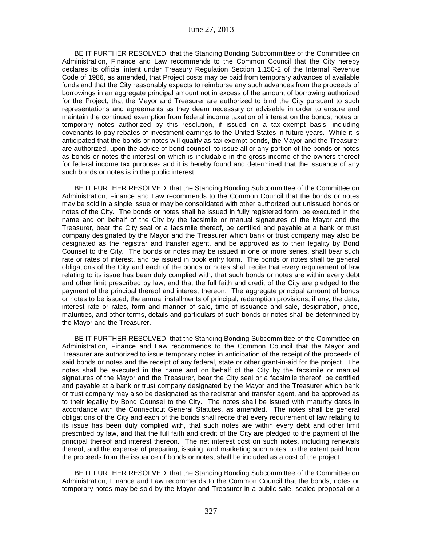BE IT FURTHER RESOLVED, that the Standing Bonding Subcommittee of the Committee on Administration, Finance and Law recommends to the Common Council that the City hereby declares its official intent under Treasury Regulation Section 1.150-2 of the Internal Revenue Code of 1986, as amended, that Project costs may be paid from temporary advances of available funds and that the City reasonably expects to reimburse any such advances from the proceeds of borrowings in an aggregate principal amount not in excess of the amount of borrowing authorized for the Project; that the Mayor and Treasurer are authorized to bind the City pursuant to such representations and agreements as they deem necessary or advisable in order to ensure and maintain the continued exemption from federal income taxation of interest on the bonds, notes or temporary notes authorized by this resolution, if issued on a tax-exempt basis, including covenants to pay rebates of investment earnings to the United States in future years. While it is anticipated that the bonds or notes will qualify as tax exempt bonds, the Mayor and the Treasurer are authorized, upon the advice of bond counsel, to issue all or any portion of the bonds or notes as bonds or notes the interest on which is includable in the gross income of the owners thereof for federal income tax purposes and it is hereby found and determined that the issuance of any such bonds or notes is in the public interest.

BE IT FURTHER RESOLVED, that the Standing Bonding Subcommittee of the Committee on Administration, Finance and Law recommends to the Common Council that the bonds or notes may be sold in a single issue or may be consolidated with other authorized but unissued bonds or notes of the City. The bonds or notes shall be issued in fully registered form, be executed in the name and on behalf of the City by the facsimile or manual signatures of the Mayor and the Treasurer, bear the City seal or a facsimile thereof, be certified and payable at a bank or trust company designated by the Mayor and the Treasurer which bank or trust company may also be designated as the registrar and transfer agent, and be approved as to their legality by Bond Counsel to the City. The bonds or notes may be issued in one or more series, shall bear such rate or rates of interest, and be issued in book entry form. The bonds or notes shall be general obligations of the City and each of the bonds or notes shall recite that every requirement of law relating to its issue has been duly complied with, that such bonds or notes are within every debt and other limit prescribed by law, and that the full faith and credit of the City are pledged to the payment of the principal thereof and interest thereon. The aggregate principal amount of bonds or notes to be issued, the annual installments of principal, redemption provisions, if any, the date, interest rate or rates, form and manner of sale, time of issuance and sale, designation, price, maturities, and other terms, details and particulars of such bonds or notes shall be determined by the Mayor and the Treasurer.

BE IT FURTHER RESOLVED, that the Standing Bonding Subcommittee of the Committee on Administration, Finance and Law recommends to the Common Council that the Mayor and Treasurer are authorized to issue temporary notes in anticipation of the receipt of the proceeds of said bonds or notes and the receipt of any federal, state or other grant-in-aid for the project. The notes shall be executed in the name and on behalf of the City by the facsimile or manual signatures of the Mayor and the Treasurer, bear the City seal or a facsimile thereof, be certified and payable at a bank or trust company designated by the Mayor and the Treasurer which bank or trust company may also be designated as the registrar and transfer agent, and be approved as to their legality by Bond Counsel to the City. The notes shall be issued with maturity dates in accordance with the Connecticut General Statutes, as amended. The notes shall be general obligations of the City and each of the bonds shall recite that every requirement of law relating to its issue has been duly complied with, that such notes are within every debt and other limit prescribed by law, and that the full faith and credit of the City are pledged to the payment of the principal thereof and interest thereon. The net interest cost on such notes, including renewals thereof, and the expense of preparing, issuing, and marketing such notes, to the extent paid from the proceeds from the issuance of bonds or notes, shall be included as a cost of the project.

BE IT FURTHER RESOLVED, that the Standing Bonding Subcommittee of the Committee on Administration, Finance and Law recommends to the Common Council that the bonds, notes or temporary notes may be sold by the Mayor and Treasurer in a public sale, sealed proposal or a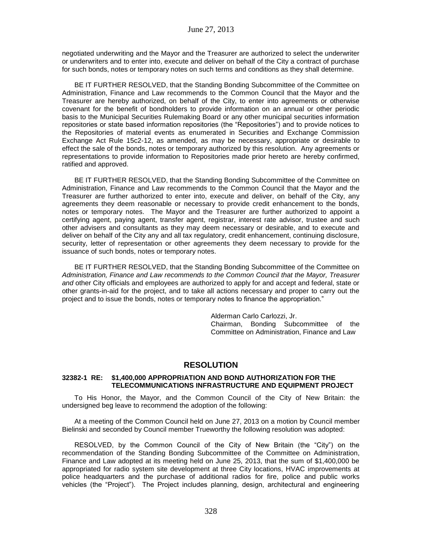negotiated underwriting and the Mayor and the Treasurer are authorized to select the underwriter or underwriters and to enter into, execute and deliver on behalf of the City a contract of purchase for such bonds, notes or temporary notes on such terms and conditions as they shall determine.

BE IT FURTHER RESOLVED, that the Standing Bonding Subcommittee of the Committee on Administration, Finance and Law recommends to the Common Council that the Mayor and the Treasurer are hereby authorized, on behalf of the City, to enter into agreements or otherwise covenant for the benefit of bondholders to provide information on an annual or other periodic basis to the Municipal Securities Rulemaking Board or any other municipal securities information repositories or state based information repositories (the "Repositories") and to provide notices to the Repositories of material events as enumerated in Securities and Exchange Commission Exchange Act Rule 15c2-12, as amended, as may be necessary, appropriate or desirable to effect the sale of the bonds, notes or temporary authorized by this resolution. Any agreements or representations to provide information to Repositories made prior hereto are hereby confirmed, ratified and approved.

BE IT FURTHER RESOLVED, that the Standing Bonding Subcommittee of the Committee on Administration, Finance and Law recommends to the Common Council that the Mayor and the Treasurer are further authorized to enter into, execute and deliver, on behalf of the City, any agreements they deem reasonable or necessary to provide credit enhancement to the bonds, notes or temporary notes. The Mayor and the Treasurer are further authorized to appoint a certifying agent, paying agent, transfer agent, registrar, interest rate advisor, trustee and such other advisers and consultants as they may deem necessary or desirable, and to execute and deliver on behalf of the City any and all tax regulatory, credit enhancement, continuing disclosure, security, letter of representation or other agreements they deem necessary to provide for the issuance of such bonds, notes or temporary notes.

BE IT FURTHER RESOLVED, that the Standing Bonding Subcommittee of the Committee on *Administration, Finance and Law recommends to the Common Council that the Mayor, Treasurer and* other City officials and employees are authorized to apply for and accept and federal, state or other grants-in-aid for the project, and to take all actions necessary and proper to carry out the project and to issue the bonds, notes or temporary notes to finance the appropriation."

> Alderman Carlo Carlozzi, Jr. Chairman, Bonding Subcommittee of the Committee on Administration, Finance and Law

# **RESOLUTION**

### **32382-1 RE: \$1,400,000 APPROPRIATION AND BOND AUTHORIZATION FOR THE TELECOMMUNICATIONS INFRASTRUCTURE AND EQUIPMENT PROJECT**

To His Honor, the Mayor, and the Common Council of the City of New Britain: the undersigned beg leave to recommend the adoption of the following:

At a meeting of the Common Council held on June 27, 2013 on a motion by Council member Bielinski and seconded by Council member Trueworthy the following resolution was adopted:

RESOLVED, by the Common Council of the City of New Britain (the "City") on the recommendation of the Standing Bonding Subcommittee of the Committee on Administration, Finance and Law adopted at its meeting held on June 25, 2013, that the sum of \$1,400,000 be appropriated for radio system site development at three City locations, HVAC improvements at police headquarters and the purchase of additional radios for fire, police and public works vehicles (the "Project"). The Project includes planning, design, architectural and engineering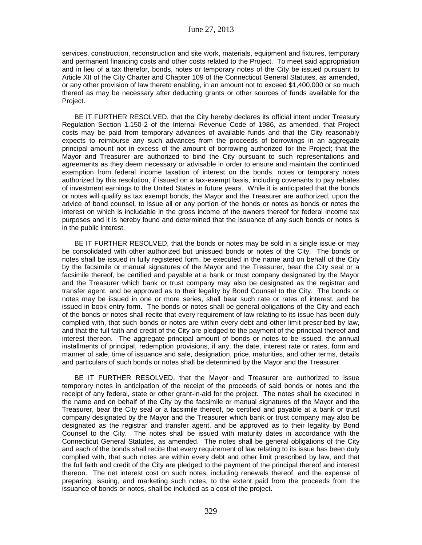services, construction, reconstruction and site work, materials, equipment and fixtures, temporary and permanent financing costs and other costs related to the Project. To meet said appropriation and in lieu of a tax therefor, bonds, notes or temporary notes of the City be issued pursuant to Article XII of the City Charter and Chapter 109 of the Connecticut General Statutes, as amended, or any other provision of law thereto enabling, in an amount not to exceed \$1,400,000 or so much thereof as may be necessary after deducting grants or other sources of funds available for the Project.

BE IT FURTHER RESOLVED, that the City hereby declares its official intent under Treasury Regulation Section 1.150-2 of the Internal Revenue Code of 1986, as amended, that Project costs may be paid from temporary advances of available funds and that the City reasonably expects to reimburse any such advances from the proceeds of borrowings in an aggregate principal amount not in excess of the amount of borrowing authorized for the Project; that the Mayor and Treasurer are authorized to bind the City pursuant to such representations and agreements as they deem necessary or advisable in order to ensure and maintain the continued exemption from federal income taxation of interest on the bonds, notes or temporary notes authorized by this resolution, if issued on a tax-exempt basis, including covenants to pay rebates of investment earnings to the United States in future years. While it is anticipated that the bonds or notes will qualify as tax exempt bonds, the Mayor and the Treasurer are authorized, upon the advice of bond counsel, to issue all or any portion of the bonds or notes as bonds or notes the interest on which is includable in the gross income of the owners thereof for federal income tax purposes and it is hereby found and determined that the issuance of any such bonds or notes is in the public interest.

BE IT FURTHER RESOLVED, that the bonds or notes may be sold in a single issue or may be consolidated with other authorized but unissued bonds or notes of the City. The bonds or notes shall be issued in fully registered form, be executed in the name and on behalf of the City by the facsimile or manual signatures of the Mayor and the Treasurer, bear the City seal or a facsimile thereof, be certified and payable at a bank or trust company designated by the Mayor and the Treasurer which bank or trust company may also be designated as the registrar and transfer agent, and be approved as to their legality by Bond Counsel to the City. The bonds or notes may be issued in one or more series, shall bear such rate or rates of interest, and be issued in book entry form. The bonds or notes shall be general obligations of the City and each of the bonds or notes shall recite that every requirement of law relating to its issue has been duly complied with, that such bonds or notes are within every debt and other limit prescribed by law, and that the full faith and credit of the City are pledged to the payment of the principal thereof and interest thereon. The aggregate principal amount of bonds or notes to be issued, the annual installments of principal, redemption provisions, if any, the date, interest rate or rates, form and manner of sale, time of issuance and sale, designation, price, maturities, and other terms, details and particulars of such bonds or notes shall be determined by the Mayor and the Treasurer.

BE IT FURTHER RESOLVED, that the Mayor and Treasurer are authorized to issue temporary notes in anticipation of the receipt of the proceeds of said bonds or notes and the receipt of any federal, state or other grant-in-aid for the project. The notes shall be executed in the name and on behalf of the City by the facsimile or manual signatures of the Mayor and the Treasurer, bear the City seal or a facsimile thereof, be certified and payable at a bank or trust company designated by the Mayor and the Treasurer which bank or trust company may also be designated as the registrar and transfer agent, and be approved as to their legality by Bond Counsel to the City. The notes shall be issued with maturity dates in accordance with the Connecticut General Statutes, as amended. The notes shall be general obligations of the City and each of the bonds shall recite that every requirement of law relating to its issue has been duly complied with, that such notes are within every debt and other limit prescribed by law, and that the full faith and credit of the City are pledged to the payment of the principal thereof and interest thereon. The net interest cost on such notes, including renewals thereof, and the expense of preparing, issuing, and marketing such notes, to the extent paid from the proceeds from the issuance of bonds or notes, shall be included as a cost of the project.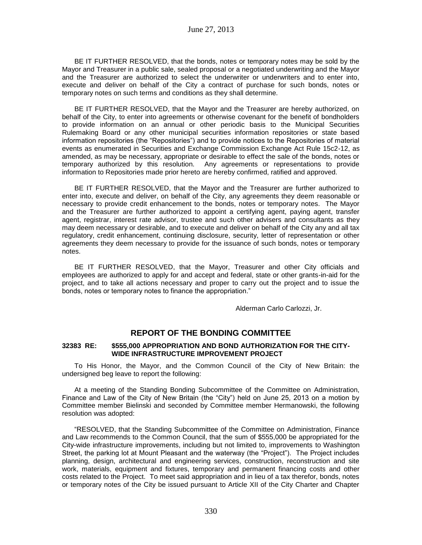BE IT FURTHER RESOLVED, that the bonds, notes or temporary notes may be sold by the Mayor and Treasurer in a public sale, sealed proposal or a negotiated underwriting and the Mayor and the Treasurer are authorized to select the underwriter or underwriters and to enter into, execute and deliver on behalf of the City a contract of purchase for such bonds, notes or temporary notes on such terms and conditions as they shall determine.

BE IT FURTHER RESOLVED, that the Mayor and the Treasurer are hereby authorized, on behalf of the City, to enter into agreements or otherwise covenant for the benefit of bondholders to provide information on an annual or other periodic basis to the Municipal Securities Rulemaking Board or any other municipal securities information repositories or state based information repositories (the "Repositories") and to provide notices to the Repositories of material events as enumerated in Securities and Exchange Commission Exchange Act Rule 15c2-12, as amended, as may be necessary, appropriate or desirable to effect the sale of the bonds, notes or temporary authorized by this resolution. Any agreements or representations to provide information to Repositories made prior hereto are hereby confirmed, ratified and approved.

BE IT FURTHER RESOLVED, that the Mayor and the Treasurer are further authorized to enter into, execute and deliver, on behalf of the City, any agreements they deem reasonable or necessary to provide credit enhancement to the bonds, notes or temporary notes. The Mayor and the Treasurer are further authorized to appoint a certifying agent, paying agent, transfer agent, registrar, interest rate advisor, trustee and such other advisers and consultants as they may deem necessary or desirable, and to execute and deliver on behalf of the City any and all tax regulatory, credit enhancement, continuing disclosure, security, letter of representation or other agreements they deem necessary to provide for the issuance of such bonds, notes or temporary notes.

BE IT FURTHER RESOLVED, that the Mayor, Treasurer and other City officials and employees are authorized to apply for and accept and federal, state or other grants-in-aid for the project, and to take all actions necessary and proper to carry out the project and to issue the bonds, notes or temporary notes to finance the appropriation."

Alderman Carlo Carlozzi, Jr.

## **REPORT OF THE BONDING COMMITTEE**

### **32383 RE: \$555,000 APPROPRIATION AND BOND AUTHORIZATION FOR THE CITY-WIDE INFRASTRUCTURE IMPROVEMENT PROJECT**

To His Honor, the Mayor, and the Common Council of the City of New Britain: the undersigned beg leave to report the following:

At a meeting of the Standing Bonding Subcommittee of the Committee on Administration, Finance and Law of the City of New Britain (the "City") held on June 25, 2013 on a motion by Committee member Bielinski and seconded by Committee member Hermanowski, the following resolution was adopted:

"RESOLVED, that the Standing Subcommittee of the Committee on Administration, Finance and Law recommends to the Common Council, that the sum of \$555,000 be appropriated for the City-wide infrastructure improvements, including but not limited to, improvements to Washington Street, the parking lot at Mount Pleasant and the waterway (the "Project"). The Project includes planning, design, architectural and engineering services, construction, reconstruction and site work, materials, equipment and fixtures, temporary and permanent financing costs and other costs related to the Project. To meet said appropriation and in lieu of a tax therefor, bonds, notes or temporary notes of the City be issued pursuant to Article XII of the City Charter and Chapter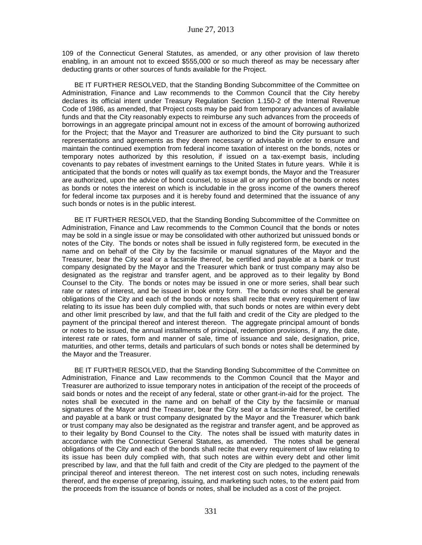109 of the Connecticut General Statutes, as amended, or any other provision of law thereto enabling, in an amount not to exceed \$555,000 or so much thereof as may be necessary after deducting grants or other sources of funds available for the Project.

BE IT FURTHER RESOLVED, that the Standing Bonding Subcommittee of the Committee on Administration, Finance and Law recommends to the Common Council that the City hereby declares its official intent under Treasury Regulation Section 1.150-2 of the Internal Revenue Code of 1986, as amended, that Project costs may be paid from temporary advances of available funds and that the City reasonably expects to reimburse any such advances from the proceeds of borrowings in an aggregate principal amount not in excess of the amount of borrowing authorized for the Project; that the Mayor and Treasurer are authorized to bind the City pursuant to such representations and agreements as they deem necessary or advisable in order to ensure and maintain the continued exemption from federal income taxation of interest on the bonds, notes or temporary notes authorized by this resolution, if issued on a tax-exempt basis, including covenants to pay rebates of investment earnings to the United States in future years. While it is anticipated that the bonds or notes will qualify as tax exempt bonds, the Mayor and the Treasurer are authorized, upon the advice of bond counsel, to issue all or any portion of the bonds or notes as bonds or notes the interest on which is includable in the gross income of the owners thereof for federal income tax purposes and it is hereby found and determined that the issuance of any such bonds or notes is in the public interest.

BE IT FURTHER RESOLVED, that the Standing Bonding Subcommittee of the Committee on Administration, Finance and Law recommends to the Common Council that the bonds or notes may be sold in a single issue or may be consolidated with other authorized but unissued bonds or notes of the City. The bonds or notes shall be issued in fully registered form, be executed in the name and on behalf of the City by the facsimile or manual signatures of the Mayor and the Treasurer, bear the City seal or a facsimile thereof, be certified and payable at a bank or trust company designated by the Mayor and the Treasurer which bank or trust company may also be designated as the registrar and transfer agent, and be approved as to their legality by Bond Counsel to the City. The bonds or notes may be issued in one or more series, shall bear such rate or rates of interest, and be issued in book entry form. The bonds or notes shall be general obligations of the City and each of the bonds or notes shall recite that every requirement of law relating to its issue has been duly complied with, that such bonds or notes are within every debt and other limit prescribed by law, and that the full faith and credit of the City are pledged to the payment of the principal thereof and interest thereon. The aggregate principal amount of bonds or notes to be issued, the annual installments of principal, redemption provisions, if any, the date, interest rate or rates, form and manner of sale, time of issuance and sale, designation, price, maturities, and other terms, details and particulars of such bonds or notes shall be determined by the Mayor and the Treasurer.

BE IT FURTHER RESOLVED, that the Standing Bonding Subcommittee of the Committee on Administration, Finance and Law recommends to the Common Council that the Mayor and Treasurer are authorized to issue temporary notes in anticipation of the receipt of the proceeds of said bonds or notes and the receipt of any federal, state or other grant-in-aid for the project. The notes shall be executed in the name and on behalf of the City by the facsimile or manual signatures of the Mayor and the Treasurer, bear the City seal or a facsimile thereof, be certified and payable at a bank or trust company designated by the Mayor and the Treasurer which bank or trust company may also be designated as the registrar and transfer agent, and be approved as to their legality by Bond Counsel to the City. The notes shall be issued with maturity dates in accordance with the Connecticut General Statutes, as amended. The notes shall be general obligations of the City and each of the bonds shall recite that every requirement of law relating to its issue has been duly complied with, that such notes are within every debt and other limit prescribed by law, and that the full faith and credit of the City are pledged to the payment of the principal thereof and interest thereon. The net interest cost on such notes, including renewals thereof, and the expense of preparing, issuing, and marketing such notes, to the extent paid from the proceeds from the issuance of bonds or notes, shall be included as a cost of the project.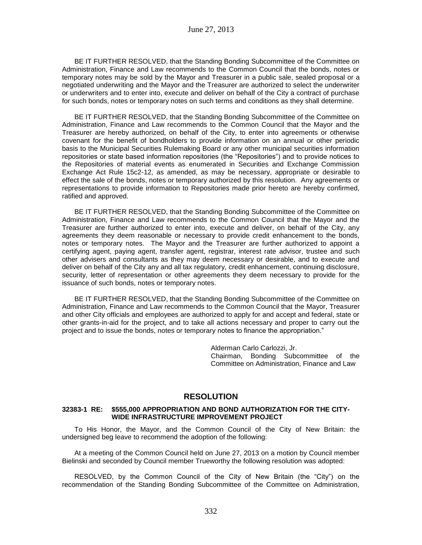BE IT FURTHER RESOLVED, that the Standing Bonding Subcommittee of the Committee on Administration, Finance and Law recommends to the Common Council that the bonds, notes or temporary notes may be sold by the Mayor and Treasurer in a public sale, sealed proposal or a negotiated underwriting and the Mayor and the Treasurer are authorized to select the underwriter or underwriters and to enter into, execute and deliver on behalf of the City a contract of purchase for such bonds, notes or temporary notes on such terms and conditions as they shall determine.

BE IT FURTHER RESOLVED, that the Standing Bonding Subcommittee of the Committee on Administration, Finance and Law recommends to the Common Council that the Mayor and the Treasurer are hereby authorized, on behalf of the City, to enter into agreements or otherwise covenant for the benefit of bondholders to provide information on an annual or other periodic basis to the Municipal Securities Rulemaking Board or any other municipal securities information repositories or state based information repositories (the "Repositories") and to provide notices to the Repositories of material events as enumerated in Securities and Exchange Commission Exchange Act Rule 15c2-12, as amended, as may be necessary, appropriate or desirable to effect the sale of the bonds, notes or temporary authorized by this resolution. Any agreements or representations to provide information to Repositories made prior hereto are hereby confirmed, ratified and approved.

BE IT FURTHER RESOLVED, that the Standing Bonding Subcommittee of the Committee on Administration, Finance and Law recommends to the Common Council that the Mayor and the Treasurer are further authorized to enter into, execute and deliver, on behalf of the City, any agreements they deem reasonable or necessary to provide credit enhancement to the bonds, notes or temporary notes. The Mayor and the Treasurer are further authorized to appoint a certifying agent, paying agent, transfer agent, registrar, interest rate advisor, trustee and such other advisers and consultants as they may deem necessary or desirable, and to execute and deliver on behalf of the City any and all tax regulatory, credit enhancement, continuing disclosure, security, letter of representation or other agreements they deem necessary to provide for the issuance of such bonds, notes or temporary notes.

BE IT FURTHER RESOLVED, that the Standing Bonding Subcommittee of the Committee on Administration, Finance and Law recommends to the Common Council that the Mayor, Treasurer and other City officials and employees are authorized to apply for and accept and federal, state or other grants-in-aid for the project, and to take all actions necessary and proper to carry out the project and to issue the bonds, notes or temporary notes to finance the appropriation."

> Alderman Carlo Carlozzi, Jr. Chairman, Bonding Subcommittee of the Committee on Administration, Finance and Law

## **RESOLUTION**

### **32383-1 RE: \$555,000 APPROPRIATION AND BOND AUTHORIZATION FOR THE CITY-WIDE INFRASTRUCTURE IMPROVEMENT PROJECT**

To His Honor, the Mayor, and the Common Council of the City of New Britain: the undersigned beg leave to recommend the adoption of the following:

At a meeting of the Common Council held on June 27, 2013 on a motion by Council member Bielinski and seconded by Council member Trueworthy the following resolution was adopted:

RESOLVED, by the Common Council of the City of New Britain (the "City") on the recommendation of the Standing Bonding Subcommittee of the Committee on Administration,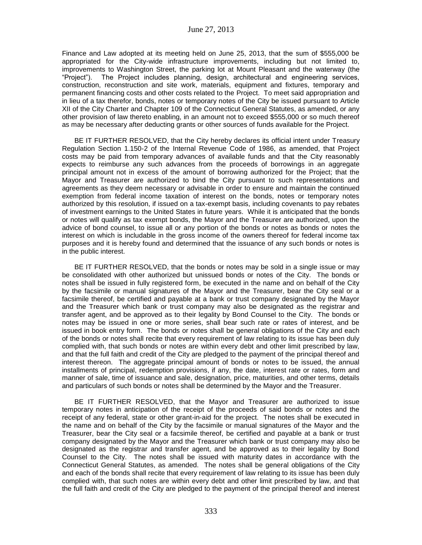Finance and Law adopted at its meeting held on June 25, 2013, that the sum of \$555,000 be appropriated for the City-wide infrastructure improvements, including but not limited to, improvements to Washington Street, the parking lot at Mount Pleasant and the waterway (the "Project"). The Project includes planning, design, architectural and engineering services, construction, reconstruction and site work, materials, equipment and fixtures, temporary and permanent financing costs and other costs related to the Project. To meet said appropriation and in lieu of a tax therefor, bonds, notes or temporary notes of the City be issued pursuant to Article XII of the City Charter and Chapter 109 of the Connecticut General Statutes, as amended, or any other provision of law thereto enabling, in an amount not to exceed \$555,000 or so much thereof as may be necessary after deducting grants or other sources of funds available for the Project.

BE IT FURTHER RESOLVED, that the City hereby declares its official intent under Treasury Regulation Section 1.150-2 of the Internal Revenue Code of 1986, as amended, that Project costs may be paid from temporary advances of available funds and that the City reasonably expects to reimburse any such advances from the proceeds of borrowings in an aggregate principal amount not in excess of the amount of borrowing authorized for the Project; that the Mayor and Treasurer are authorized to bind the City pursuant to such representations and agreements as they deem necessary or advisable in order to ensure and maintain the continued exemption from federal income taxation of interest on the bonds, notes or temporary notes authorized by this resolution, if issued on a tax-exempt basis, including covenants to pay rebates of investment earnings to the United States in future years. While it is anticipated that the bonds or notes will qualify as tax exempt bonds, the Mayor and the Treasurer are authorized, upon the advice of bond counsel, to issue all or any portion of the bonds or notes as bonds or notes the interest on which is includable in the gross income of the owners thereof for federal income tax purposes and it is hereby found and determined that the issuance of any such bonds or notes is in the public interest.

BE IT FURTHER RESOLVED, that the bonds or notes may be sold in a single issue or may be consolidated with other authorized but unissued bonds or notes of the City. The bonds or notes shall be issued in fully registered form, be executed in the name and on behalf of the City by the facsimile or manual signatures of the Mayor and the Treasurer, bear the City seal or a facsimile thereof, be certified and payable at a bank or trust company designated by the Mayor and the Treasurer which bank or trust company may also be designated as the registrar and transfer agent, and be approved as to their legality by Bond Counsel to the City. The bonds or notes may be issued in one or more series, shall bear such rate or rates of interest, and be issued in book entry form. The bonds or notes shall be general obligations of the City and each of the bonds or notes shall recite that every requirement of law relating to its issue has been duly complied with, that such bonds or notes are within every debt and other limit prescribed by law, and that the full faith and credit of the City are pledged to the payment of the principal thereof and interest thereon. The aggregate principal amount of bonds or notes to be issued, the annual installments of principal, redemption provisions, if any, the date, interest rate or rates, form and manner of sale, time of issuance and sale, designation, price, maturities, and other terms, details and particulars of such bonds or notes shall be determined by the Mayor and the Treasurer.

BE IT FURTHER RESOLVED, that the Mayor and Treasurer are authorized to issue temporary notes in anticipation of the receipt of the proceeds of said bonds or notes and the receipt of any federal, state or other grant-in-aid for the project. The notes shall be executed in the name and on behalf of the City by the facsimile or manual signatures of the Mayor and the Treasurer, bear the City seal or a facsimile thereof, be certified and payable at a bank or trust company designated by the Mayor and the Treasurer which bank or trust company may also be designated as the registrar and transfer agent, and be approved as to their legality by Bond Counsel to the City. The notes shall be issued with maturity dates in accordance with the Connecticut General Statutes, as amended. The notes shall be general obligations of the City and each of the bonds shall recite that every requirement of law relating to its issue has been duly complied with, that such notes are within every debt and other limit prescribed by law, and that the full faith and credit of the City are pledged to the payment of the principal thereof and interest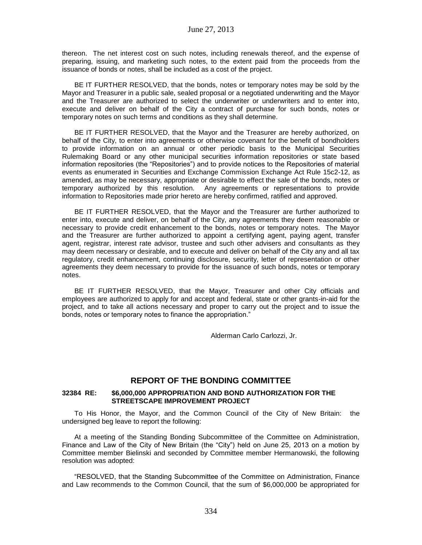thereon. The net interest cost on such notes, including renewals thereof, and the expense of preparing, issuing, and marketing such notes, to the extent paid from the proceeds from the issuance of bonds or notes, shall be included as a cost of the project.

BE IT FURTHER RESOLVED, that the bonds, notes or temporary notes may be sold by the Mayor and Treasurer in a public sale, sealed proposal or a negotiated underwriting and the Mayor and the Treasurer are authorized to select the underwriter or underwriters and to enter into, execute and deliver on behalf of the City a contract of purchase for such bonds, notes or temporary notes on such terms and conditions as they shall determine.

BE IT FURTHER RESOLVED, that the Mayor and the Treasurer are hereby authorized, on behalf of the City, to enter into agreements or otherwise covenant for the benefit of bondholders to provide information on an annual or other periodic basis to the Municipal Securities Rulemaking Board or any other municipal securities information repositories or state based information repositories (the "Repositories") and to provide notices to the Repositories of material events as enumerated in Securities and Exchange Commission Exchange Act Rule 15c2-12, as amended, as may be necessary, appropriate or desirable to effect the sale of the bonds, notes or temporary authorized by this resolution. Any agreements or representations to provide information to Repositories made prior hereto are hereby confirmed, ratified and approved.

BE IT FURTHER RESOLVED, that the Mayor and the Treasurer are further authorized to enter into, execute and deliver, on behalf of the City, any agreements they deem reasonable or necessary to provide credit enhancement to the bonds, notes or temporary notes. The Mayor and the Treasurer are further authorized to appoint a certifying agent, paying agent, transfer agent, registrar, interest rate advisor, trustee and such other advisers and consultants as they may deem necessary or desirable, and to execute and deliver on behalf of the City any and all tax regulatory, credit enhancement, continuing disclosure, security, letter of representation or other agreements they deem necessary to provide for the issuance of such bonds, notes or temporary notes.

BE IT FURTHER RESOLVED, that the Mayor, Treasurer and other City officials and employees are authorized to apply for and accept and federal, state or other grants-in-aid for the project, and to take all actions necessary and proper to carry out the project and to issue the bonds, notes or temporary notes to finance the appropriation."

Alderman Carlo Carlozzi, Jr.

## **REPORT OF THE BONDING COMMITTEE**

### **32384 RE: \$6,000,000 APPROPRIATION AND BOND AUTHORIZATION FOR THE STREETSCAPE IMPROVEMENT PROJECT**

To His Honor, the Mayor, and the Common Council of the City of New Britain: the undersigned beg leave to report the following:

At a meeting of the Standing Bonding Subcommittee of the Committee on Administration, Finance and Law of the City of New Britain (the "City") held on June 25, 2013 on a motion by Committee member Bielinski and seconded by Committee member Hermanowski, the following resolution was adopted:

"RESOLVED, that the Standing Subcommittee of the Committee on Administration, Finance and Law recommends to the Common Council, that the sum of \$6,000,000 be appropriated for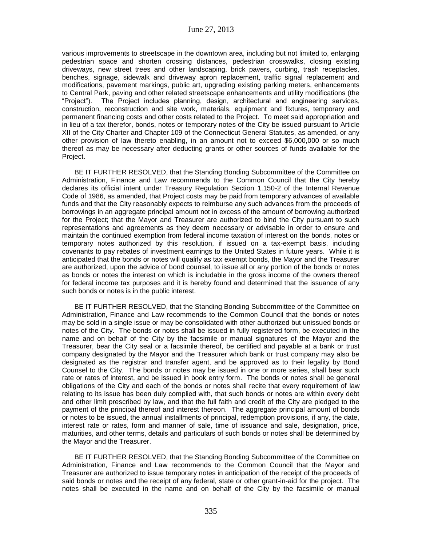various improvements to streetscape in the downtown area, including but not limited to, enlarging pedestrian space and shorten crossing distances, pedestrian crosswalks, closing existing driveways, new street trees and other landscaping, brick pavers, curbing, trash receptacles, benches, signage, sidewalk and driveway apron replacement, traffic signal replacement and modifications, pavement markings, public art, upgrading existing parking meters, enhancements to Central Park, paving and other related streetscape enhancements and utility modifications (the "Project"). The Project includes planning, design, architectural and engineering services, construction, reconstruction and site work, materials, equipment and fixtures, temporary and permanent financing costs and other costs related to the Project. To meet said appropriation and in lieu of a tax therefor, bonds, notes or temporary notes of the City be issued pursuant to Article XII of the City Charter and Chapter 109 of the Connecticut General Statutes, as amended, or any other provision of law thereto enabling, in an amount not to exceed \$6,000,000 or so much thereof as may be necessary after deducting grants or other sources of funds available for the Project.

BE IT FURTHER RESOLVED, that the Standing Bonding Subcommittee of the Committee on Administration, Finance and Law recommends to the Common Council that the City hereby declares its official intent under Treasury Regulation Section 1.150-2 of the Internal Revenue Code of 1986, as amended, that Project costs may be paid from temporary advances of available funds and that the City reasonably expects to reimburse any such advances from the proceeds of borrowings in an aggregate principal amount not in excess of the amount of borrowing authorized for the Project; that the Mayor and Treasurer are authorized to bind the City pursuant to such representations and agreements as they deem necessary or advisable in order to ensure and maintain the continued exemption from federal income taxation of interest on the bonds, notes or temporary notes authorized by this resolution, if issued on a tax-exempt basis, including covenants to pay rebates of investment earnings to the United States in future years. While it is anticipated that the bonds or notes will qualify as tax exempt bonds, the Mayor and the Treasurer are authorized, upon the advice of bond counsel, to issue all or any portion of the bonds or notes as bonds or notes the interest on which is includable in the gross income of the owners thereof for federal income tax purposes and it is hereby found and determined that the issuance of any such bonds or notes is in the public interest.

BE IT FURTHER RESOLVED, that the Standing Bonding Subcommittee of the Committee on Administration, Finance and Law recommends to the Common Council that the bonds or notes may be sold in a single issue or may be consolidated with other authorized but unissued bonds or notes of the City. The bonds or notes shall be issued in fully registered form, be executed in the name and on behalf of the City by the facsimile or manual signatures of the Mayor and the Treasurer, bear the City seal or a facsimile thereof, be certified and payable at a bank or trust company designated by the Mayor and the Treasurer which bank or trust company may also be designated as the registrar and transfer agent, and be approved as to their legality by Bond Counsel to the City. The bonds or notes may be issued in one or more series, shall bear such rate or rates of interest, and be issued in book entry form. The bonds or notes shall be general obligations of the City and each of the bonds or notes shall recite that every requirement of law relating to its issue has been duly complied with, that such bonds or notes are within every debt and other limit prescribed by law, and that the full faith and credit of the City are pledged to the payment of the principal thereof and interest thereon. The aggregate principal amount of bonds or notes to be issued, the annual installments of principal, redemption provisions, if any, the date, interest rate or rates, form and manner of sale, time of issuance and sale, designation, price, maturities, and other terms, details and particulars of such bonds or notes shall be determined by the Mayor and the Treasurer.

BE IT FURTHER RESOLVED, that the Standing Bonding Subcommittee of the Committee on Administration, Finance and Law recommends to the Common Council that the Mayor and Treasurer are authorized to issue temporary notes in anticipation of the receipt of the proceeds of said bonds or notes and the receipt of any federal, state or other grant-in-aid for the project. The notes shall be executed in the name and on behalf of the City by the facsimile or manual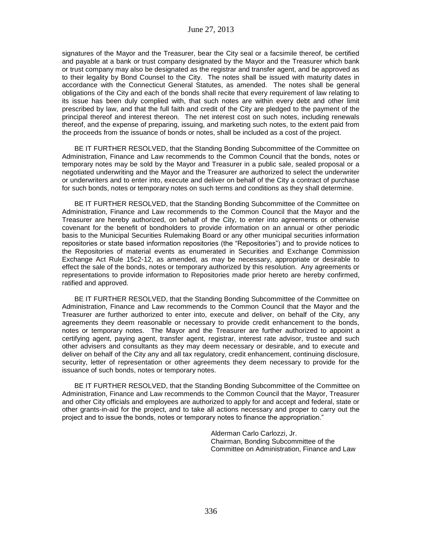signatures of the Mayor and the Treasurer, bear the City seal or a facsimile thereof, be certified and payable at a bank or trust company designated by the Mayor and the Treasurer which bank or trust company may also be designated as the registrar and transfer agent, and be approved as to their legality by Bond Counsel to the City. The notes shall be issued with maturity dates in accordance with the Connecticut General Statutes, as amended. The notes shall be general obligations of the City and each of the bonds shall recite that every requirement of law relating to its issue has been duly complied with, that such notes are within every debt and other limit prescribed by law, and that the full faith and credit of the City are pledged to the payment of the principal thereof and interest thereon. The net interest cost on such notes, including renewals thereof, and the expense of preparing, issuing, and marketing such notes, to the extent paid from the proceeds from the issuance of bonds or notes, shall be included as a cost of the project.

BE IT FURTHER RESOLVED, that the Standing Bonding Subcommittee of the Committee on Administration, Finance and Law recommends to the Common Council that the bonds, notes or temporary notes may be sold by the Mayor and Treasurer in a public sale, sealed proposal or a negotiated underwriting and the Mayor and the Treasurer are authorized to select the underwriter or underwriters and to enter into, execute and deliver on behalf of the City a contract of purchase for such bonds, notes or temporary notes on such terms and conditions as they shall determine.

BE IT FURTHER RESOLVED, that the Standing Bonding Subcommittee of the Committee on Administration, Finance and Law recommends to the Common Council that the Mayor and the Treasurer are hereby authorized, on behalf of the City, to enter into agreements or otherwise covenant for the benefit of bondholders to provide information on an annual or other periodic basis to the Municipal Securities Rulemaking Board or any other municipal securities information repositories or state based information repositories (the "Repositories") and to provide notices to the Repositories of material events as enumerated in Securities and Exchange Commission Exchange Act Rule 15c2-12, as amended, as may be necessary, appropriate or desirable to effect the sale of the bonds, notes or temporary authorized by this resolution. Any agreements or representations to provide information to Repositories made prior hereto are hereby confirmed, ratified and approved.

BE IT FURTHER RESOLVED, that the Standing Bonding Subcommittee of the Committee on Administration, Finance and Law recommends to the Common Council that the Mayor and the Treasurer are further authorized to enter into, execute and deliver, on behalf of the City, any agreements they deem reasonable or necessary to provide credit enhancement to the bonds, notes or temporary notes. The Mayor and the Treasurer are further authorized to appoint a certifying agent, paying agent, transfer agent, registrar, interest rate advisor, trustee and such other advisers and consultants as they may deem necessary or desirable, and to execute and deliver on behalf of the City any and all tax regulatory, credit enhancement, continuing disclosure, security, letter of representation or other agreements they deem necessary to provide for the issuance of such bonds, notes or temporary notes.

BE IT FURTHER RESOLVED, that the Standing Bonding Subcommittee of the Committee on Administration, Finance and Law recommends to the Common Council that the Mayor, Treasurer and other City officials and employees are authorized to apply for and accept and federal, state or other grants-in-aid for the project, and to take all actions necessary and proper to carry out the project and to issue the bonds, notes or temporary notes to finance the appropriation."

> Alderman Carlo Carlozzi, Jr. Chairman, Bonding Subcommittee of the Committee on Administration, Finance and Law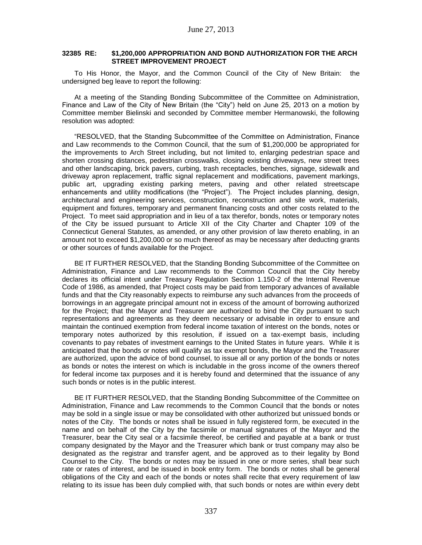### **32385 RE: \$1,200,000 APPROPRIATION AND BOND AUTHORIZATION FOR THE ARCH STREET IMPROVEMENT PROJECT**

To His Honor, the Mayor, and the Common Council of the City of New Britain: the undersigned beg leave to report the following:

At a meeting of the Standing Bonding Subcommittee of the Committee on Administration, Finance and Law of the City of New Britain (the "City") held on June 25, 2013 on a motion by Committee member Bielinski and seconded by Committee member Hermanowski, the following resolution was adopted:

"RESOLVED, that the Standing Subcommittee of the Committee on Administration, Finance and Law recommends to the Common Council, that the sum of \$1,200,000 be appropriated for the improvements to Arch Street including, but not limited to, enlarging pedestrian space and shorten crossing distances, pedestrian crosswalks, closing existing driveways, new street trees and other landscaping, brick pavers, curbing, trash receptacles, benches, signage, sidewalk and driveway apron replacement, traffic signal replacement and modifications, pavement markings, public art, upgrading existing parking meters, paving and other related streetscape enhancements and utility modifications (the "Project"). The Project includes planning, design, architectural and engineering services, construction, reconstruction and site work, materials, equipment and fixtures, temporary and permanent financing costs and other costs related to the Project. To meet said appropriation and in lieu of a tax therefor, bonds, notes or temporary notes of the City be issued pursuant to Article XII of the City Charter and Chapter 109 of the Connecticut General Statutes, as amended, or any other provision of law thereto enabling, in an amount not to exceed \$1,200,000 or so much thereof as may be necessary after deducting grants or other sources of funds available for the Project.

BE IT FURTHER RESOLVED, that the Standing Bonding Subcommittee of the Committee on Administration, Finance and Law recommends to the Common Council that the City hereby declares its official intent under Treasury Regulation Section 1.150-2 of the Internal Revenue Code of 1986, as amended, that Project costs may be paid from temporary advances of available funds and that the City reasonably expects to reimburse any such advances from the proceeds of borrowings in an aggregate principal amount not in excess of the amount of borrowing authorized for the Project; that the Mayor and Treasurer are authorized to bind the City pursuant to such representations and agreements as they deem necessary or advisable in order to ensure and maintain the continued exemption from federal income taxation of interest on the bonds, notes or temporary notes authorized by this resolution, if issued on a tax-exempt basis, including covenants to pay rebates of investment earnings to the United States in future years. While it is anticipated that the bonds or notes will qualify as tax exempt bonds, the Mayor and the Treasurer are authorized, upon the advice of bond counsel, to issue all or any portion of the bonds or notes as bonds or notes the interest on which is includable in the gross income of the owners thereof for federal income tax purposes and it is hereby found and determined that the issuance of any such bonds or notes is in the public interest.

BE IT FURTHER RESOLVED, that the Standing Bonding Subcommittee of the Committee on Administration, Finance and Law recommends to the Common Council that the bonds or notes may be sold in a single issue or may be consolidated with other authorized but unissued bonds or notes of the City. The bonds or notes shall be issued in fully registered form, be executed in the name and on behalf of the City by the facsimile or manual signatures of the Mayor and the Treasurer, bear the City seal or a facsimile thereof, be certified and payable at a bank or trust company designated by the Mayor and the Treasurer which bank or trust company may also be designated as the registrar and transfer agent, and be approved as to their legality by Bond Counsel to the City. The bonds or notes may be issued in one or more series, shall bear such rate or rates of interest, and be issued in book entry form. The bonds or notes shall be general obligations of the City and each of the bonds or notes shall recite that every requirement of law relating to its issue has been duly complied with, that such bonds or notes are within every debt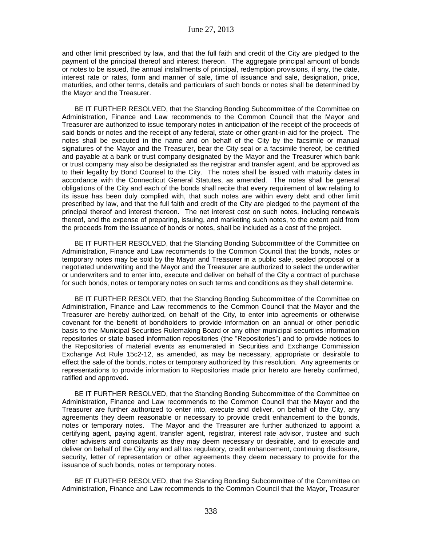and other limit prescribed by law, and that the full faith and credit of the City are pledged to the payment of the principal thereof and interest thereon. The aggregate principal amount of bonds or notes to be issued, the annual installments of principal, redemption provisions, if any, the date, interest rate or rates, form and manner of sale, time of issuance and sale, designation, price, maturities, and other terms, details and particulars of such bonds or notes shall be determined by the Mayor and the Treasurer.

BE IT FURTHER RESOLVED, that the Standing Bonding Subcommittee of the Committee on Administration, Finance and Law recommends to the Common Council that the Mayor and Treasurer are authorized to issue temporary notes in anticipation of the receipt of the proceeds of said bonds or notes and the receipt of any federal, state or other grant-in-aid for the project. The notes shall be executed in the name and on behalf of the City by the facsimile or manual signatures of the Mayor and the Treasurer, bear the City seal or a facsimile thereof, be certified and payable at a bank or trust company designated by the Mayor and the Treasurer which bank or trust company may also be designated as the registrar and transfer agent, and be approved as to their legality by Bond Counsel to the City. The notes shall be issued with maturity dates in accordance with the Connecticut General Statutes, as amended. The notes shall be general obligations of the City and each of the bonds shall recite that every requirement of law relating to its issue has been duly complied with, that such notes are within every debt and other limit prescribed by law, and that the full faith and credit of the City are pledged to the payment of the principal thereof and interest thereon. The net interest cost on such notes, including renewals thereof, and the expense of preparing, issuing, and marketing such notes, to the extent paid from the proceeds from the issuance of bonds or notes, shall be included as a cost of the project.

BE IT FURTHER RESOLVED, that the Standing Bonding Subcommittee of the Committee on Administration, Finance and Law recommends to the Common Council that the bonds, notes or temporary notes may be sold by the Mayor and Treasurer in a public sale, sealed proposal or a negotiated underwriting and the Mayor and the Treasurer are authorized to select the underwriter or underwriters and to enter into, execute and deliver on behalf of the City a contract of purchase for such bonds, notes or temporary notes on such terms and conditions as they shall determine.

BE IT FURTHER RESOLVED, that the Standing Bonding Subcommittee of the Committee on Administration, Finance and Law recommends to the Common Council that the Mayor and the Treasurer are hereby authorized, on behalf of the City, to enter into agreements or otherwise covenant for the benefit of bondholders to provide information on an annual or other periodic basis to the Municipal Securities Rulemaking Board or any other municipal securities information repositories or state based information repositories (the "Repositories") and to provide notices to the Repositories of material events as enumerated in Securities and Exchange Commission Exchange Act Rule 15c2-12, as amended, as may be necessary, appropriate or desirable to effect the sale of the bonds, notes or temporary authorized by this resolution. Any agreements or representations to provide information to Repositories made prior hereto are hereby confirmed, ratified and approved.

BE IT FURTHER RESOLVED, that the Standing Bonding Subcommittee of the Committee on Administration, Finance and Law recommends to the Common Council that the Mayor and the Treasurer are further authorized to enter into, execute and deliver, on behalf of the City, any agreements they deem reasonable or necessary to provide credit enhancement to the bonds, notes or temporary notes. The Mayor and the Treasurer are further authorized to appoint a certifying agent, paying agent, transfer agent, registrar, interest rate advisor, trustee and such other advisers and consultants as they may deem necessary or desirable, and to execute and deliver on behalf of the City any and all tax regulatory, credit enhancement, continuing disclosure, security, letter of representation or other agreements they deem necessary to provide for the issuance of such bonds, notes or temporary notes.

BE IT FURTHER RESOLVED, that the Standing Bonding Subcommittee of the Committee on Administration, Finance and Law recommends to the Common Council that the Mayor, Treasurer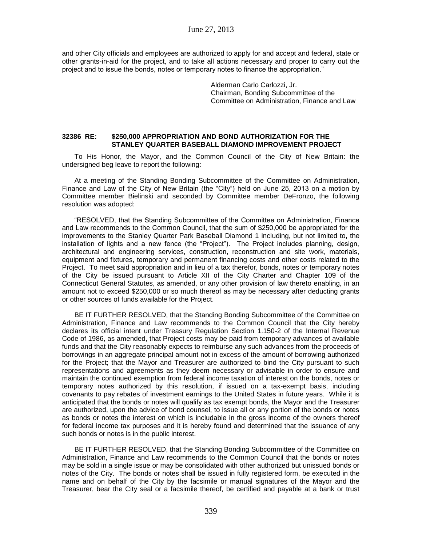and other City officials and employees are authorized to apply for and accept and federal, state or other grants-in-aid for the project, and to take all actions necessary and proper to carry out the project and to issue the bonds, notes or temporary notes to finance the appropriation."

> Alderman Carlo Carlozzi, Jr. Chairman, Bonding Subcommittee of the Committee on Administration, Finance and Law

## **32386 RE: \$250,000 APPROPRIATION AND BOND AUTHORIZATION FOR THE STANLEY QUARTER BASEBALL DIAMOND IMPROVEMENT PROJECT**

To His Honor, the Mayor, and the Common Council of the City of New Britain: the undersigned beg leave to report the following:

At a meeting of the Standing Bonding Subcommittee of the Committee on Administration, Finance and Law of the City of New Britain (the "City") held on June 25, 2013 on a motion by Committee member Bielinski and seconded by Committee member DeFronzo, the following resolution was adopted:

"RESOLVED, that the Standing Subcommittee of the Committee on Administration, Finance and Law recommends to the Common Council, that the sum of \$250,000 be appropriated for the improvements to the Stanley Quarter Park Baseball Diamond 1 including, but not limited to, the installation of lights and a new fence (the "Project"). The Project includes planning, design, architectural and engineering services, construction, reconstruction and site work, materials, equipment and fixtures, temporary and permanent financing costs and other costs related to the Project. To meet said appropriation and in lieu of a tax therefor, bonds, notes or temporary notes of the City be issued pursuant to Article XII of the City Charter and Chapter 109 of the Connecticut General Statutes, as amended, or any other provision of law thereto enabling, in an amount not to exceed \$250,000 or so much thereof as may be necessary after deducting grants or other sources of funds available for the Project.

BE IT FURTHER RESOLVED, that the Standing Bonding Subcommittee of the Committee on Administration, Finance and Law recommends to the Common Council that the City hereby declares its official intent under Treasury Regulation Section 1.150-2 of the Internal Revenue Code of 1986, as amended, that Project costs may be paid from temporary advances of available funds and that the City reasonably expects to reimburse any such advances from the proceeds of borrowings in an aggregate principal amount not in excess of the amount of borrowing authorized for the Project; that the Mayor and Treasurer are authorized to bind the City pursuant to such representations and agreements as they deem necessary or advisable in order to ensure and maintain the continued exemption from federal income taxation of interest on the bonds, notes or temporary notes authorized by this resolution, if issued on a tax-exempt basis, including covenants to pay rebates of investment earnings to the United States in future years. While it is anticipated that the bonds or notes will qualify as tax exempt bonds, the Mayor and the Treasurer are authorized, upon the advice of bond counsel, to issue all or any portion of the bonds or notes as bonds or notes the interest on which is includable in the gross income of the owners thereof for federal income tax purposes and it is hereby found and determined that the issuance of any such bonds or notes is in the public interest.

BE IT FURTHER RESOLVED, that the Standing Bonding Subcommittee of the Committee on Administration, Finance and Law recommends to the Common Council that the bonds or notes may be sold in a single issue or may be consolidated with other authorized but unissued bonds or notes of the City. The bonds or notes shall be issued in fully registered form, be executed in the name and on behalf of the City by the facsimile or manual signatures of the Mayor and the Treasurer, bear the City seal or a facsimile thereof, be certified and payable at a bank or trust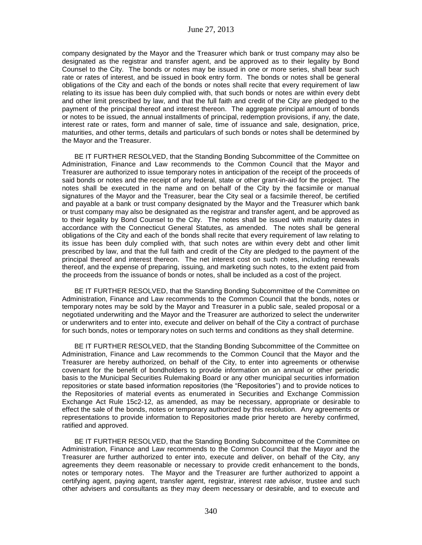company designated by the Mayor and the Treasurer which bank or trust company may also be designated as the registrar and transfer agent, and be approved as to their legality by Bond Counsel to the City. The bonds or notes may be issued in one or more series, shall bear such rate or rates of interest, and be issued in book entry form. The bonds or notes shall be general obligations of the City and each of the bonds or notes shall recite that every requirement of law relating to its issue has been duly complied with, that such bonds or notes are within every debt and other limit prescribed by law, and that the full faith and credit of the City are pledged to the payment of the principal thereof and interest thereon. The aggregate principal amount of bonds or notes to be issued, the annual installments of principal, redemption provisions, if any, the date, interest rate or rates, form and manner of sale, time of issuance and sale, designation, price, maturities, and other terms, details and particulars of such bonds or notes shall be determined by the Mayor and the Treasurer.

BE IT FURTHER RESOLVED, that the Standing Bonding Subcommittee of the Committee on Administration, Finance and Law recommends to the Common Council that the Mayor and Treasurer are authorized to issue temporary notes in anticipation of the receipt of the proceeds of said bonds or notes and the receipt of any federal, state or other grant-in-aid for the project. The notes shall be executed in the name and on behalf of the City by the facsimile or manual signatures of the Mayor and the Treasurer, bear the City seal or a facsimile thereof, be certified and payable at a bank or trust company designated by the Mayor and the Treasurer which bank or trust company may also be designated as the registrar and transfer agent, and be approved as to their legality by Bond Counsel to the City. The notes shall be issued with maturity dates in accordance with the Connecticut General Statutes, as amended. The notes shall be general obligations of the City and each of the bonds shall recite that every requirement of law relating to its issue has been duly complied with, that such notes are within every debt and other limit prescribed by law, and that the full faith and credit of the City are pledged to the payment of the principal thereof and interest thereon. The net interest cost on such notes, including renewals thereof, and the expense of preparing, issuing, and marketing such notes, to the extent paid from the proceeds from the issuance of bonds or notes, shall be included as a cost of the project.

BE IT FURTHER RESOLVED, that the Standing Bonding Subcommittee of the Committee on Administration, Finance and Law recommends to the Common Council that the bonds, notes or temporary notes may be sold by the Mayor and Treasurer in a public sale, sealed proposal or a negotiated underwriting and the Mayor and the Treasurer are authorized to select the underwriter or underwriters and to enter into, execute and deliver on behalf of the City a contract of purchase for such bonds, notes or temporary notes on such terms and conditions as they shall determine.

BE IT FURTHER RESOLVED, that the Standing Bonding Subcommittee of the Committee on Administration, Finance and Law recommends to the Common Council that the Mayor and the Treasurer are hereby authorized, on behalf of the City, to enter into agreements or otherwise covenant for the benefit of bondholders to provide information on an annual or other periodic basis to the Municipal Securities Rulemaking Board or any other municipal securities information repositories or state based information repositories (the "Repositories") and to provide notices to the Repositories of material events as enumerated in Securities and Exchange Commission Exchange Act Rule 15c2-12, as amended, as may be necessary, appropriate or desirable to effect the sale of the bonds, notes or temporary authorized by this resolution. Any agreements or representations to provide information to Repositories made prior hereto are hereby confirmed, ratified and approved.

BE IT FURTHER RESOLVED, that the Standing Bonding Subcommittee of the Committee on Administration, Finance and Law recommends to the Common Council that the Mayor and the Treasurer are further authorized to enter into, execute and deliver, on behalf of the City, any agreements they deem reasonable or necessary to provide credit enhancement to the bonds, notes or temporary notes. The Mayor and the Treasurer are further authorized to appoint a certifying agent, paying agent, transfer agent, registrar, interest rate advisor, trustee and such other advisers and consultants as they may deem necessary or desirable, and to execute and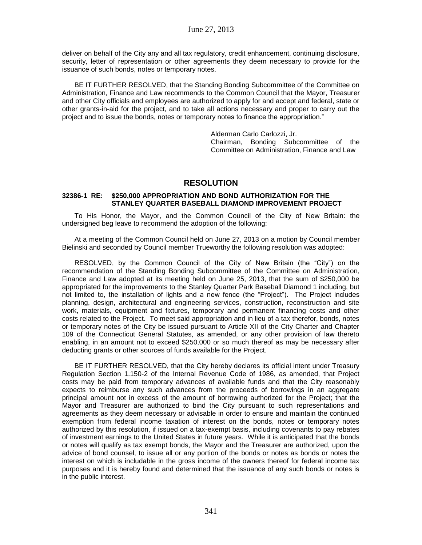deliver on behalf of the City any and all tax regulatory, credit enhancement, continuing disclosure, security, letter of representation or other agreements they deem necessary to provide for the issuance of such bonds, notes or temporary notes.

BE IT FURTHER RESOLVED, that the Standing Bonding Subcommittee of the Committee on Administration, Finance and Law recommends to the Common Council that the Mayor, Treasurer and other City officials and employees are authorized to apply for and accept and federal, state or other grants-in-aid for the project, and to take all actions necessary and proper to carry out the project and to issue the bonds, notes or temporary notes to finance the appropriation."

> Alderman Carlo Carlozzi, Jr. Chairman, Bonding Subcommittee of the Committee on Administration, Finance and Law

# **RESOLUTION**

### **32386-1 RE: \$250,000 APPROPRIATION AND BOND AUTHORIZATION FOR THE STANLEY QUARTER BASEBALL DIAMOND IMPROVEMENT PROJECT**

To His Honor, the Mayor, and the Common Council of the City of New Britain: the undersigned beg leave to recommend the adoption of the following:

At a meeting of the Common Council held on June 27, 2013 on a motion by Council member Bielinski and seconded by Council member Trueworthy the following resolution was adopted:

RESOLVED, by the Common Council of the City of New Britain (the "City") on the recommendation of the Standing Bonding Subcommittee of the Committee on Administration, Finance and Law adopted at its meeting held on June 25, 2013, that the sum of \$250,000 be appropriated for the improvements to the Stanley Quarter Park Baseball Diamond 1 including, but not limited to, the installation of lights and a new fence (the "Project"). The Project includes planning, design, architectural and engineering services, construction, reconstruction and site work, materials, equipment and fixtures, temporary and permanent financing costs and other costs related to the Project. To meet said appropriation and in lieu of a tax therefor, bonds, notes or temporary notes of the City be issued pursuant to Article XII of the City Charter and Chapter 109 of the Connecticut General Statutes, as amended, or any other provision of law thereto enabling, in an amount not to exceed \$250,000 or so much thereof as may be necessary after deducting grants or other sources of funds available for the Project.

BE IT FURTHER RESOLVED, that the City hereby declares its official intent under Treasury Regulation Section 1.150-2 of the Internal Revenue Code of 1986, as amended, that Project costs may be paid from temporary advances of available funds and that the City reasonably expects to reimburse any such advances from the proceeds of borrowings in an aggregate principal amount not in excess of the amount of borrowing authorized for the Project; that the Mayor and Treasurer are authorized to bind the City pursuant to such representations and agreements as they deem necessary or advisable in order to ensure and maintain the continued exemption from federal income taxation of interest on the bonds, notes or temporary notes authorized by this resolution, if issued on a tax-exempt basis, including covenants to pay rebates of investment earnings to the United States in future years. While it is anticipated that the bonds or notes will qualify as tax exempt bonds, the Mayor and the Treasurer are authorized, upon the advice of bond counsel, to issue all or any portion of the bonds or notes as bonds or notes the interest on which is includable in the gross income of the owners thereof for federal income tax purposes and it is hereby found and determined that the issuance of any such bonds or notes is in the public interest.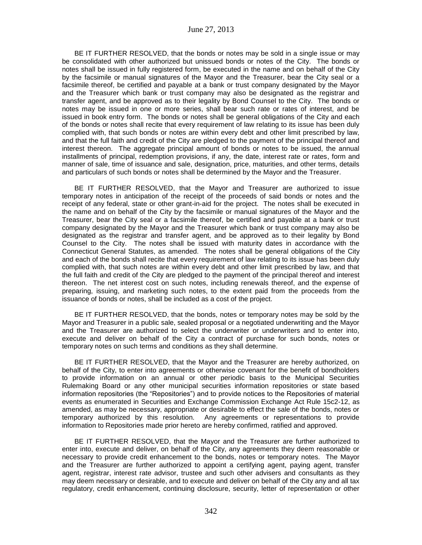BE IT FURTHER RESOLVED, that the bonds or notes may be sold in a single issue or may be consolidated with other authorized but unissued bonds or notes of the City. The bonds or notes shall be issued in fully registered form, be executed in the name and on behalf of the City by the facsimile or manual signatures of the Mayor and the Treasurer, bear the City seal or a facsimile thereof, be certified and payable at a bank or trust company designated by the Mayor and the Treasurer which bank or trust company may also be designated as the registrar and transfer agent, and be approved as to their legality by Bond Counsel to the City. The bonds or notes may be issued in one or more series, shall bear such rate or rates of interest, and be issued in book entry form. The bonds or notes shall be general obligations of the City and each of the bonds or notes shall recite that every requirement of law relating to its issue has been duly complied with, that such bonds or notes are within every debt and other limit prescribed by law, and that the full faith and credit of the City are pledged to the payment of the principal thereof and interest thereon. The aggregate principal amount of bonds or notes to be issued, the annual installments of principal, redemption provisions, if any, the date, interest rate or rates, form and manner of sale, time of issuance and sale, designation, price, maturities, and other terms, details and particulars of such bonds or notes shall be determined by the Mayor and the Treasurer.

BE IT FURTHER RESOLVED, that the Mayor and Treasurer are authorized to issue temporary notes in anticipation of the receipt of the proceeds of said bonds or notes and the receipt of any federal, state or other grant-in-aid for the project. The notes shall be executed in the name and on behalf of the City by the facsimile or manual signatures of the Mayor and the Treasurer, bear the City seal or a facsimile thereof, be certified and payable at a bank or trust company designated by the Mayor and the Treasurer which bank or trust company may also be designated as the registrar and transfer agent, and be approved as to their legality by Bond Counsel to the City. The notes shall be issued with maturity dates in accordance with the Connecticut General Statutes, as amended. The notes shall be general obligations of the City and each of the bonds shall recite that every requirement of law relating to its issue has been duly complied with, that such notes are within every debt and other limit prescribed by law, and that the full faith and credit of the City are pledged to the payment of the principal thereof and interest thereon. The net interest cost on such notes, including renewals thereof, and the expense of preparing, issuing, and marketing such notes, to the extent paid from the proceeds from the issuance of bonds or notes, shall be included as a cost of the project.

BE IT FURTHER RESOLVED, that the bonds, notes or temporary notes may be sold by the Mayor and Treasurer in a public sale, sealed proposal or a negotiated underwriting and the Mayor and the Treasurer are authorized to select the underwriter or underwriters and to enter into, execute and deliver on behalf of the City a contract of purchase for such bonds, notes or temporary notes on such terms and conditions as they shall determine.

BE IT FURTHER RESOLVED, that the Mayor and the Treasurer are hereby authorized, on behalf of the City, to enter into agreements or otherwise covenant for the benefit of bondholders to provide information on an annual or other periodic basis to the Municipal Securities Rulemaking Board or any other municipal securities information repositories or state based information repositories (the "Repositories") and to provide notices to the Repositories of material events as enumerated in Securities and Exchange Commission Exchange Act Rule 15c2-12, as amended, as may be necessary, appropriate or desirable to effect the sale of the bonds, notes or temporary authorized by this resolution. Any agreements or representations to provide information to Repositories made prior hereto are hereby confirmed, ratified and approved.

BE IT FURTHER RESOLVED, that the Mayor and the Treasurer are further authorized to enter into, execute and deliver, on behalf of the City, any agreements they deem reasonable or necessary to provide credit enhancement to the bonds, notes or temporary notes. The Mayor and the Treasurer are further authorized to appoint a certifying agent, paying agent, transfer agent, registrar, interest rate advisor, trustee and such other advisers and consultants as they may deem necessary or desirable, and to execute and deliver on behalf of the City any and all tax regulatory, credit enhancement, continuing disclosure, security, letter of representation or other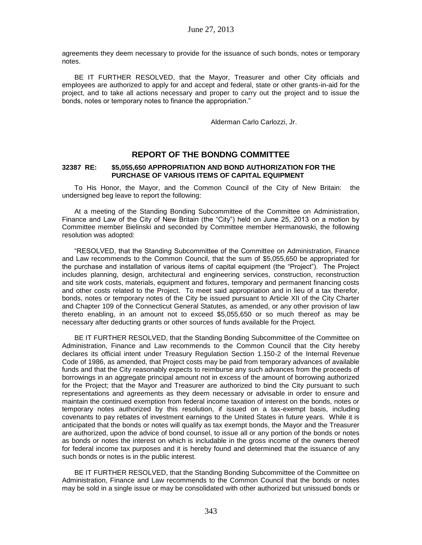agreements they deem necessary to provide for the issuance of such bonds, notes or temporary notes.

BE IT FURTHER RESOLVED, that the Mayor, Treasurer and other City officials and employees are authorized to apply for and accept and federal, state or other grants-in-aid for the project, and to take all actions necessary and proper to carry out the project and to issue the bonds, notes or temporary notes to finance the appropriation."

Alderman Carlo Carlozzi, Jr.

## **REPORT OF THE BONDNG COMMITTEE**

#### **32387 RE: \$5,055,650 APPROPRIATION AND BOND AUTHORIZATION FOR THE PURCHASE OF VARIOUS ITEMS OF CAPITAL EQUIPMENT**

To His Honor, the Mayor, and the Common Council of the City of New Britain: the undersigned beg leave to report the following:

At a meeting of the Standing Bonding Subcommittee of the Committee on Administration, Finance and Law of the City of New Britain (the "City") held on June 25, 2013 on a motion by Committee member Bielinski and seconded by Committee member Hermanowski, the following resolution was adopted:

"RESOLVED, that the Standing Subcommittee of the Committee on Administration, Finance and Law recommends to the Common Council, that the sum of \$5,055,650 be appropriated for the purchase and installation of various items of capital equipment (the "Project"). The Project includes planning, design, architectural and engineering services, construction, reconstruction and site work costs, materials, equipment and fixtures, temporary and permanent financing costs and other costs related to the Project. To meet said appropriation and in lieu of a tax therefor, bonds, notes or temporary notes of the City be issued pursuant to Article XII of the City Charter and Chapter 109 of the Connecticut General Statutes, as amended, or any other provision of law thereto enabling, in an amount not to exceed \$5,055,650 or so much thereof as may be necessary after deducting grants or other sources of funds available for the Project.

BE IT FURTHER RESOLVED, that the Standing Bonding Subcommittee of the Committee on Administration, Finance and Law recommends to the Common Council that the City hereby declares its official intent under Treasury Regulation Section 1.150-2 of the Internal Revenue Code of 1986, as amended, that Project costs may be paid from temporary advances of available funds and that the City reasonably expects to reimburse any such advances from the proceeds of borrowings in an aggregate principal amount not in excess of the amount of borrowing authorized for the Project; that the Mayor and Treasurer are authorized to bind the City pursuant to such representations and agreements as they deem necessary or advisable in order to ensure and maintain the continued exemption from federal income taxation of interest on the bonds, notes or temporary notes authorized by this resolution, if issued on a tax-exempt basis, including covenants to pay rebates of investment earnings to the United States in future years. While it is anticipated that the bonds or notes will qualify as tax exempt bonds, the Mayor and the Treasurer are authorized, upon the advice of bond counsel, to issue all or any portion of the bonds or notes as bonds or notes the interest on which is includable in the gross income of the owners thereof for federal income tax purposes and it is hereby found and determined that the issuance of any such bonds or notes is in the public interest.

BE IT FURTHER RESOLVED, that the Standing Bonding Subcommittee of the Committee on Administration, Finance and Law recommends to the Common Council that the bonds or notes may be sold in a single issue or may be consolidated with other authorized but unissued bonds or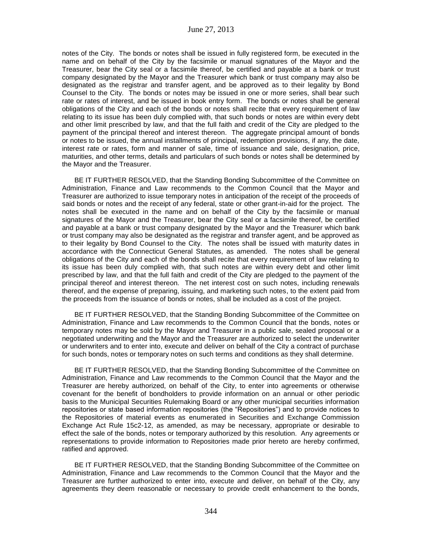notes of the City. The bonds or notes shall be issued in fully registered form, be executed in the name and on behalf of the City by the facsimile or manual signatures of the Mayor and the Treasurer, bear the City seal or a facsimile thereof, be certified and payable at a bank or trust company designated by the Mayor and the Treasurer which bank or trust company may also be designated as the registrar and transfer agent, and be approved as to their legality by Bond Counsel to the City. The bonds or notes may be issued in one or more series, shall bear such rate or rates of interest, and be issued in book entry form. The bonds or notes shall be general obligations of the City and each of the bonds or notes shall recite that every requirement of law relating to its issue has been duly complied with, that such bonds or notes are within every debt and other limit prescribed by law, and that the full faith and credit of the City are pledged to the payment of the principal thereof and interest thereon. The aggregate principal amount of bonds or notes to be issued, the annual installments of principal, redemption provisions, if any, the date, interest rate or rates, form and manner of sale, time of issuance and sale, designation, price, maturities, and other terms, details and particulars of such bonds or notes shall be determined by the Mayor and the Treasurer.

BE IT FURTHER RESOLVED, that the Standing Bonding Subcommittee of the Committee on Administration, Finance and Law recommends to the Common Council that the Mayor and Treasurer are authorized to issue temporary notes in anticipation of the receipt of the proceeds of said bonds or notes and the receipt of any federal, state or other grant-in-aid for the project. The notes shall be executed in the name and on behalf of the City by the facsimile or manual signatures of the Mayor and the Treasurer, bear the City seal or a facsimile thereof, be certified and payable at a bank or trust company designated by the Mayor and the Treasurer which bank or trust company may also be designated as the registrar and transfer agent, and be approved as to their legality by Bond Counsel to the City. The notes shall be issued with maturity dates in accordance with the Connecticut General Statutes, as amended. The notes shall be general obligations of the City and each of the bonds shall recite that every requirement of law relating to its issue has been duly complied with, that such notes are within every debt and other limit prescribed by law, and that the full faith and credit of the City are pledged to the payment of the principal thereof and interest thereon. The net interest cost on such notes, including renewals thereof, and the expense of preparing, issuing, and marketing such notes, to the extent paid from the proceeds from the issuance of bonds or notes, shall be included as a cost of the project.

BE IT FURTHER RESOLVED, that the Standing Bonding Subcommittee of the Committee on Administration, Finance and Law recommends to the Common Council that the bonds, notes or temporary notes may be sold by the Mayor and Treasurer in a public sale, sealed proposal or a negotiated underwriting and the Mayor and the Treasurer are authorized to select the underwriter or underwriters and to enter into, execute and deliver on behalf of the City a contract of purchase for such bonds, notes or temporary notes on such terms and conditions as they shall determine.

BE IT FURTHER RESOLVED, that the Standing Bonding Subcommittee of the Committee on Administration, Finance and Law recommends to the Common Council that the Mayor and the Treasurer are hereby authorized, on behalf of the City, to enter into agreements or otherwise covenant for the benefit of bondholders to provide information on an annual or other periodic basis to the Municipal Securities Rulemaking Board or any other municipal securities information repositories or state based information repositories (the "Repositories") and to provide notices to the Repositories of material events as enumerated in Securities and Exchange Commission Exchange Act Rule 15c2-12, as amended, as may be necessary, appropriate or desirable to effect the sale of the bonds, notes or temporary authorized by this resolution. Any agreements or representations to provide information to Repositories made prior hereto are hereby confirmed, ratified and approved.

BE IT FURTHER RESOLVED, that the Standing Bonding Subcommittee of the Committee on Administration, Finance and Law recommends to the Common Council that the Mayor and the Treasurer are further authorized to enter into, execute and deliver, on behalf of the City, any agreements they deem reasonable or necessary to provide credit enhancement to the bonds,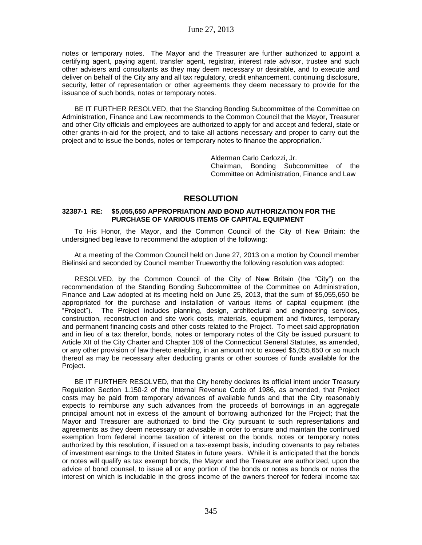notes or temporary notes. The Mayor and the Treasurer are further authorized to appoint a certifying agent, paying agent, transfer agent, registrar, interest rate advisor, trustee and such other advisers and consultants as they may deem necessary or desirable, and to execute and deliver on behalf of the City any and all tax regulatory, credit enhancement, continuing disclosure, security, letter of representation or other agreements they deem necessary to provide for the issuance of such bonds, notes or temporary notes.

BE IT FURTHER RESOLVED, that the Standing Bonding Subcommittee of the Committee on Administration, Finance and Law recommends to the Common Council that the Mayor, Treasurer and other City officials and employees are authorized to apply for and accept and federal, state or other grants-in-aid for the project, and to take all actions necessary and proper to carry out the project and to issue the bonds, notes or temporary notes to finance the appropriation."

> Alderman Carlo Carlozzi, Jr. Chairman, Bonding Subcommittee of the Committee on Administration, Finance and Law

# **RESOLUTION**

## **32387-1 RE: \$5,055,650 APPROPRIATION AND BOND AUTHORIZATION FOR THE PURCHASE OF VARIOUS ITEMS OF CAPITAL EQUIPMENT**

To His Honor, the Mayor, and the Common Council of the City of New Britain: the undersigned beg leave to recommend the adoption of the following:

At a meeting of the Common Council held on June 27, 2013 on a motion by Council member Bielinski and seconded by Council member Trueworthy the following resolution was adopted:

RESOLVED, by the Common Council of the City of New Britain (the "City") on the recommendation of the Standing Bonding Subcommittee of the Committee on Administration, Finance and Law adopted at its meeting held on June 25, 2013, that the sum of \$5,055,650 be appropriated for the purchase and installation of various items of capital equipment (the "Project"). The Project includes planning, design, architectural and engineering services, construction, reconstruction and site work costs, materials, equipment and fixtures, temporary and permanent financing costs and other costs related to the Project. To meet said appropriation and in lieu of a tax therefor, bonds, notes or temporary notes of the City be issued pursuant to Article XII of the City Charter and Chapter 109 of the Connecticut General Statutes, as amended, or any other provision of law thereto enabling, in an amount not to exceed \$5,055,650 or so much thereof as may be necessary after deducting grants or other sources of funds available for the Project.

BE IT FURTHER RESOLVED, that the City hereby declares its official intent under Treasury Regulation Section 1.150-2 of the Internal Revenue Code of 1986, as amended, that Project costs may be paid from temporary advances of available funds and that the City reasonably expects to reimburse any such advances from the proceeds of borrowings in an aggregate principal amount not in excess of the amount of borrowing authorized for the Project; that the Mayor and Treasurer are authorized to bind the City pursuant to such representations and agreements as they deem necessary or advisable in order to ensure and maintain the continued exemption from federal income taxation of interest on the bonds, notes or temporary notes authorized by this resolution, if issued on a tax-exempt basis, including covenants to pay rebates of investment earnings to the United States in future years. While it is anticipated that the bonds or notes will qualify as tax exempt bonds, the Mayor and the Treasurer are authorized, upon the advice of bond counsel, to issue all or any portion of the bonds or notes as bonds or notes the interest on which is includable in the gross income of the owners thereof for federal income tax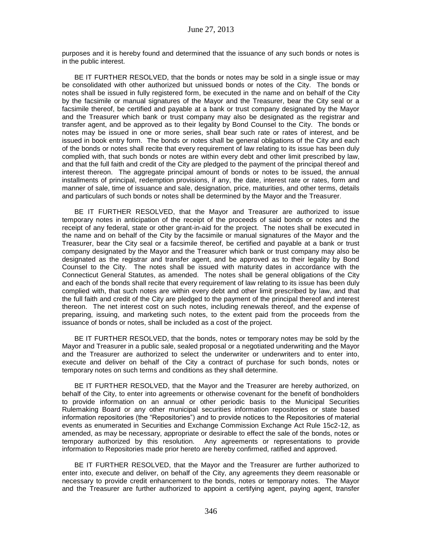purposes and it is hereby found and determined that the issuance of any such bonds or notes is in the public interest.

BE IT FURTHER RESOLVED, that the bonds or notes may be sold in a single issue or may be consolidated with other authorized but unissued bonds or notes of the City. The bonds or notes shall be issued in fully registered form, be executed in the name and on behalf of the City by the facsimile or manual signatures of the Mayor and the Treasurer, bear the City seal or a facsimile thereof, be certified and payable at a bank or trust company designated by the Mayor and the Treasurer which bank or trust company may also be designated as the registrar and transfer agent, and be approved as to their legality by Bond Counsel to the City. The bonds or notes may be issued in one or more series, shall bear such rate or rates of interest, and be issued in book entry form. The bonds or notes shall be general obligations of the City and each of the bonds or notes shall recite that every requirement of law relating to its issue has been duly complied with, that such bonds or notes are within every debt and other limit prescribed by law, and that the full faith and credit of the City are pledged to the payment of the principal thereof and interest thereon. The aggregate principal amount of bonds or notes to be issued, the annual installments of principal, redemption provisions, if any, the date, interest rate or rates, form and manner of sale, time of issuance and sale, designation, price, maturities, and other terms, details and particulars of such bonds or notes shall be determined by the Mayor and the Treasurer.

BE IT FURTHER RESOLVED, that the Mayor and Treasurer are authorized to issue temporary notes in anticipation of the receipt of the proceeds of said bonds or notes and the receipt of any federal, state or other grant-in-aid for the project. The notes shall be executed in the name and on behalf of the City by the facsimile or manual signatures of the Mayor and the Treasurer, bear the City seal or a facsimile thereof, be certified and payable at a bank or trust company designated by the Mayor and the Treasurer which bank or trust company may also be designated as the registrar and transfer agent, and be approved as to their legality by Bond Counsel to the City. The notes shall be issued with maturity dates in accordance with the Connecticut General Statutes, as amended. The notes shall be general obligations of the City and each of the bonds shall recite that every requirement of law relating to its issue has been duly complied with, that such notes are within every debt and other limit prescribed by law, and that the full faith and credit of the City are pledged to the payment of the principal thereof and interest thereon. The net interest cost on such notes, including renewals thereof, and the expense of preparing, issuing, and marketing such notes, to the extent paid from the proceeds from the issuance of bonds or notes, shall be included as a cost of the project.

BE IT FURTHER RESOLVED, that the bonds, notes or temporary notes may be sold by the Mayor and Treasurer in a public sale, sealed proposal or a negotiated underwriting and the Mayor and the Treasurer are authorized to select the underwriter or underwriters and to enter into, execute and deliver on behalf of the City a contract of purchase for such bonds, notes or temporary notes on such terms and conditions as they shall determine.

BE IT FURTHER RESOLVED, that the Mayor and the Treasurer are hereby authorized, on behalf of the City, to enter into agreements or otherwise covenant for the benefit of bondholders to provide information on an annual or other periodic basis to the Municipal Securities Rulemaking Board or any other municipal securities information repositories or state based information repositories (the "Repositories") and to provide notices to the Repositories of material events as enumerated in Securities and Exchange Commission Exchange Act Rule 15c2-12, as amended, as may be necessary, appropriate or desirable to effect the sale of the bonds, notes or temporary authorized by this resolution. Any agreements or representations to provide information to Repositories made prior hereto are hereby confirmed, ratified and approved.

BE IT FURTHER RESOLVED, that the Mayor and the Treasurer are further authorized to enter into, execute and deliver, on behalf of the City, any agreements they deem reasonable or necessary to provide credit enhancement to the bonds, notes or temporary notes. The Mayor and the Treasurer are further authorized to appoint a certifying agent, paying agent, transfer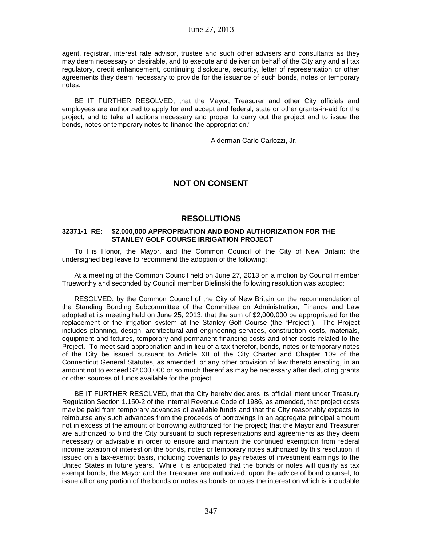agent, registrar, interest rate advisor, trustee and such other advisers and consultants as they may deem necessary or desirable, and to execute and deliver on behalf of the City any and all tax regulatory, credit enhancement, continuing disclosure, security, letter of representation or other agreements they deem necessary to provide for the issuance of such bonds, notes or temporary notes.

BE IT FURTHER RESOLVED, that the Mayor, Treasurer and other City officials and employees are authorized to apply for and accept and federal, state or other grants-in-aid for the project, and to take all actions necessary and proper to carry out the project and to issue the bonds, notes or temporary notes to finance the appropriation."

Alderman Carlo Carlozzi, Jr.

# **NOT ON CONSENT**

## **RESOLUTIONS**

### **32371-1 RE: \$2,000,000 APPROPRIATION AND BOND AUTHORIZATION FOR THE STANLEY GOLF COURSE IRRIGATION PROJECT**

To His Honor, the Mayor, and the Common Council of the City of New Britain: the undersigned beg leave to recommend the adoption of the following:

At a meeting of the Common Council held on June 27, 2013 on a motion by Council member Trueworthy and seconded by Council member Bielinski the following resolution was adopted:

RESOLVED, by the Common Council of the City of New Britain on the recommendation of the Standing Bonding Subcommittee of the Committee on Administration, Finance and Law adopted at its meeting held on June 25, 2013, that the sum of \$2,000,000 be appropriated for the replacement of the irrigation system at the Stanley Golf Course (the "Project"). The Project includes planning, design, architectural and engineering services, construction costs, materials, equipment and fixtures, temporary and permanent financing costs and other costs related to the Project. To meet said appropriation and in lieu of a tax therefor, bonds, notes or temporary notes of the City be issued pursuant to Article XII of the City Charter and Chapter 109 of the Connecticut General Statutes, as amended, or any other provision of law thereto enabling, in an amount not to exceed \$2,000,000 or so much thereof as may be necessary after deducting grants or other sources of funds available for the project.

BE IT FURTHER RESOLVED, that the City hereby declares its official intent under Treasury Regulation Section 1.150-2 of the Internal Revenue Code of 1986, as amended, that project costs may be paid from temporary advances of available funds and that the City reasonably expects to reimburse any such advances from the proceeds of borrowings in an aggregate principal amount not in excess of the amount of borrowing authorized for the project; that the Mayor and Treasurer are authorized to bind the City pursuant to such representations and agreements as they deem necessary or advisable in order to ensure and maintain the continued exemption from federal income taxation of interest on the bonds, notes or temporary notes authorized by this resolution, if issued on a tax-exempt basis, including covenants to pay rebates of investment earnings to the United States in future years. While it is anticipated that the bonds or notes will qualify as tax exempt bonds, the Mayor and the Treasurer are authorized, upon the advice of bond counsel, to issue all or any portion of the bonds or notes as bonds or notes the interest on which is includable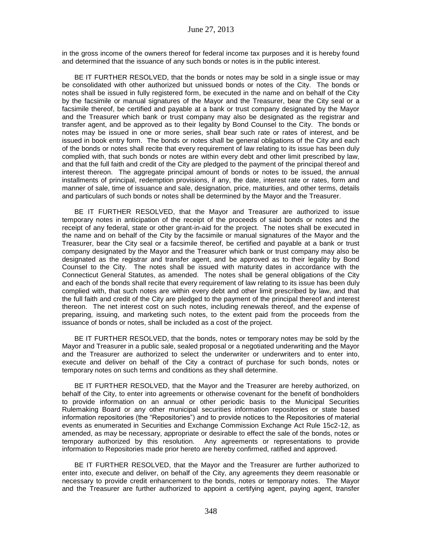in the gross income of the owners thereof for federal income tax purposes and it is hereby found and determined that the issuance of any such bonds or notes is in the public interest.

BE IT FURTHER RESOLVED, that the bonds or notes may be sold in a single issue or may be consolidated with other authorized but unissued bonds or notes of the City. The bonds or notes shall be issued in fully registered form, be executed in the name and on behalf of the City by the facsimile or manual signatures of the Mayor and the Treasurer, bear the City seal or a facsimile thereof, be certified and payable at a bank or trust company designated by the Mayor and the Treasurer which bank or trust company may also be designated as the registrar and transfer agent, and be approved as to their legality by Bond Counsel to the City. The bonds or notes may be issued in one or more series, shall bear such rate or rates of interest, and be issued in book entry form. The bonds or notes shall be general obligations of the City and each of the bonds or notes shall recite that every requirement of law relating to its issue has been duly complied with, that such bonds or notes are within every debt and other limit prescribed by law, and that the full faith and credit of the City are pledged to the payment of the principal thereof and interest thereon. The aggregate principal amount of bonds or notes to be issued, the annual installments of principal, redemption provisions, if any, the date, interest rate or rates, form and manner of sale, time of issuance and sale, designation, price, maturities, and other terms, details and particulars of such bonds or notes shall be determined by the Mayor and the Treasurer.

BE IT FURTHER RESOLVED, that the Mayor and Treasurer are authorized to issue temporary notes in anticipation of the receipt of the proceeds of said bonds or notes and the receipt of any federal, state or other grant-in-aid for the project. The notes shall be executed in the name and on behalf of the City by the facsimile or manual signatures of the Mayor and the Treasurer, bear the City seal or a facsimile thereof, be certified and payable at a bank or trust company designated by the Mayor and the Treasurer which bank or trust company may also be designated as the registrar and transfer agent, and be approved as to their legality by Bond Counsel to the City. The notes shall be issued with maturity dates in accordance with the Connecticut General Statutes, as amended. The notes shall be general obligations of the City and each of the bonds shall recite that every requirement of law relating to its issue has been duly complied with, that such notes are within every debt and other limit prescribed by law, and that the full faith and credit of the City are pledged to the payment of the principal thereof and interest thereon. The net interest cost on such notes, including renewals thereof, and the expense of preparing, issuing, and marketing such notes, to the extent paid from the proceeds from the issuance of bonds or notes, shall be included as a cost of the project.

BE IT FURTHER RESOLVED, that the bonds, notes or temporary notes may be sold by the Mayor and Treasurer in a public sale, sealed proposal or a negotiated underwriting and the Mayor and the Treasurer are authorized to select the underwriter or underwriters and to enter into, execute and deliver on behalf of the City a contract of purchase for such bonds, notes or temporary notes on such terms and conditions as they shall determine.

BE IT FURTHER RESOLVED, that the Mayor and the Treasurer are hereby authorized, on behalf of the City, to enter into agreements or otherwise covenant for the benefit of bondholders to provide information on an annual or other periodic basis to the Municipal Securities Rulemaking Board or any other municipal securities information repositories or state based information repositories (the "Repositories") and to provide notices to the Repositories of material events as enumerated in Securities and Exchange Commission Exchange Act Rule 15c2-12, as amended, as may be necessary, appropriate or desirable to effect the sale of the bonds, notes or temporary authorized by this resolution. Any agreements or representations to provide information to Repositories made prior hereto are hereby confirmed, ratified and approved.

BE IT FURTHER RESOLVED, that the Mayor and the Treasurer are further authorized to enter into, execute and deliver, on behalf of the City, any agreements they deem reasonable or necessary to provide credit enhancement to the bonds, notes or temporary notes. The Mayor and the Treasurer are further authorized to appoint a certifying agent, paying agent, transfer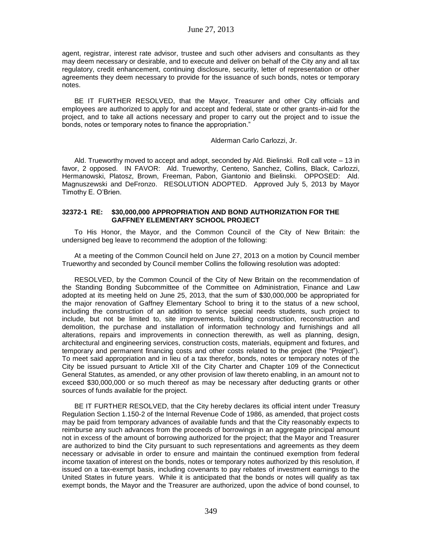agent, registrar, interest rate advisor, trustee and such other advisers and consultants as they may deem necessary or desirable, and to execute and deliver on behalf of the City any and all tax regulatory, credit enhancement, continuing disclosure, security, letter of representation or other agreements they deem necessary to provide for the issuance of such bonds, notes or temporary notes.

BE IT FURTHER RESOLVED, that the Mayor, Treasurer and other City officials and employees are authorized to apply for and accept and federal, state or other grants-in-aid for the project, and to take all actions necessary and proper to carry out the project and to issue the bonds, notes or temporary notes to finance the appropriation."

Alderman Carlo Carlozzi, Jr.

Ald. Trueworthy moved to accept and adopt, seconded by Ald. Bielinski. Roll call vote – 13 in favor, 2 opposed. IN FAVOR: Ald. Trueworthy, Centeno, Sanchez, Collins, Black, Carlozzi, Hermanowski, Platosz, Brown, Freeman, Pabon, Giantonio and Bielinski. OPPOSED: Ald. Magnuszewski and DeFronzo. RESOLUTION ADOPTED. Approved July 5, 2013 by Mayor Timothy E. O'Brien.

### **32372-1 RE: \$30,000,000 APPROPRIATION AND BOND AUTHORIZATION FOR THE GAFFNEY ELEMENTARY SCHOOL PROJECT**

To His Honor, the Mayor, and the Common Council of the City of New Britain: the undersigned beg leave to recommend the adoption of the following:

At a meeting of the Common Council held on June 27, 2013 on a motion by Council member Trueworthy and seconded by Council member Collins the following resolution was adopted:

RESOLVED, by the Common Council of the City of New Britain on the recommendation of the Standing Bonding Subcommittee of the Committee on Administration, Finance and Law adopted at its meeting held on June 25, 2013, that the sum of \$30,000,000 be appropriated for the major renovation of Gaffney Elementary School to bring it to the status of a new school, including the construction of an addition to service special needs students, such project to include, but not be limited to, site improvements, building construction, reconstruction and demolition, the purchase and installation of information technology and furnishings and all alterations, repairs and improvements in connection therewith, as well as planning, design, architectural and engineering services, construction costs, materials, equipment and fixtures, and temporary and permanent financing costs and other costs related to the project (the "Project"). To meet said appropriation and in lieu of a tax therefor, bonds, notes or temporary notes of the City be issued pursuant to Article XII of the City Charter and Chapter 109 of the Connecticut General Statutes, as amended, or any other provision of law thereto enabling, in an amount not to exceed \$30,000,000 or so much thereof as may be necessary after deducting grants or other sources of funds available for the project.

BE IT FURTHER RESOLVED, that the City hereby declares its official intent under Treasury Regulation Section 1.150-2 of the Internal Revenue Code of 1986, as amended, that project costs may be paid from temporary advances of available funds and that the City reasonably expects to reimburse any such advances from the proceeds of borrowings in an aggregate principal amount not in excess of the amount of borrowing authorized for the project; that the Mayor and Treasurer are authorized to bind the City pursuant to such representations and agreements as they deem necessary or advisable in order to ensure and maintain the continued exemption from federal income taxation of interest on the bonds, notes or temporary notes authorized by this resolution, if issued on a tax-exempt basis, including covenants to pay rebates of investment earnings to the United States in future years. While it is anticipated that the bonds or notes will qualify as tax exempt bonds, the Mayor and the Treasurer are authorized, upon the advice of bond counsel, to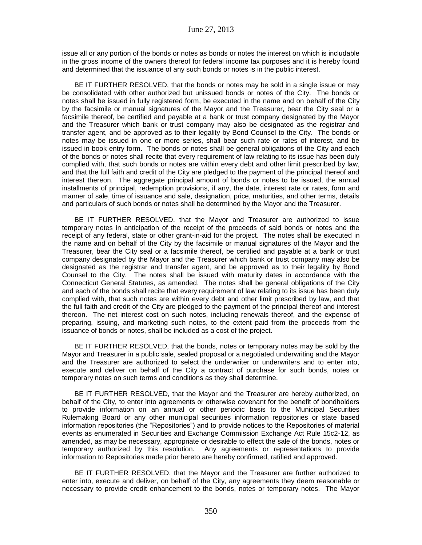issue all or any portion of the bonds or notes as bonds or notes the interest on which is includable in the gross income of the owners thereof for federal income tax purposes and it is hereby found and determined that the issuance of any such bonds or notes is in the public interest.

BE IT FURTHER RESOLVED, that the bonds or notes may be sold in a single issue or may be consolidated with other authorized but unissued bonds or notes of the City. The bonds or notes shall be issued in fully registered form, be executed in the name and on behalf of the City by the facsimile or manual signatures of the Mayor and the Treasurer, bear the City seal or a facsimile thereof, be certified and payable at a bank or trust company designated by the Mayor and the Treasurer which bank or trust company may also be designated as the registrar and transfer agent, and be approved as to their legality by Bond Counsel to the City. The bonds or notes may be issued in one or more series, shall bear such rate or rates of interest, and be issued in book entry form. The bonds or notes shall be general obligations of the City and each of the bonds or notes shall recite that every requirement of law relating to its issue has been duly complied with, that such bonds or notes are within every debt and other limit prescribed by law, and that the full faith and credit of the City are pledged to the payment of the principal thereof and interest thereon. The aggregate principal amount of bonds or notes to be issued, the annual installments of principal, redemption provisions, if any, the date, interest rate or rates, form and manner of sale, time of issuance and sale, designation, price, maturities, and other terms, details and particulars of such bonds or notes shall be determined by the Mayor and the Treasurer.

BE IT FURTHER RESOLVED, that the Mayor and Treasurer are authorized to issue temporary notes in anticipation of the receipt of the proceeds of said bonds or notes and the receipt of any federal, state or other grant-in-aid for the project. The notes shall be executed in the name and on behalf of the City by the facsimile or manual signatures of the Mayor and the Treasurer, bear the City seal or a facsimile thereof, be certified and payable at a bank or trust company designated by the Mayor and the Treasurer which bank or trust company may also be designated as the registrar and transfer agent, and be approved as to their legality by Bond Counsel to the City. The notes shall be issued with maturity dates in accordance with the Connecticut General Statutes, as amended. The notes shall be general obligations of the City and each of the bonds shall recite that every requirement of law relating to its issue has been duly complied with, that such notes are within every debt and other limit prescribed by law, and that the full faith and credit of the City are pledged to the payment of the principal thereof and interest thereon. The net interest cost on such notes, including renewals thereof, and the expense of preparing, issuing, and marketing such notes, to the extent paid from the proceeds from the issuance of bonds or notes, shall be included as a cost of the project.

BE IT FURTHER RESOLVED, that the bonds, notes or temporary notes may be sold by the Mayor and Treasurer in a public sale, sealed proposal or a negotiated underwriting and the Mayor and the Treasurer are authorized to select the underwriter or underwriters and to enter into, execute and deliver on behalf of the City a contract of purchase for such bonds, notes or temporary notes on such terms and conditions as they shall determine.

BE IT FURTHER RESOLVED, that the Mayor and the Treasurer are hereby authorized, on behalf of the City, to enter into agreements or otherwise covenant for the benefit of bondholders to provide information on an annual or other periodic basis to the Municipal Securities Rulemaking Board or any other municipal securities information repositories or state based information repositories (the "Repositories") and to provide notices to the Repositories of material events as enumerated in Securities and Exchange Commission Exchange Act Rule 15c2-12, as amended, as may be necessary, appropriate or desirable to effect the sale of the bonds, notes or temporary authorized by this resolution. Any agreements or representations to provide information to Repositories made prior hereto are hereby confirmed, ratified and approved.

BE IT FURTHER RESOLVED, that the Mayor and the Treasurer are further authorized to enter into, execute and deliver, on behalf of the City, any agreements they deem reasonable or necessary to provide credit enhancement to the bonds, notes or temporary notes. The Mayor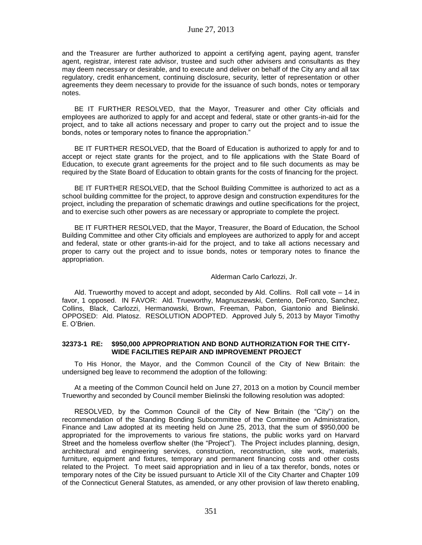and the Treasurer are further authorized to appoint a certifying agent, paying agent, transfer agent, registrar, interest rate advisor, trustee and such other advisers and consultants as they may deem necessary or desirable, and to execute and deliver on behalf of the City any and all tax regulatory, credit enhancement, continuing disclosure, security, letter of representation or other agreements they deem necessary to provide for the issuance of such bonds, notes or temporary notes.

BE IT FURTHER RESOLVED, that the Mayor, Treasurer and other City officials and employees are authorized to apply for and accept and federal, state or other grants-in-aid for the project, and to take all actions necessary and proper to carry out the project and to issue the bonds, notes or temporary notes to finance the appropriation."

BE IT FURTHER RESOLVED, that the Board of Education is authorized to apply for and to accept or reject state grants for the project, and to file applications with the State Board of Education, to execute grant agreements for the project and to file such documents as may be required by the State Board of Education to obtain grants for the costs of financing for the project.

BE IT FURTHER RESOLVED, that the School Building Committee is authorized to act as a school building committee for the project, to approve design and construction expenditures for the project, including the preparation of schematic drawings and outline specifications for the project, and to exercise such other powers as are necessary or appropriate to complete the project.

BE IT FURTHER RESOLVED, that the Mayor, Treasurer, the Board of Education, the School Building Committee and other City officials and employees are authorized to apply for and accept and federal, state or other grants-in-aid for the project, and to take all actions necessary and proper to carry out the project and to issue bonds, notes or temporary notes to finance the appropriation.

Alderman Carlo Carlozzi, Jr.

Ald. Trueworthy moved to accept and adopt, seconded by Ald. Collins. Roll call vote – 14 in favor, 1 opposed. IN FAVOR: Ald. Trueworthy, Magnuszewski, Centeno, DeFronzo, Sanchez, Collins, Black, Carlozzi, Hermanowski, Brown, Freeman, Pabon, Giantonio and Bielinski. OPPOSED: Ald. Platosz. RESOLUTION ADOPTED. Approved July 5, 2013 by Mayor Timothy E. O'Brien.

## **32373-1 RE: \$950,000 APPROPRIATION AND BOND AUTHORIZATION FOR THE CITY-WIDE FACILITIES REPAIR AND IMPROVEMENT PROJECT**

To His Honor, the Mayor, and the Common Council of the City of New Britain: the undersigned beg leave to recommend the adoption of the following:

At a meeting of the Common Council held on June 27, 2013 on a motion by Council member Trueworthy and seconded by Council member Bielinski the following resolution was adopted:

RESOLVED, by the Common Council of the City of New Britain (the "City") on the recommendation of the Standing Bonding Subcommittee of the Committee on Administration, Finance and Law adopted at its meeting held on June 25, 2013, that the sum of \$950,000 be appropriated for the improvements to various fire stations, the public works yard on Harvard Street and the homeless overflow shelter (the "Project"). The Project includes planning, design, architectural and engineering services, construction, reconstruction, site work, materials, furniture, equipment and fixtures, temporary and permanent financing costs and other costs related to the Project. To meet said appropriation and in lieu of a tax therefor, bonds, notes or temporary notes of the City be issued pursuant to Article XII of the City Charter and Chapter 109 of the Connecticut General Statutes, as amended, or any other provision of law thereto enabling,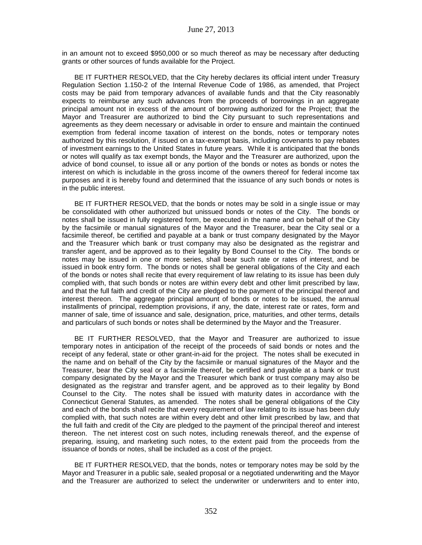in an amount not to exceed \$950,000 or so much thereof as may be necessary after deducting grants or other sources of funds available for the Project.

BE IT FURTHER RESOLVED, that the City hereby declares its official intent under Treasury Regulation Section 1.150-2 of the Internal Revenue Code of 1986, as amended, that Project costs may be paid from temporary advances of available funds and that the City reasonably expects to reimburse any such advances from the proceeds of borrowings in an aggregate principal amount not in excess of the amount of borrowing authorized for the Project; that the Mayor and Treasurer are authorized to bind the City pursuant to such representations and agreements as they deem necessary or advisable in order to ensure and maintain the continued exemption from federal income taxation of interest on the bonds, notes or temporary notes authorized by this resolution, if issued on a tax-exempt basis, including covenants to pay rebates of investment earnings to the United States in future years. While it is anticipated that the bonds or notes will qualify as tax exempt bonds, the Mayor and the Treasurer are authorized, upon the advice of bond counsel, to issue all or any portion of the bonds or notes as bonds or notes the interest on which is includable in the gross income of the owners thereof for federal income tax purposes and it is hereby found and determined that the issuance of any such bonds or notes is in the public interest.

BE IT FURTHER RESOLVED, that the bonds or notes may be sold in a single issue or may be consolidated with other authorized but unissued bonds or notes of the City. The bonds or notes shall be issued in fully registered form, be executed in the name and on behalf of the City by the facsimile or manual signatures of the Mayor and the Treasurer, bear the City seal or a facsimile thereof, be certified and payable at a bank or trust company designated by the Mayor and the Treasurer which bank or trust company may also be designated as the registrar and transfer agent, and be approved as to their legality by Bond Counsel to the City. The bonds or notes may be issued in one or more series, shall bear such rate or rates of interest, and be issued in book entry form. The bonds or notes shall be general obligations of the City and each of the bonds or notes shall recite that every requirement of law relating to its issue has been duly complied with, that such bonds or notes are within every debt and other limit prescribed by law, and that the full faith and credit of the City are pledged to the payment of the principal thereof and interest thereon. The aggregate principal amount of bonds or notes to be issued, the annual installments of principal, redemption provisions, if any, the date, interest rate or rates, form and manner of sale, time of issuance and sale, designation, price, maturities, and other terms, details and particulars of such bonds or notes shall be determined by the Mayor and the Treasurer.

BE IT FURTHER RESOLVED, that the Mayor and Treasurer are authorized to issue temporary notes in anticipation of the receipt of the proceeds of said bonds or notes and the receipt of any federal, state or other grant-in-aid for the project. The notes shall be executed in the name and on behalf of the City by the facsimile or manual signatures of the Mayor and the Treasurer, bear the City seal or a facsimile thereof, be certified and payable at a bank or trust company designated by the Mayor and the Treasurer which bank or trust company may also be designated as the registrar and transfer agent, and be approved as to their legality by Bond Counsel to the City. The notes shall be issued with maturity dates in accordance with the Connecticut General Statutes, as amended. The notes shall be general obligations of the City and each of the bonds shall recite that every requirement of law relating to its issue has been duly complied with, that such notes are within every debt and other limit prescribed by law, and that the full faith and credit of the City are pledged to the payment of the principal thereof and interest thereon. The net interest cost on such notes, including renewals thereof, and the expense of preparing, issuing, and marketing such notes, to the extent paid from the proceeds from the issuance of bonds or notes, shall be included as a cost of the project.

BE IT FURTHER RESOLVED, that the bonds, notes or temporary notes may be sold by the Mayor and Treasurer in a public sale, sealed proposal or a negotiated underwriting and the Mayor and the Treasurer are authorized to select the underwriter or underwriters and to enter into,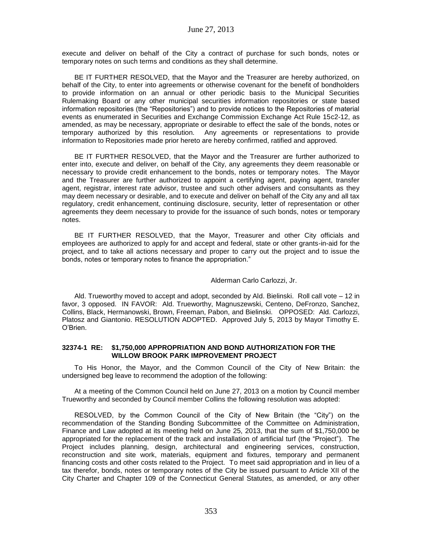execute and deliver on behalf of the City a contract of purchase for such bonds, notes or temporary notes on such terms and conditions as they shall determine.

BE IT FURTHER RESOLVED, that the Mayor and the Treasurer are hereby authorized, on behalf of the City, to enter into agreements or otherwise covenant for the benefit of bondholders to provide information on an annual or other periodic basis to the Municipal Securities Rulemaking Board or any other municipal securities information repositories or state based information repositories (the "Repositories") and to provide notices to the Repositories of material events as enumerated in Securities and Exchange Commission Exchange Act Rule 15c2-12, as amended, as may be necessary, appropriate or desirable to effect the sale of the bonds, notes or temporary authorized by this resolution. Any agreements or representations to provide information to Repositories made prior hereto are hereby confirmed, ratified and approved.

BE IT FURTHER RESOLVED, that the Mayor and the Treasurer are further authorized to enter into, execute and deliver, on behalf of the City, any agreements they deem reasonable or necessary to provide credit enhancement to the bonds, notes or temporary notes. The Mayor and the Treasurer are further authorized to appoint a certifying agent, paying agent, transfer agent, registrar, interest rate advisor, trustee and such other advisers and consultants as they may deem necessary or desirable, and to execute and deliver on behalf of the City any and all tax regulatory, credit enhancement, continuing disclosure, security, letter of representation or other agreements they deem necessary to provide for the issuance of such bonds, notes or temporary notes.

BE IT FURTHER RESOLVED, that the Mayor, Treasurer and other City officials and employees are authorized to apply for and accept and federal, state or other grants-in-aid for the project, and to take all actions necessary and proper to carry out the project and to issue the bonds, notes or temporary notes to finance the appropriation."

## Alderman Carlo Carlozzi, Jr.

Ald. Trueworthy moved to accept and adopt, seconded by Ald. Bielinski. Roll call vote – 12 in favor, 3 opposed. IN FAVOR: Ald. Trueworthy, Magnuszewski, Centeno, DeFronzo, Sanchez, Collins, Black, Hermanowski, Brown, Freeman, Pabon, and Bielinski. OPPOSED: Ald. Carlozzi, Platosz and Giantonio. RESOLUTION ADOPTED. Approved July 5, 2013 by Mayor Timothy E. O'Brien.

## **32374-1 RE: \$1,750,000 APPROPRIATION AND BOND AUTHORIZATION FOR THE WILLOW BROOK PARK IMPROVEMENT PROJECT**

To His Honor, the Mayor, and the Common Council of the City of New Britain: the undersigned beg leave to recommend the adoption of the following:

At a meeting of the Common Council held on June 27, 2013 on a motion by Council member Trueworthy and seconded by Council member Collins the following resolution was adopted:

RESOLVED, by the Common Council of the City of New Britain (the "City") on the recommendation of the Standing Bonding Subcommittee of the Committee on Administration, Finance and Law adopted at its meeting held on June 25, 2013, that the sum of \$1,750,000 be appropriated for the replacement of the track and installation of artificial turf (the "Project"). The Project includes planning, design, architectural and engineering services, construction, reconstruction and site work, materials, equipment and fixtures, temporary and permanent financing costs and other costs related to the Project. To meet said appropriation and in lieu of a tax therefor, bonds, notes or temporary notes of the City be issued pursuant to Article XII of the City Charter and Chapter 109 of the Connecticut General Statutes, as amended, or any other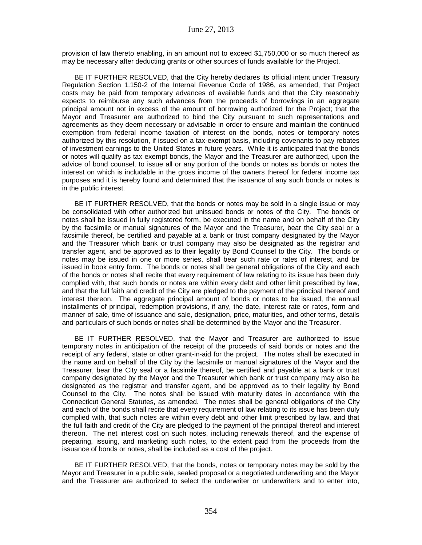provision of law thereto enabling, in an amount not to exceed \$1,750,000 or so much thereof as may be necessary after deducting grants or other sources of funds available for the Project.

BE IT FURTHER RESOLVED, that the City hereby declares its official intent under Treasury Regulation Section 1.150-2 of the Internal Revenue Code of 1986, as amended, that Project costs may be paid from temporary advances of available funds and that the City reasonably expects to reimburse any such advances from the proceeds of borrowings in an aggregate principal amount not in excess of the amount of borrowing authorized for the Project; that the Mayor and Treasurer are authorized to bind the City pursuant to such representations and agreements as they deem necessary or advisable in order to ensure and maintain the continued exemption from federal income taxation of interest on the bonds, notes or temporary notes authorized by this resolution, if issued on a tax-exempt basis, including covenants to pay rebates of investment earnings to the United States in future years. While it is anticipated that the bonds or notes will qualify as tax exempt bonds, the Mayor and the Treasurer are authorized, upon the advice of bond counsel, to issue all or any portion of the bonds or notes as bonds or notes the interest on which is includable in the gross income of the owners thereof for federal income tax purposes and it is hereby found and determined that the issuance of any such bonds or notes is in the public interest.

BE IT FURTHER RESOLVED, that the bonds or notes may be sold in a single issue or may be consolidated with other authorized but unissued bonds or notes of the City. The bonds or notes shall be issued in fully registered form, be executed in the name and on behalf of the City by the facsimile or manual signatures of the Mayor and the Treasurer, bear the City seal or a facsimile thereof, be certified and payable at a bank or trust company designated by the Mayor and the Treasurer which bank or trust company may also be designated as the registrar and transfer agent, and be approved as to their legality by Bond Counsel to the City. The bonds or notes may be issued in one or more series, shall bear such rate or rates of interest, and be issued in book entry form. The bonds or notes shall be general obligations of the City and each of the bonds or notes shall recite that every requirement of law relating to its issue has been duly complied with, that such bonds or notes are within every debt and other limit prescribed by law, and that the full faith and credit of the City are pledged to the payment of the principal thereof and interest thereon. The aggregate principal amount of bonds or notes to be issued, the annual installments of principal, redemption provisions, if any, the date, interest rate or rates, form and manner of sale, time of issuance and sale, designation, price, maturities, and other terms, details and particulars of such bonds or notes shall be determined by the Mayor and the Treasurer.

BE IT FURTHER RESOLVED, that the Mayor and Treasurer are authorized to issue temporary notes in anticipation of the receipt of the proceeds of said bonds or notes and the receipt of any federal, state or other grant-in-aid for the project. The notes shall be executed in the name and on behalf of the City by the facsimile or manual signatures of the Mayor and the Treasurer, bear the City seal or a facsimile thereof, be certified and payable at a bank or trust company designated by the Mayor and the Treasurer which bank or trust company may also be designated as the registrar and transfer agent, and be approved as to their legality by Bond Counsel to the City. The notes shall be issued with maturity dates in accordance with the Connecticut General Statutes, as amended. The notes shall be general obligations of the City and each of the bonds shall recite that every requirement of law relating to its issue has been duly complied with, that such notes are within every debt and other limit prescribed by law, and that the full faith and credit of the City are pledged to the payment of the principal thereof and interest thereon. The net interest cost on such notes, including renewals thereof, and the expense of preparing, issuing, and marketing such notes, to the extent paid from the proceeds from the issuance of bonds or notes, shall be included as a cost of the project.

BE IT FURTHER RESOLVED, that the bonds, notes or temporary notes may be sold by the Mayor and Treasurer in a public sale, sealed proposal or a negotiated underwriting and the Mayor and the Treasurer are authorized to select the underwriter or underwriters and to enter into,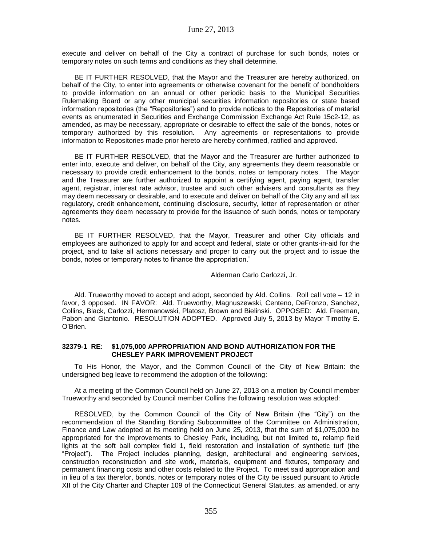execute and deliver on behalf of the City a contract of purchase for such bonds, notes or temporary notes on such terms and conditions as they shall determine.

BE IT FURTHER RESOLVED, that the Mayor and the Treasurer are hereby authorized, on behalf of the City, to enter into agreements or otherwise covenant for the benefit of bondholders to provide information on an annual or other periodic basis to the Municipal Securities Rulemaking Board or any other municipal securities information repositories or state based information repositories (the "Repositories") and to provide notices to the Repositories of material events as enumerated in Securities and Exchange Commission Exchange Act Rule 15c2-12, as amended, as may be necessary, appropriate or desirable to effect the sale of the bonds, notes or temporary authorized by this resolution. Any agreements or representations to provide information to Repositories made prior hereto are hereby confirmed, ratified and approved.

BE IT FURTHER RESOLVED, that the Mayor and the Treasurer are further authorized to enter into, execute and deliver, on behalf of the City, any agreements they deem reasonable or necessary to provide credit enhancement to the bonds, notes or temporary notes. The Mayor and the Treasurer are further authorized to appoint a certifying agent, paying agent, transfer agent, registrar, interest rate advisor, trustee and such other advisers and consultants as they may deem necessary or desirable, and to execute and deliver on behalf of the City any and all tax regulatory, credit enhancement, continuing disclosure, security, letter of representation or other agreements they deem necessary to provide for the issuance of such bonds, notes or temporary notes.

BE IT FURTHER RESOLVED, that the Mayor, Treasurer and other City officials and employees are authorized to apply for and accept and federal, state or other grants-in-aid for the project, and to take all actions necessary and proper to carry out the project and to issue the bonds, notes or temporary notes to finance the appropriation."

Alderman Carlo Carlozzi, Jr.

Ald. Trueworthy moved to accept and adopt, seconded by Ald. Collins. Roll call vote – 12 in favor, 3 opposed. IN FAVOR: Ald. Trueworthy, Magnuszewski, Centeno, DeFronzo, Sanchez, Collins, Black, Carlozzi, Hermanowski, Platosz, Brown and Bielinski. OPPOSED: Ald. Freeman, Pabon and Giantonio. RESOLUTION ADOPTED. Approved July 5, 2013 by Mayor Timothy E. O'Brien.

## **32379-1 RE: \$1,075,000 APPROPRIATION AND BOND AUTHORIZATION FOR THE CHESLEY PARK IMPROVEMENT PROJECT**

To His Honor, the Mayor, and the Common Council of the City of New Britain: the undersigned beg leave to recommend the adoption of the following:

At a meeting of the Common Council held on June 27, 2013 on a motion by Council member Trueworthy and seconded by Council member Collins the following resolution was adopted:

RESOLVED, by the Common Council of the City of New Britain (the "City") on the recommendation of the Standing Bonding Subcommittee of the Committee on Administration, Finance and Law adopted at its meeting held on June 25, 2013, that the sum of \$1,075,000 be appropriated for the improvements to Chesley Park, including, but not limited to, relamp field lights at the soft ball complex field 1, field restoration and installation of synthetic turf (the "Project"). The Project includes planning, design, architectural and engineering services, construction reconstruction and site work, materials, equipment and fixtures, temporary and permanent financing costs and other costs related to the Project. To meet said appropriation and in lieu of a tax therefor, bonds, notes or temporary notes of the City be issued pursuant to Article XII of the City Charter and Chapter 109 of the Connecticut General Statutes, as amended, or any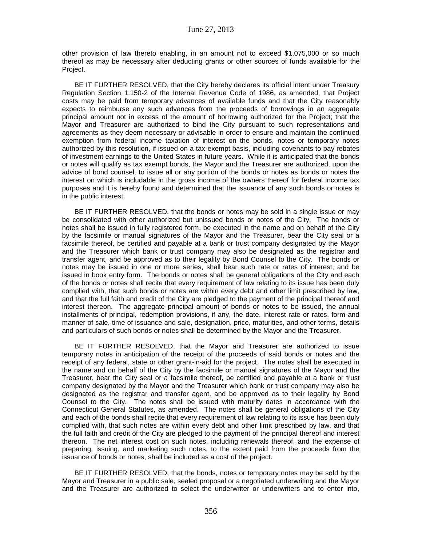other provision of law thereto enabling, in an amount not to exceed \$1,075,000 or so much thereof as may be necessary after deducting grants or other sources of funds available for the Project.

BE IT FURTHER RESOLVED, that the City hereby declares its official intent under Treasury Regulation Section 1.150-2 of the Internal Revenue Code of 1986, as amended, that Project costs may be paid from temporary advances of available funds and that the City reasonably expects to reimburse any such advances from the proceeds of borrowings in an aggregate principal amount not in excess of the amount of borrowing authorized for the Project; that the Mayor and Treasurer are authorized to bind the City pursuant to such representations and agreements as they deem necessary or advisable in order to ensure and maintain the continued exemption from federal income taxation of interest on the bonds, notes or temporary notes authorized by this resolution, if issued on a tax-exempt basis, including covenants to pay rebates of investment earnings to the United States in future years. While it is anticipated that the bonds or notes will qualify as tax exempt bonds, the Mayor and the Treasurer are authorized, upon the advice of bond counsel, to issue all or any portion of the bonds or notes as bonds or notes the interest on which is includable in the gross income of the owners thereof for federal income tax purposes and it is hereby found and determined that the issuance of any such bonds or notes is in the public interest.

BE IT FURTHER RESOLVED, that the bonds or notes may be sold in a single issue or may be consolidated with other authorized but unissued bonds or notes of the City. The bonds or notes shall be issued in fully registered form, be executed in the name and on behalf of the City by the facsimile or manual signatures of the Mayor and the Treasurer, bear the City seal or a facsimile thereof, be certified and payable at a bank or trust company designated by the Mayor and the Treasurer which bank or trust company may also be designated as the registrar and transfer agent, and be approved as to their legality by Bond Counsel to the City. The bonds or notes may be issued in one or more series, shall bear such rate or rates of interest, and be issued in book entry form. The bonds or notes shall be general obligations of the City and each of the bonds or notes shall recite that every requirement of law relating to its issue has been duly complied with, that such bonds or notes are within every debt and other limit prescribed by law, and that the full faith and credit of the City are pledged to the payment of the principal thereof and interest thereon. The aggregate principal amount of bonds or notes to be issued, the annual installments of principal, redemption provisions, if any, the date, interest rate or rates, form and manner of sale, time of issuance and sale, designation, price, maturities, and other terms, details and particulars of such bonds or notes shall be determined by the Mayor and the Treasurer.

BE IT FURTHER RESOLVED, that the Mayor and Treasurer are authorized to issue temporary notes in anticipation of the receipt of the proceeds of said bonds or notes and the receipt of any federal, state or other grant-in-aid for the project. The notes shall be executed in the name and on behalf of the City by the facsimile or manual signatures of the Mayor and the Treasurer, bear the City seal or a facsimile thereof, be certified and payable at a bank or trust company designated by the Mayor and the Treasurer which bank or trust company may also be designated as the registrar and transfer agent, and be approved as to their legality by Bond Counsel to the City. The notes shall be issued with maturity dates in accordance with the Connecticut General Statutes, as amended. The notes shall be general obligations of the City and each of the bonds shall recite that every requirement of law relating to its issue has been duly complied with, that such notes are within every debt and other limit prescribed by law, and that the full faith and credit of the City are pledged to the payment of the principal thereof and interest thereon. The net interest cost on such notes, including renewals thereof, and the expense of preparing, issuing, and marketing such notes, to the extent paid from the proceeds from the issuance of bonds or notes, shall be included as a cost of the project.

BE IT FURTHER RESOLVED, that the bonds, notes or temporary notes may be sold by the Mayor and Treasurer in a public sale, sealed proposal or a negotiated underwriting and the Mayor and the Treasurer are authorized to select the underwriter or underwriters and to enter into,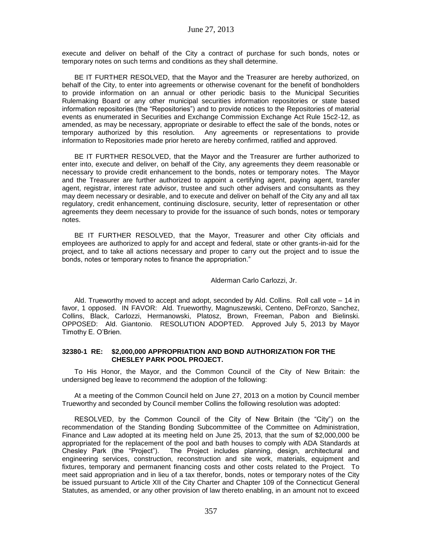execute and deliver on behalf of the City a contract of purchase for such bonds, notes or temporary notes on such terms and conditions as they shall determine.

BE IT FURTHER RESOLVED, that the Mayor and the Treasurer are hereby authorized, on behalf of the City, to enter into agreements or otherwise covenant for the benefit of bondholders to provide information on an annual or other periodic basis to the Municipal Securities Rulemaking Board or any other municipal securities information repositories or state based information repositories (the "Repositories") and to provide notices to the Repositories of material events as enumerated in Securities and Exchange Commission Exchange Act Rule 15c2-12, as amended, as may be necessary, appropriate or desirable to effect the sale of the bonds, notes or temporary authorized by this resolution. Any agreements or representations to provide information to Repositories made prior hereto are hereby confirmed, ratified and approved.

BE IT FURTHER RESOLVED, that the Mayor and the Treasurer are further authorized to enter into, execute and deliver, on behalf of the City, any agreements they deem reasonable or necessary to provide credit enhancement to the bonds, notes or temporary notes. The Mayor and the Treasurer are further authorized to appoint a certifying agent, paying agent, transfer agent, registrar, interest rate advisor, trustee and such other advisers and consultants as they may deem necessary or desirable, and to execute and deliver on behalf of the City any and all tax regulatory, credit enhancement, continuing disclosure, security, letter of representation or other agreements they deem necessary to provide for the issuance of such bonds, notes or temporary notes.

BE IT FURTHER RESOLVED, that the Mayor, Treasurer and other City officials and employees are authorized to apply for and accept and federal, state or other grants-in-aid for the project, and to take all actions necessary and proper to carry out the project and to issue the bonds, notes or temporary notes to finance the appropriation."

Alderman Carlo Carlozzi, Jr.

Ald. Trueworthy moved to accept and adopt, seconded by Ald. Collins. Roll call vote – 14 in favor, 1 opposed. IN FAVOR: Ald. Trueworthy, Magnuszewski, Centeno, DeFronzo, Sanchez, Collins, Black, Carlozzi, Hermanowski, Platosz, Brown, Freeman, Pabon and Bielinski. OPPOSED: Ald. Giantonio. RESOLUTION ADOPTED. Approved July 5, 2013 by Mayor Timothy E. O'Brien.

## **32380-1 RE: \$2,000,000 APPROPRIATION AND BOND AUTHORIZATION FOR THE CHESLEY PARK POOL PROJECT.**

To His Honor, the Mayor, and the Common Council of the City of New Britain: the undersigned beg leave to recommend the adoption of the following:

At a meeting of the Common Council held on June 27, 2013 on a motion by Council member Trueworthy and seconded by Council member Collins the following resolution was adopted:

RESOLVED, by the Common Council of the City of New Britain (the "City") on the recommendation of the Standing Bonding Subcommittee of the Committee on Administration, Finance and Law adopted at its meeting held on June 25, 2013, that the sum of \$2,000,000 be appropriated for the replacement of the pool and bath houses to comply with ADA Standards at Chesley Park (the "Project"). The Project includes planning, design, architectural and engineering services, construction, reconstruction and site work, materials, equipment and fixtures, temporary and permanent financing costs and other costs related to the Project. To meet said appropriation and in lieu of a tax therefor, bonds, notes or temporary notes of the City be issued pursuant to Article XII of the City Charter and Chapter 109 of the Connecticut General Statutes, as amended, or any other provision of law thereto enabling, in an amount not to exceed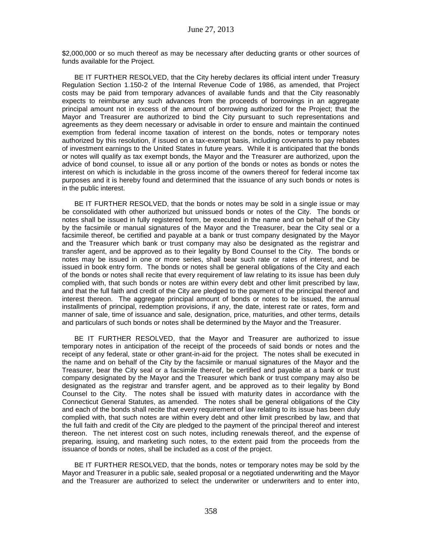\$2,000,000 or so much thereof as may be necessary after deducting grants or other sources of funds available for the Project.

BE IT FURTHER RESOLVED, that the City hereby declares its official intent under Treasury Regulation Section 1.150-2 of the Internal Revenue Code of 1986, as amended, that Project costs may be paid from temporary advances of available funds and that the City reasonably expects to reimburse any such advances from the proceeds of borrowings in an aggregate principal amount not in excess of the amount of borrowing authorized for the Project; that the Mayor and Treasurer are authorized to bind the City pursuant to such representations and agreements as they deem necessary or advisable in order to ensure and maintain the continued exemption from federal income taxation of interest on the bonds, notes or temporary notes authorized by this resolution, if issued on a tax-exempt basis, including covenants to pay rebates of investment earnings to the United States in future years. While it is anticipated that the bonds or notes will qualify as tax exempt bonds, the Mayor and the Treasurer are authorized, upon the advice of bond counsel, to issue all or any portion of the bonds or notes as bonds or notes the interest on which is includable in the gross income of the owners thereof for federal income tax purposes and it is hereby found and determined that the issuance of any such bonds or notes is in the public interest.

BE IT FURTHER RESOLVED, that the bonds or notes may be sold in a single issue or may be consolidated with other authorized but unissued bonds or notes of the City. The bonds or notes shall be issued in fully registered form, be executed in the name and on behalf of the City by the facsimile or manual signatures of the Mayor and the Treasurer, bear the City seal or a facsimile thereof, be certified and payable at a bank or trust company designated by the Mayor and the Treasurer which bank or trust company may also be designated as the registrar and transfer agent, and be approved as to their legality by Bond Counsel to the City. The bonds or notes may be issued in one or more series, shall bear such rate or rates of interest, and be issued in book entry form. The bonds or notes shall be general obligations of the City and each of the bonds or notes shall recite that every requirement of law relating to its issue has been duly complied with, that such bonds or notes are within every debt and other limit prescribed by law, and that the full faith and credit of the City are pledged to the payment of the principal thereof and interest thereon. The aggregate principal amount of bonds or notes to be issued, the annual installments of principal, redemption provisions, if any, the date, interest rate or rates, form and manner of sale, time of issuance and sale, designation, price, maturities, and other terms, details and particulars of such bonds or notes shall be determined by the Mayor and the Treasurer.

BE IT FURTHER RESOLVED, that the Mayor and Treasurer are authorized to issue temporary notes in anticipation of the receipt of the proceeds of said bonds or notes and the receipt of any federal, state or other grant-in-aid for the project. The notes shall be executed in the name and on behalf of the City by the facsimile or manual signatures of the Mayor and the Treasurer, bear the City seal or a facsimile thereof, be certified and payable at a bank or trust company designated by the Mayor and the Treasurer which bank or trust company may also be designated as the registrar and transfer agent, and be approved as to their legality by Bond Counsel to the City. The notes shall be issued with maturity dates in accordance with the Connecticut General Statutes, as amended. The notes shall be general obligations of the City and each of the bonds shall recite that every requirement of law relating to its issue has been duly complied with, that such notes are within every debt and other limit prescribed by law, and that the full faith and credit of the City are pledged to the payment of the principal thereof and interest thereon. The net interest cost on such notes, including renewals thereof, and the expense of preparing, issuing, and marketing such notes, to the extent paid from the proceeds from the issuance of bonds or notes, shall be included as a cost of the project.

BE IT FURTHER RESOLVED, that the bonds, notes or temporary notes may be sold by the Mayor and Treasurer in a public sale, sealed proposal or a negotiated underwriting and the Mayor and the Treasurer are authorized to select the underwriter or underwriters and to enter into,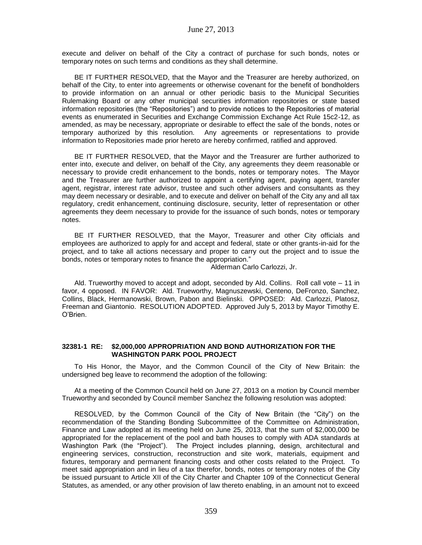execute and deliver on behalf of the City a contract of purchase for such bonds, notes or temporary notes on such terms and conditions as they shall determine.

BE IT FURTHER RESOLVED, that the Mayor and the Treasurer are hereby authorized, on behalf of the City, to enter into agreements or otherwise covenant for the benefit of bondholders to provide information on an annual or other periodic basis to the Municipal Securities Rulemaking Board or any other municipal securities information repositories or state based information repositories (the "Repositories") and to provide notices to the Repositories of material events as enumerated in Securities and Exchange Commission Exchange Act Rule 15c2-12, as amended, as may be necessary, appropriate or desirable to effect the sale of the bonds, notes or temporary authorized by this resolution. Any agreements or representations to provide information to Repositories made prior hereto are hereby confirmed, ratified and approved.

BE IT FURTHER RESOLVED, that the Mayor and the Treasurer are further authorized to enter into, execute and deliver, on behalf of the City, any agreements they deem reasonable or necessary to provide credit enhancement to the bonds, notes or temporary notes. The Mayor and the Treasurer are further authorized to appoint a certifying agent, paying agent, transfer agent, registrar, interest rate advisor, trustee and such other advisers and consultants as they may deem necessary or desirable, and to execute and deliver on behalf of the City any and all tax regulatory, credit enhancement, continuing disclosure, security, letter of representation or other agreements they deem necessary to provide for the issuance of such bonds, notes or temporary notes.

BE IT FURTHER RESOLVED, that the Mayor, Treasurer and other City officials and employees are authorized to apply for and accept and federal, state or other grants-in-aid for the project, and to take all actions necessary and proper to carry out the project and to issue the bonds, notes or temporary notes to finance the appropriation."

Alderman Carlo Carlozzi, Jr.

Ald. Trueworthy moved to accept and adopt, seconded by Ald. Collins. Roll call vote – 11 in favor, 4 opposed. IN FAVOR: Ald. Trueworthy, Magnuszewski, Centeno, DeFronzo, Sanchez, Collins, Black, Hermanowski, Brown, Pabon and Bielinski. OPPOSED: Ald. Carlozzi, Platosz, Freeman and Giantonio. RESOLUTION ADOPTED. Approved July 5, 2013 by Mayor Timothy E. O'Brien.

### **32381-1 RE: \$2,000,000 APPROPRIATION AND BOND AUTHORIZATION FOR THE WASHINGTON PARK POOL PROJECT**

To His Honor, the Mayor, and the Common Council of the City of New Britain: the undersigned beg leave to recommend the adoption of the following:

At a meeting of the Common Council held on June 27, 2013 on a motion by Council member Trueworthy and seconded by Council member Sanchez the following resolution was adopted:

RESOLVED, by the Common Council of the City of New Britain (the "City") on the recommendation of the Standing Bonding Subcommittee of the Committee on Administration, Finance and Law adopted at its meeting held on June 25, 2013, that the sum of \$2,000,000 be appropriated for the replacement of the pool and bath houses to comply with ADA standards at Washington Park (the "Project"). The Project includes planning, design, architectural and engineering services, construction, reconstruction and site work, materials, equipment and fixtures, temporary and permanent financing costs and other costs related to the Project. To meet said appropriation and in lieu of a tax therefor, bonds, notes or temporary notes of the City be issued pursuant to Article XII of the City Charter and Chapter 109 of the Connecticut General Statutes, as amended, or any other provision of law thereto enabling, in an amount not to exceed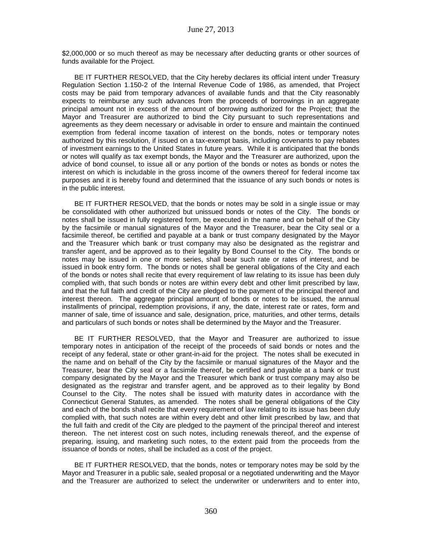\$2,000,000 or so much thereof as may be necessary after deducting grants or other sources of funds available for the Project.

BE IT FURTHER RESOLVED, that the City hereby declares its official intent under Treasury Regulation Section 1.150-2 of the Internal Revenue Code of 1986, as amended, that Project costs may be paid from temporary advances of available funds and that the City reasonably expects to reimburse any such advances from the proceeds of borrowings in an aggregate principal amount not in excess of the amount of borrowing authorized for the Project; that the Mayor and Treasurer are authorized to bind the City pursuant to such representations and agreements as they deem necessary or advisable in order to ensure and maintain the continued exemption from federal income taxation of interest on the bonds, notes or temporary notes authorized by this resolution, if issued on a tax-exempt basis, including covenants to pay rebates of investment earnings to the United States in future years. While it is anticipated that the bonds or notes will qualify as tax exempt bonds, the Mayor and the Treasurer are authorized, upon the advice of bond counsel, to issue all or any portion of the bonds or notes as bonds or notes the interest on which is includable in the gross income of the owners thereof for federal income tax purposes and it is hereby found and determined that the issuance of any such bonds or notes is in the public interest.

BE IT FURTHER RESOLVED, that the bonds or notes may be sold in a single issue or may be consolidated with other authorized but unissued bonds or notes of the City. The bonds or notes shall be issued in fully registered form, be executed in the name and on behalf of the City by the facsimile or manual signatures of the Mayor and the Treasurer, bear the City seal or a facsimile thereof, be certified and payable at a bank or trust company designated by the Mayor and the Treasurer which bank or trust company may also be designated as the registrar and transfer agent, and be approved as to their legality by Bond Counsel to the City. The bonds or notes may be issued in one or more series, shall bear such rate or rates of interest, and be issued in book entry form. The bonds or notes shall be general obligations of the City and each of the bonds or notes shall recite that every requirement of law relating to its issue has been duly complied with, that such bonds or notes are within every debt and other limit prescribed by law, and that the full faith and credit of the City are pledged to the payment of the principal thereof and interest thereon. The aggregate principal amount of bonds or notes to be issued, the annual installments of principal, redemption provisions, if any, the date, interest rate or rates, form and manner of sale, time of issuance and sale, designation, price, maturities, and other terms, details and particulars of such bonds or notes shall be determined by the Mayor and the Treasurer.

BE IT FURTHER RESOLVED, that the Mayor and Treasurer are authorized to issue temporary notes in anticipation of the receipt of the proceeds of said bonds or notes and the receipt of any federal, state or other grant-in-aid for the project. The notes shall be executed in the name and on behalf of the City by the facsimile or manual signatures of the Mayor and the Treasurer, bear the City seal or a facsimile thereof, be certified and payable at a bank or trust company designated by the Mayor and the Treasurer which bank or trust company may also be designated as the registrar and transfer agent, and be approved as to their legality by Bond Counsel to the City. The notes shall be issued with maturity dates in accordance with the Connecticut General Statutes, as amended. The notes shall be general obligations of the City and each of the bonds shall recite that every requirement of law relating to its issue has been duly complied with, that such notes are within every debt and other limit prescribed by law, and that the full faith and credit of the City are pledged to the payment of the principal thereof and interest thereon. The net interest cost on such notes, including renewals thereof, and the expense of preparing, issuing, and marketing such notes, to the extent paid from the proceeds from the issuance of bonds or notes, shall be included as a cost of the project.

BE IT FURTHER RESOLVED, that the bonds, notes or temporary notes may be sold by the Mayor and Treasurer in a public sale, sealed proposal or a negotiated underwriting and the Mayor and the Treasurer are authorized to select the underwriter or underwriters and to enter into,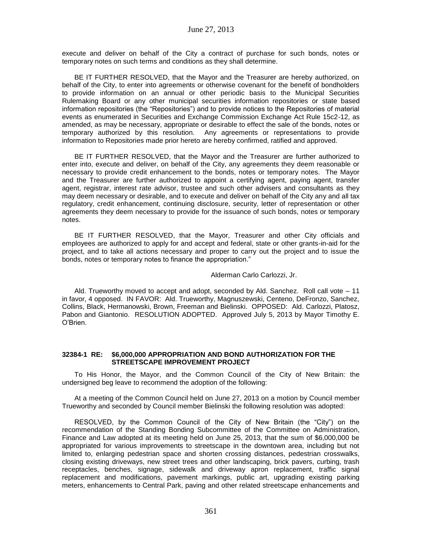execute and deliver on behalf of the City a contract of purchase for such bonds, notes or temporary notes on such terms and conditions as they shall determine.

BE IT FURTHER RESOLVED, that the Mayor and the Treasurer are hereby authorized, on behalf of the City, to enter into agreements or otherwise covenant for the benefit of bondholders to provide information on an annual or other periodic basis to the Municipal Securities Rulemaking Board or any other municipal securities information repositories or state based information repositories (the "Repositories") and to provide notices to the Repositories of material events as enumerated in Securities and Exchange Commission Exchange Act Rule 15c2-12, as amended, as may be necessary, appropriate or desirable to effect the sale of the bonds, notes or temporary authorized by this resolution. Any agreements or representations to provide information to Repositories made prior hereto are hereby confirmed, ratified and approved.

BE IT FURTHER RESOLVED, that the Mayor and the Treasurer are further authorized to enter into, execute and deliver, on behalf of the City, any agreements they deem reasonable or necessary to provide credit enhancement to the bonds, notes or temporary notes. The Mayor and the Treasurer are further authorized to appoint a certifying agent, paying agent, transfer agent, registrar, interest rate advisor, trustee and such other advisers and consultants as they may deem necessary or desirable, and to execute and deliver on behalf of the City any and all tax regulatory, credit enhancement, continuing disclosure, security, letter of representation or other agreements they deem necessary to provide for the issuance of such bonds, notes or temporary notes.

BE IT FURTHER RESOLVED, that the Mayor, Treasurer and other City officials and employees are authorized to apply for and accept and federal, state or other grants-in-aid for the project, and to take all actions necessary and proper to carry out the project and to issue the bonds, notes or temporary notes to finance the appropriation."

### Alderman Carlo Carlozzi, Jr.

Ald. Trueworthy moved to accept and adopt, seconded by Ald. Sanchez. Roll call vote – 11 in favor, 4 opposed. IN FAVOR: Ald. Trueworthy, Magnuszewski, Centeno, DeFronzo, Sanchez, Collins, Black, Hermanowski, Brown, Freeman and Bielinski. OPPOSED: Ald. Carlozzi, Platosz, Pabon and Giantonio. RESOLUTION ADOPTED. Approved July 5, 2013 by Mayor Timothy E. O'Brien.

### **32384-1 RE: \$6,000,000 APPROPRIATION AND BOND AUTHORIZATION FOR THE STREETSCAPE IMPROVEMENT PROJECT**

To His Honor, the Mayor, and the Common Council of the City of New Britain: the undersigned beg leave to recommend the adoption of the following:

At a meeting of the Common Council held on June 27, 2013 on a motion by Council member Trueworthy and seconded by Council member Bielinski the following resolution was adopted:

RESOLVED, by the Common Council of the City of New Britain (the "City") on the recommendation of the Standing Bonding Subcommittee of the Committee on Administration, Finance and Law adopted at its meeting held on June 25, 2013, that the sum of \$6,000,000 be appropriated for various improvements to streetscape in the downtown area, including but not limited to, enlarging pedestrian space and shorten crossing distances, pedestrian crosswalks, closing existing driveways, new street trees and other landscaping, brick pavers, curbing, trash receptacles, benches, signage, sidewalk and driveway apron replacement, traffic signal replacement and modifications, pavement markings, public art, upgrading existing parking meters, enhancements to Central Park, paving and other related streetscape enhancements and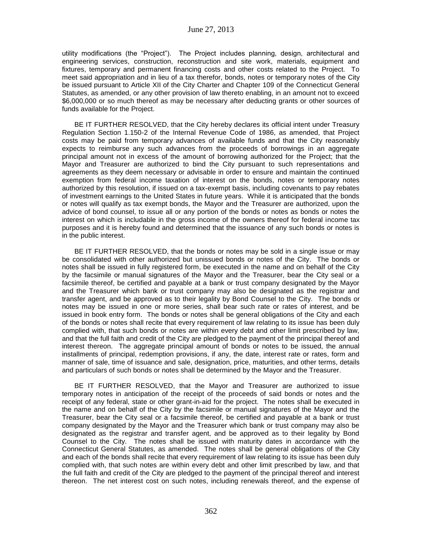utility modifications (the "Project"). The Project includes planning, design, architectural and engineering services, construction, reconstruction and site work, materials, equipment and fixtures, temporary and permanent financing costs and other costs related to the Project. To meet said appropriation and in lieu of a tax therefor, bonds, notes or temporary notes of the City be issued pursuant to Article XII of the City Charter and Chapter 109 of the Connecticut General Statutes, as amended, or any other provision of law thereto enabling, in an amount not to exceed \$6,000,000 or so much thereof as may be necessary after deducting grants or other sources of funds available for the Project.

BE IT FURTHER RESOLVED, that the City hereby declares its official intent under Treasury Regulation Section 1.150-2 of the Internal Revenue Code of 1986, as amended, that Project costs may be paid from temporary advances of available funds and that the City reasonably expects to reimburse any such advances from the proceeds of borrowings in an aggregate principal amount not in excess of the amount of borrowing authorized for the Project; that the Mayor and Treasurer are authorized to bind the City pursuant to such representations and agreements as they deem necessary or advisable in order to ensure and maintain the continued exemption from federal income taxation of interest on the bonds, notes or temporary notes authorized by this resolution, if issued on a tax-exempt basis, including covenants to pay rebates of investment earnings to the United States in future years. While it is anticipated that the bonds or notes will qualify as tax exempt bonds, the Mayor and the Treasurer are authorized, upon the advice of bond counsel, to issue all or any portion of the bonds or notes as bonds or notes the interest on which is includable in the gross income of the owners thereof for federal income tax purposes and it is hereby found and determined that the issuance of any such bonds or notes is in the public interest.

BE IT FURTHER RESOLVED, that the bonds or notes may be sold in a single issue or may be consolidated with other authorized but unissued bonds or notes of the City. The bonds or notes shall be issued in fully registered form, be executed in the name and on behalf of the City by the facsimile or manual signatures of the Mayor and the Treasurer, bear the City seal or a facsimile thereof, be certified and payable at a bank or trust company designated by the Mayor and the Treasurer which bank or trust company may also be designated as the registrar and transfer agent, and be approved as to their legality by Bond Counsel to the City. The bonds or notes may be issued in one or more series, shall bear such rate or rates of interest, and be issued in book entry form. The bonds or notes shall be general obligations of the City and each of the bonds or notes shall recite that every requirement of law relating to its issue has been duly complied with, that such bonds or notes are within every debt and other limit prescribed by law, and that the full faith and credit of the City are pledged to the payment of the principal thereof and interest thereon. The aggregate principal amount of bonds or notes to be issued, the annual installments of principal, redemption provisions, if any, the date, interest rate or rates, form and manner of sale, time of issuance and sale, designation, price, maturities, and other terms, details and particulars of such bonds or notes shall be determined by the Mayor and the Treasurer.

BE IT FURTHER RESOLVED, that the Mayor and Treasurer are authorized to issue temporary notes in anticipation of the receipt of the proceeds of said bonds or notes and the receipt of any federal, state or other grant-in-aid for the project. The notes shall be executed in the name and on behalf of the City by the facsimile or manual signatures of the Mayor and the Treasurer, bear the City seal or a facsimile thereof, be certified and payable at a bank or trust company designated by the Mayor and the Treasurer which bank or trust company may also be designated as the registrar and transfer agent, and be approved as to their legality by Bond Counsel to the City. The notes shall be issued with maturity dates in accordance with the Connecticut General Statutes, as amended. The notes shall be general obligations of the City and each of the bonds shall recite that every requirement of law relating to its issue has been duly complied with, that such notes are within every debt and other limit prescribed by law, and that the full faith and credit of the City are pledged to the payment of the principal thereof and interest thereon. The net interest cost on such notes, including renewals thereof, and the expense of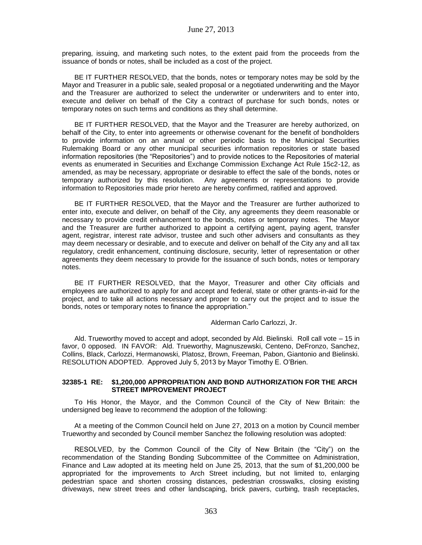preparing, issuing, and marketing such notes, to the extent paid from the proceeds from the issuance of bonds or notes, shall be included as a cost of the project.

BE IT FURTHER RESOLVED, that the bonds, notes or temporary notes may be sold by the Mayor and Treasurer in a public sale, sealed proposal or a negotiated underwriting and the Mayor and the Treasurer are authorized to select the underwriter or underwriters and to enter into, execute and deliver on behalf of the City a contract of purchase for such bonds, notes or temporary notes on such terms and conditions as they shall determine.

BE IT FURTHER RESOLVED, that the Mayor and the Treasurer are hereby authorized, on behalf of the City, to enter into agreements or otherwise covenant for the benefit of bondholders to provide information on an annual or other periodic basis to the Municipal Securities Rulemaking Board or any other municipal securities information repositories or state based information repositories (the "Repositories") and to provide notices to the Repositories of material events as enumerated in Securities and Exchange Commission Exchange Act Rule 15c2-12, as amended, as may be necessary, appropriate or desirable to effect the sale of the bonds, notes or temporary authorized by this resolution. Any agreements or representations to provide information to Repositories made prior hereto are hereby confirmed, ratified and approved.

BE IT FURTHER RESOLVED, that the Mayor and the Treasurer are further authorized to enter into, execute and deliver, on behalf of the City, any agreements they deem reasonable or necessary to provide credit enhancement to the bonds, notes or temporary notes. The Mayor and the Treasurer are further authorized to appoint a certifying agent, paying agent, transfer agent, registrar, interest rate advisor, trustee and such other advisers and consultants as they may deem necessary or desirable, and to execute and deliver on behalf of the City any and all tax regulatory, credit enhancement, continuing disclosure, security, letter of representation or other agreements they deem necessary to provide for the issuance of such bonds, notes or temporary notes.

BE IT FURTHER RESOLVED, that the Mayor, Treasurer and other City officials and employees are authorized to apply for and accept and federal, state or other grants-in-aid for the project, and to take all actions necessary and proper to carry out the project and to issue the bonds, notes or temporary notes to finance the appropriation."

#### Alderman Carlo Carlozzi, Jr.

Ald. Trueworthy moved to accept and adopt, seconded by Ald. Bielinski. Roll call vote – 15 in favor, 0 opposed. IN FAVOR: Ald. Trueworthy, Magnuszewski, Centeno, DeFronzo, Sanchez, Collins, Black, Carlozzi, Hermanowski, Platosz, Brown, Freeman, Pabon, Giantonio and Bielinski. RESOLUTION ADOPTED. Approved July 5, 2013 by Mayor Timothy E. O'Brien.

#### **32385-1 RE: \$1,200,000 APPROPRIATION AND BOND AUTHORIZATION FOR THE ARCH STREET IMPROVEMENT PROJECT**

To His Honor, the Mayor, and the Common Council of the City of New Britain: the undersigned beg leave to recommend the adoption of the following:

At a meeting of the Common Council held on June 27, 2013 on a motion by Council member Trueworthy and seconded by Council member Sanchez the following resolution was adopted:

RESOLVED, by the Common Council of the City of New Britain (the "City") on the recommendation of the Standing Bonding Subcommittee of the Committee on Administration, Finance and Law adopted at its meeting held on June 25, 2013, that the sum of \$1,200,000 be appropriated for the improvements to Arch Street including, but not limited to, enlarging pedestrian space and shorten crossing distances, pedestrian crosswalks, closing existing driveways, new street trees and other landscaping, brick pavers, curbing, trash receptacles,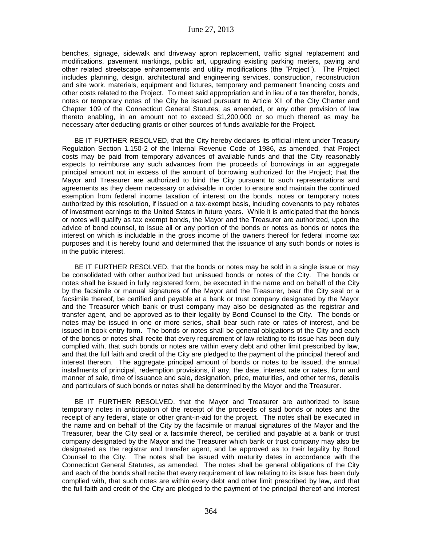benches, signage, sidewalk and driveway apron replacement, traffic signal replacement and modifications, pavement markings, public art, upgrading existing parking meters, paving and other related streetscape enhancements and utility modifications (the "Project"). The Project includes planning, design, architectural and engineering services, construction, reconstruction and site work, materials, equipment and fixtures, temporary and permanent financing costs and other costs related to the Project. To meet said appropriation and in lieu of a tax therefor, bonds, notes or temporary notes of the City be issued pursuant to Article XII of the City Charter and Chapter 109 of the Connecticut General Statutes, as amended, or any other provision of law thereto enabling, in an amount not to exceed \$1,200,000 or so much thereof as may be necessary after deducting grants or other sources of funds available for the Project.

BE IT FURTHER RESOLVED, that the City hereby declares its official intent under Treasury Regulation Section 1.150-2 of the Internal Revenue Code of 1986, as amended, that Project costs may be paid from temporary advances of available funds and that the City reasonably expects to reimburse any such advances from the proceeds of borrowings in an aggregate principal amount not in excess of the amount of borrowing authorized for the Project; that the Mayor and Treasurer are authorized to bind the City pursuant to such representations and agreements as they deem necessary or advisable in order to ensure and maintain the continued exemption from federal income taxation of interest on the bonds, notes or temporary notes authorized by this resolution, if issued on a tax-exempt basis, including covenants to pay rebates of investment earnings to the United States in future years. While it is anticipated that the bonds or notes will qualify as tax exempt bonds, the Mayor and the Treasurer are authorized, upon the advice of bond counsel, to issue all or any portion of the bonds or notes as bonds or notes the interest on which is includable in the gross income of the owners thereof for federal income tax purposes and it is hereby found and determined that the issuance of any such bonds or notes is in the public interest.

BE IT FURTHER RESOLVED, that the bonds or notes may be sold in a single issue or may be consolidated with other authorized but unissued bonds or notes of the City. The bonds or notes shall be issued in fully registered form, be executed in the name and on behalf of the City by the facsimile or manual signatures of the Mayor and the Treasurer, bear the City seal or a facsimile thereof, be certified and payable at a bank or trust company designated by the Mayor and the Treasurer which bank or trust company may also be designated as the registrar and transfer agent, and be approved as to their legality by Bond Counsel to the City. The bonds or notes may be issued in one or more series, shall bear such rate or rates of interest, and be issued in book entry form. The bonds or notes shall be general obligations of the City and each of the bonds or notes shall recite that every requirement of law relating to its issue has been duly complied with, that such bonds or notes are within every debt and other limit prescribed by law, and that the full faith and credit of the City are pledged to the payment of the principal thereof and interest thereon. The aggregate principal amount of bonds or notes to be issued, the annual installments of principal, redemption provisions, if any, the date, interest rate or rates, form and manner of sale, time of issuance and sale, designation, price, maturities, and other terms, details and particulars of such bonds or notes shall be determined by the Mayor and the Treasurer.

BE IT FURTHER RESOLVED, that the Mayor and Treasurer are authorized to issue temporary notes in anticipation of the receipt of the proceeds of said bonds or notes and the receipt of any federal, state or other grant-in-aid for the project. The notes shall be executed in the name and on behalf of the City by the facsimile or manual signatures of the Mayor and the Treasurer, bear the City seal or a facsimile thereof, be certified and payable at a bank or trust company designated by the Mayor and the Treasurer which bank or trust company may also be designated as the registrar and transfer agent, and be approved as to their legality by Bond Counsel to the City. The notes shall be issued with maturity dates in accordance with the Connecticut General Statutes, as amended. The notes shall be general obligations of the City and each of the bonds shall recite that every requirement of law relating to its issue has been duly complied with, that such notes are within every debt and other limit prescribed by law, and that the full faith and credit of the City are pledged to the payment of the principal thereof and interest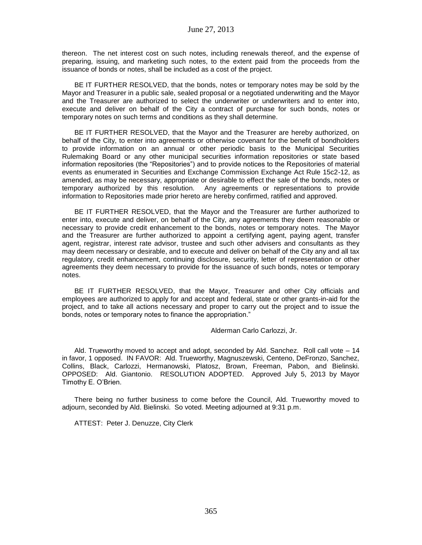thereon. The net interest cost on such notes, including renewals thereof, and the expense of preparing, issuing, and marketing such notes, to the extent paid from the proceeds from the issuance of bonds or notes, shall be included as a cost of the project.

BE IT FURTHER RESOLVED, that the bonds, notes or temporary notes may be sold by the Mayor and Treasurer in a public sale, sealed proposal or a negotiated underwriting and the Mayor and the Treasurer are authorized to select the underwriter or underwriters and to enter into, execute and deliver on behalf of the City a contract of purchase for such bonds, notes or temporary notes on such terms and conditions as they shall determine.

BE IT FURTHER RESOLVED, that the Mayor and the Treasurer are hereby authorized, on behalf of the City, to enter into agreements or otherwise covenant for the benefit of bondholders to provide information on an annual or other periodic basis to the Municipal Securities Rulemaking Board or any other municipal securities information repositories or state based information repositories (the "Repositories") and to provide notices to the Repositories of material events as enumerated in Securities and Exchange Commission Exchange Act Rule 15c2-12, as amended, as may be necessary, appropriate or desirable to effect the sale of the bonds, notes or temporary authorized by this resolution. Any agreements or representations to provide information to Repositories made prior hereto are hereby confirmed, ratified and approved.

BE IT FURTHER RESOLVED, that the Mayor and the Treasurer are further authorized to enter into, execute and deliver, on behalf of the City, any agreements they deem reasonable or necessary to provide credit enhancement to the bonds, notes or temporary notes. The Mayor and the Treasurer are further authorized to appoint a certifying agent, paying agent, transfer agent, registrar, interest rate advisor, trustee and such other advisers and consultants as they may deem necessary or desirable, and to execute and deliver on behalf of the City any and all tax regulatory, credit enhancement, continuing disclosure, security, letter of representation or other agreements they deem necessary to provide for the issuance of such bonds, notes or temporary notes.

BE IT FURTHER RESOLVED, that the Mayor, Treasurer and other City officials and employees are authorized to apply for and accept and federal, state or other grants-in-aid for the project, and to take all actions necessary and proper to carry out the project and to issue the bonds, notes or temporary notes to finance the appropriation."

Alderman Carlo Carlozzi, Jr.

Ald. Trueworthy moved to accept and adopt, seconded by Ald. Sanchez. Roll call vote – 14 in favor, 1 opposed. IN FAVOR: Ald. Trueworthy, Magnuszewski, Centeno, DeFronzo, Sanchez, Collins, Black, Carlozzi, Hermanowski, Platosz, Brown, Freeman, Pabon, and Bielinski. OPPOSED: Ald. Giantonio. RESOLUTION ADOPTED. Approved July 5, 2013 by Mayor Timothy E. O'Brien.

There being no further business to come before the Council, Ald. Trueworthy moved to adjourn, seconded by Ald. Bielinski. So voted. Meeting adjourned at 9:31 p.m.

ATTEST: Peter J. Denuzze, City Clerk